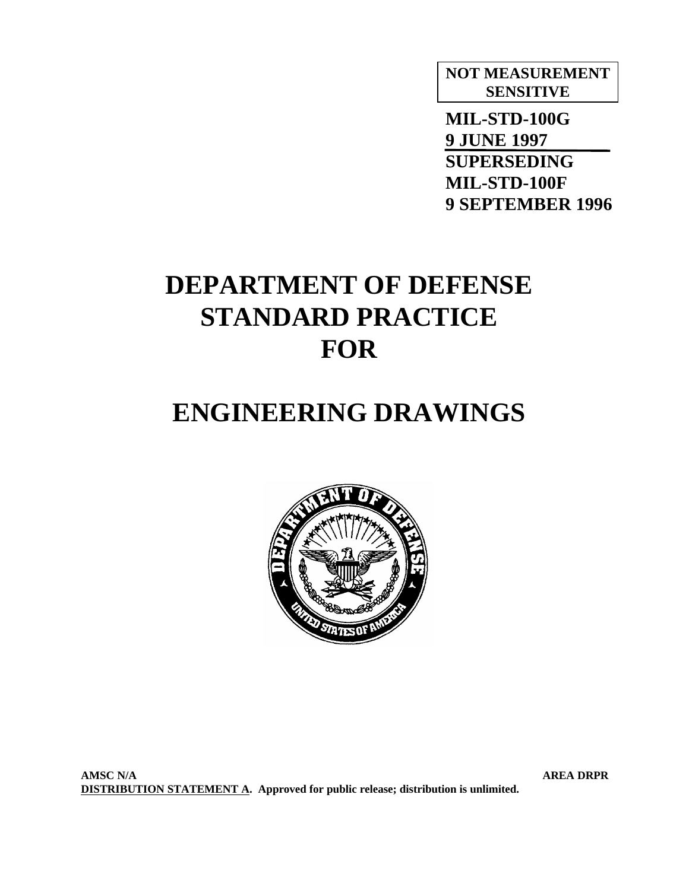# **NOT MEASUREMENT SENSITIVE**

 **MIL-STD-100G 9 JUNE 1997 SUPERSEDING MIL-STD-100F 9 SEPTEMBER 1996**

# **DEPARTMENT OF DEFENSE STANDARD PRACTICE FOR**

# **ENGINEERING DRAWINGS**



**AMSC N/A AREA DRPR DISTRIBUTION STATEMENT A. Approved for public release; distribution is unlimited.**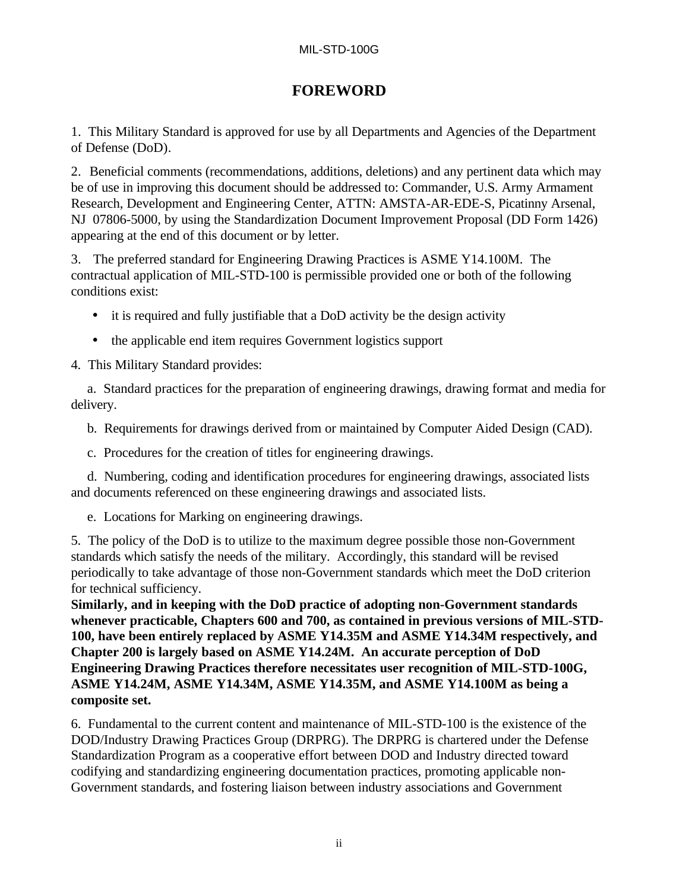# **FOREWORD**

1. This Military Standard is approved for use by all Departments and Agencies of the Department of Defense (DoD).

2. Beneficial comments (recommendations, additions, deletions) and any pertinent data which may be of use in improving this document should be addressed to: Commander, U.S. Army Armament Research, Development and Engineering Center, ATTN: AMSTA-AR-EDE-S, Picatinny Arsenal, NJ 07806-5000, by using the Standardization Document Improvement Proposal (DD Form 1426) appearing at the end of this document or by letter.

3. The preferred standard for Engineering Drawing Practices is ASME Y14.100M. The contractual application of MIL-STD-100 is permissible provided one or both of the following conditions exist:

- it is required and fully justifiable that a DoD activity be the design activity
- the applicable end item requires Government logistics support

4. This Military Standard provides:

a. Standard practices for the preparation of engineering drawings, drawing format and media for delivery.

- b. Requirements for drawings derived from or maintained by Computer Aided Design (CAD).
- c. Procedures for the creation of titles for engineering drawings.

d. Numbering, coding and identification procedures for engineering drawings, associated lists and documents referenced on these engineering drawings and associated lists.

e. Locations for Marking on engineering drawings.

5. The policy of the DoD is to utilize to the maximum degree possible those non-Government standards which satisfy the needs of the military. Accordingly, this standard will be revised periodically to take advantage of those non-Government standards which meet the DoD criterion for technical sufficiency.

**Similarly, and in keeping with the DoD practice of adopting non-Government standards whenever practicable, Chapters 600 and 700, as contained in previous versions of MIL-STD-100, have been entirely replaced by ASME Y14.35M and ASME Y14.34M respectively, and Chapter 200 is largely based on ASME Y14.24M. An accurate perception of DoD Engineering Drawing Practices therefore necessitates user recognition of MIL-STD-100G, ASME Y14.24M, ASME Y14.34M, ASME Y14.35M, and ASME Y14.100M as being a composite set.**

6. Fundamental to the current content and maintenance of MIL-STD-100 is the existence of the DOD/Industry Drawing Practices Group (DRPRG). The DRPRG is chartered under the Defense Standardization Program as a cooperative effort between DOD and Industry directed toward codifying and standardizing engineering documentation practices, promoting applicable non-Government standards, and fostering liaison between industry associations and Government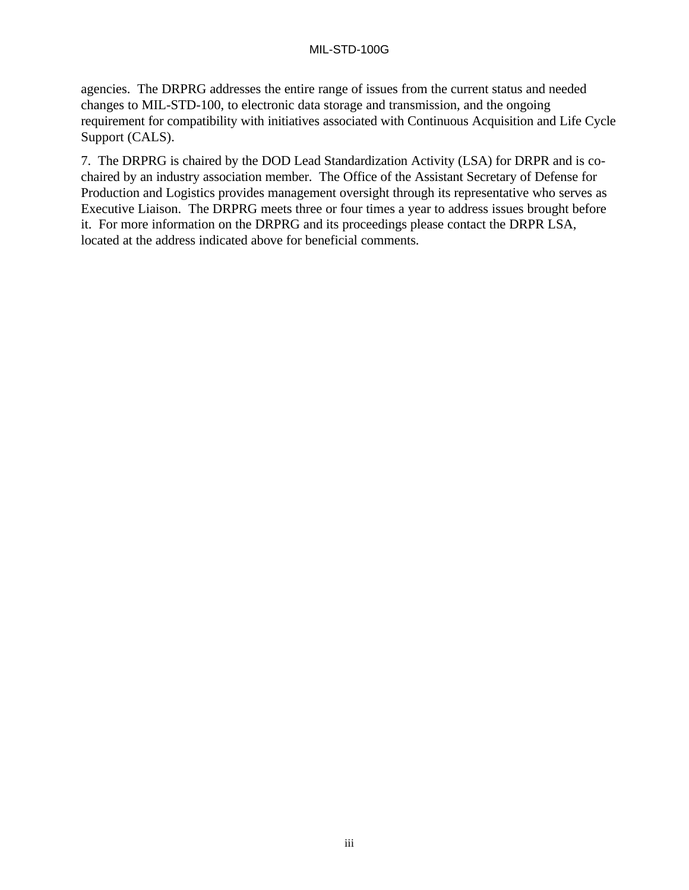agencies. The DRPRG addresses the entire range of issues from the current status and needed changes to MIL-STD-100, to electronic data storage and transmission, and the ongoing requirement for compatibility with initiatives associated with Continuous Acquisition and Life Cycle Support (CALS).

7. The DRPRG is chaired by the DOD Lead Standardization Activity (LSA) for DRPR and is cochaired by an industry association member. The Office of the Assistant Secretary of Defense for Production and Logistics provides management oversight through its representative who serves as Executive Liaison. The DRPRG meets three or four times a year to address issues brought before it. For more information on the DRPRG and its proceedings please contact the DRPR LSA, located at the address indicated above for beneficial comments.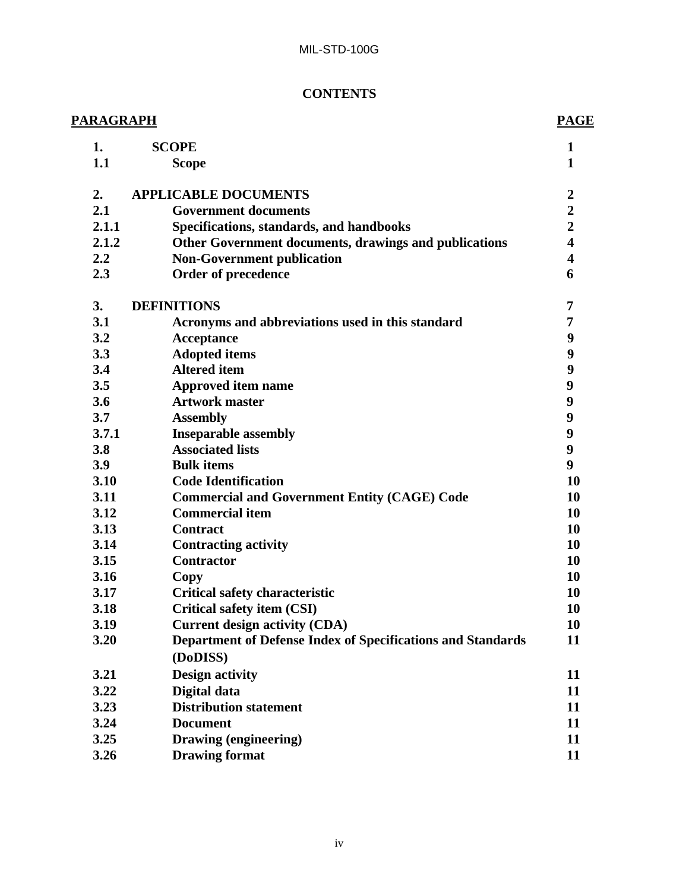# **CONTENTS**

| <u> PARAGRAPH</u> |       |                                                                    | <b>PAGE</b>             |
|-------------------|-------|--------------------------------------------------------------------|-------------------------|
|                   | 1.    | <b>SCOPE</b>                                                       | $\mathbf{1}$            |
|                   | 1.1   | <b>Scope</b>                                                       | $\mathbf{1}$            |
|                   | 2.    | <b>APPLICABLE DOCUMENTS</b>                                        | $\boldsymbol{2}$        |
|                   | 2.1   | <b>Government documents</b>                                        | $\overline{2}$          |
|                   | 2.1.1 | Specifications, standards, and handbooks                           | $\overline{2}$          |
|                   | 2.1.2 | Other Government documents, drawings and publications              | $\overline{\mathbf{4}}$ |
|                   | 2.2   | <b>Non-Government publication</b>                                  | $\overline{\mathbf{4}}$ |
|                   | 2.3   | Order of precedence                                                | 6                       |
|                   | 3.    | <b>DEFINITIONS</b>                                                 | 7                       |
|                   | 3.1   | Acronyms and abbreviations used in this standard                   | 7                       |
|                   | 3.2   | <b>Acceptance</b>                                                  | 9                       |
|                   | 3.3   | <b>Adopted items</b>                                               | $\boldsymbol{9}$        |
|                   | 3.4   | <b>Altered</b> item                                                | $\boldsymbol{9}$        |
|                   | 3.5   | <b>Approved item name</b>                                          | 9                       |
|                   | 3.6   | <b>Artwork master</b>                                              | 9                       |
|                   | 3.7   | <b>Assembly</b>                                                    | 9                       |
|                   | 3.7.1 | <b>Inseparable assembly</b>                                        | 9                       |
|                   | 3.8   | <b>Associated lists</b>                                            | 9                       |
|                   | 3.9   | <b>Bulk items</b>                                                  | 9                       |
|                   | 3.10  | <b>Code Identification</b>                                         | 10                      |
|                   | 3.11  | <b>Commercial and Government Entity (CAGE) Code</b>                | 10                      |
|                   | 3.12  | <b>Commercial item</b>                                             | 10                      |
|                   | 3.13  | <b>Contract</b>                                                    | 10                      |
|                   | 3.14  | <b>Contracting activity</b>                                        | 10                      |
|                   | 3.15  | <b>Contractor</b>                                                  | 10                      |
|                   | 3.16  | Copy                                                               | 10                      |
|                   | 3.17  | <b>Critical safety characteristic</b>                              | 10                      |
|                   | 3.18  | Critical safety item (CSI)                                         | 10                      |
|                   | 3.19  | <b>Current design activity (CDA)</b>                               | 10                      |
|                   | 3.20  | <b>Department of Defense Index of Specifications and Standards</b> | 11                      |
|                   |       | (DoDISS)                                                           |                         |
|                   | 3.21  | <b>Design activity</b>                                             | 11                      |
|                   | 3.22  | Digital data                                                       | 11                      |
|                   | 3.23  | <b>Distribution statement</b>                                      | 11                      |
|                   | 3.24  | <b>Document</b>                                                    | 11                      |
|                   | 3.25  | Drawing (engineering)                                              | 11                      |
|                   | 3.26  | <b>Drawing format</b>                                              | 11                      |
|                   |       |                                                                    |                         |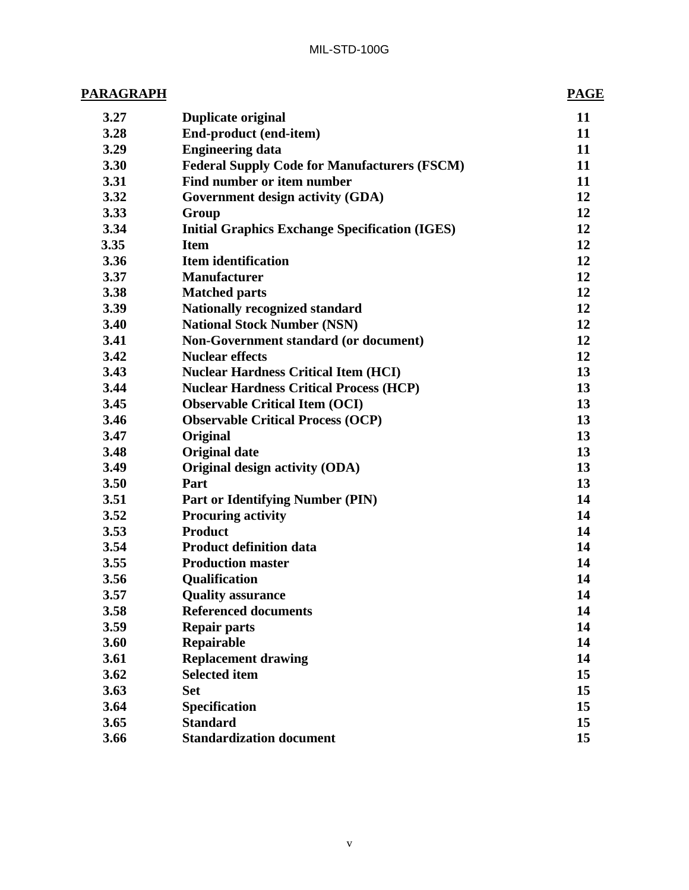| <b>PARAGRAPH</b> |                                                       | <b>PAGE</b> |  |
|------------------|-------------------------------------------------------|-------------|--|
| 3.27             | <b>Duplicate original</b>                             | 11          |  |
| 3.28             | End-product (end-item)                                | 11          |  |
| 3.29             | <b>Engineering data</b>                               | 11          |  |
| 3.30             | <b>Federal Supply Code for Manufacturers (FSCM)</b>   | 11          |  |
| 3.31             | Find number or item number                            | 11          |  |
| 3.32             | Government design activity (GDA)                      | 12          |  |
| 3.33             | Group                                                 | 12          |  |
| 3.34             | <b>Initial Graphics Exchange Specification (IGES)</b> | 12          |  |
| 3.35             | <b>Item</b>                                           | 12          |  |
| 3.36             | <b>Item identification</b>                            | 12          |  |
| 3.37             | <b>Manufacturer</b>                                   | 12          |  |
| 3.38             | <b>Matched parts</b>                                  | 12          |  |
| 3.39             | <b>Nationally recognized standard</b>                 | 12          |  |
| 3.40             | <b>National Stock Number (NSN)</b>                    | 12          |  |
| 3.41             | Non-Government standard (or document)                 | 12          |  |
| 3.42             | <b>Nuclear effects</b>                                | 12          |  |
| 3.43             | <b>Nuclear Hardness Critical Item (HCI)</b>           | 13          |  |
| 3.44             | <b>Nuclear Hardness Critical Process (HCP)</b>        | 13          |  |
| 3.45             | <b>Observable Critical Item (OCI)</b>                 | 13          |  |
| 3.46             | <b>Observable Critical Process (OCP)</b>              | 13          |  |
| 3.47             | Original                                              | 13          |  |
| 3.48             | <b>Original date</b>                                  | 13          |  |
| 3.49             | Original design activity (ODA)                        | 13          |  |
| 3.50             | Part                                                  | 13          |  |
| 3.51             | <b>Part or Identifying Number (PIN)</b>               | 14          |  |
| 3.52             | <b>Procuring activity</b>                             | 14          |  |
| 3.53             | <b>Product</b>                                        | 14          |  |
| 3.54             | <b>Product definition data</b>                        | 14          |  |
| 3.55             | <b>Production master</b>                              | 14          |  |
| 3.56             | Qualification                                         | 14          |  |
| 3.57             | <b>Quality assurance</b>                              | 14          |  |
| 3.58             | <b>Referenced documents</b>                           | 14          |  |
| 3.59             | <b>Repair parts</b>                                   | 14          |  |
| 3.60             | Repairable                                            | 14          |  |
| 3.61             | <b>Replacement drawing</b>                            | 14          |  |
| 3.62             | <b>Selected item</b>                                  | 15          |  |
| 3.63             | <b>Set</b>                                            | 15          |  |
| 3.64             | Specification                                         | 15          |  |
| 3.65             | <b>Standard</b>                                       | 15          |  |
| 3.66             | <b>Standardization document</b>                       | 15          |  |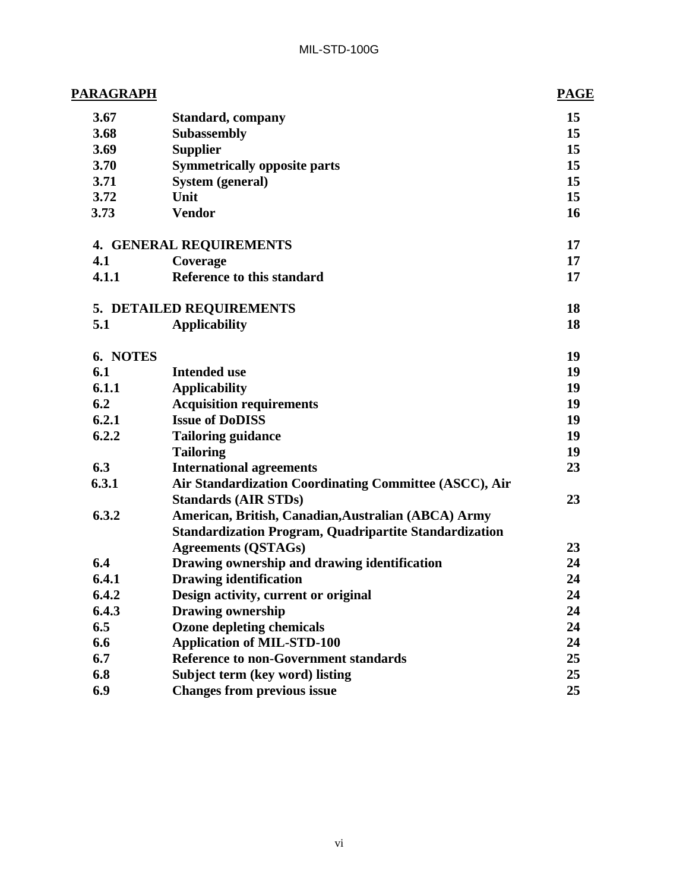| <u> PARAGRAPH</u> |                                                               | <b>PAGE</b> |
|-------------------|---------------------------------------------------------------|-------------|
| 3.67              | <b>Standard, company</b>                                      | 15          |
| 3.68              | <b>Subassembly</b>                                            | 15          |
| 3.69              | <b>Supplier</b>                                               | 15          |
| 3.70              | <b>Symmetrically opposite parts</b>                           | 15          |
| 3.71              | <b>System (general)</b>                                       | 15          |
| 3.72              | Unit                                                          | 15          |
| 3.73              | <b>Vendor</b>                                                 | 16          |
|                   | <b>4. GENERAL REQUIREMENTS</b>                                | 17          |
| 4.1               | Coverage                                                      | 17          |
| 4.1.1             | Reference to this standard                                    | 17          |
|                   | 5. DETAILED REQUIREMENTS                                      | 18          |
| 5.1               | <b>Applicability</b>                                          | 18          |
| 6. NOTES          |                                                               | 19          |
| 6.1               | <b>Intended use</b>                                           | 19          |
| 6.1.1             | <b>Applicability</b>                                          | 19          |
| 6.2               | <b>Acquisition requirements</b>                               | 19          |
| 6.2.1             | <b>Issue of DoDISS</b>                                        | 19          |
| 6.2.2             | <b>Tailoring guidance</b>                                     | 19          |
|                   | <b>Tailoring</b>                                              | 19          |
| 6.3               | <b>International agreements</b>                               | 23          |
| 6.3.1             | Air Standardization Coordinating Committee (ASCC), Air        |             |
|                   | <b>Standards (AIR STDs)</b>                                   | 23          |
| 6.3.2             | American, British, Canadian, Australian (ABCA) Army           |             |
|                   | <b>Standardization Program, Quadripartite Standardization</b> |             |
|                   | <b>Agreements (QSTAGs)</b>                                    | 23          |
| 6.4               | Drawing ownership and drawing identification                  | 24          |
| 6.4.1             | <b>Drawing identification</b>                                 | 24          |
| 6.4.2             | Design activity, current or original                          | 24          |
| 6.4.3             | <b>Drawing ownership</b>                                      | 24          |
| 6.5               | <b>Ozone depleting chemicals</b>                              | 24          |
| 6.6               | <b>Application of MIL-STD-100</b>                             | 24          |
| 6.7               | <b>Reference to non-Government standards</b>                  | 25          |
| 6.8               | Subject term (key word) listing                               | 25          |
| 6.9               | <b>Changes from previous issue</b>                            | 25          |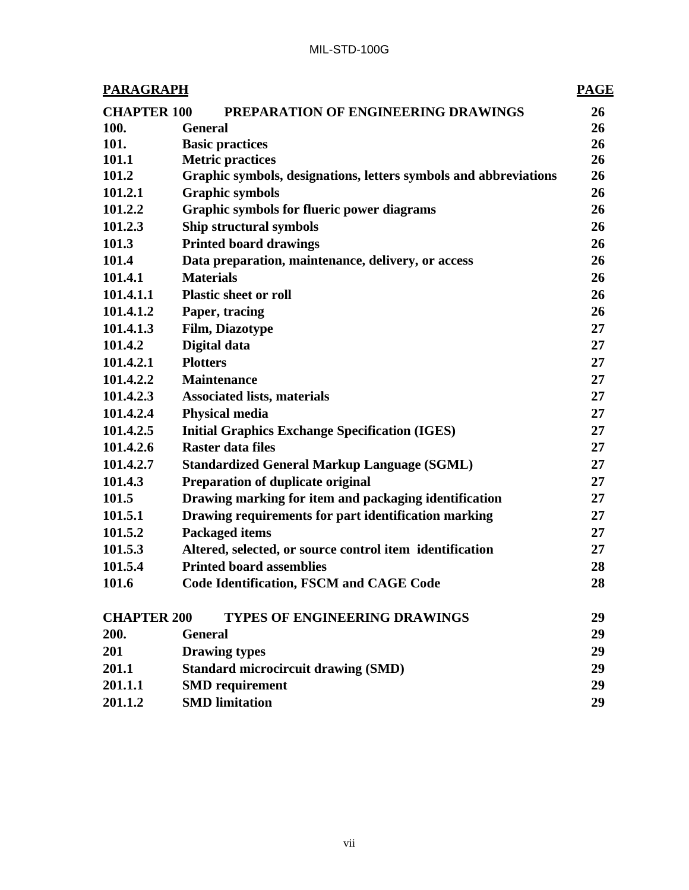| <b>PARAGRAPH</b><br><b>PAGE</b>                                 |                                                                  |    |
|-----------------------------------------------------------------|------------------------------------------------------------------|----|
| <b>CHAPTER 100</b><br>PREPARATION OF ENGINEERING DRAWINGS<br>26 |                                                                  |    |
| 100.                                                            | <b>General</b>                                                   | 26 |
| 101.                                                            | <b>Basic practices</b>                                           | 26 |
| 101.1                                                           | <b>Metric practices</b>                                          | 26 |
| 101.2                                                           | Graphic symbols, designations, letters symbols and abbreviations | 26 |
| 101.2.1                                                         | <b>Graphic symbols</b>                                           | 26 |
| 101.2.2                                                         | <b>Graphic symbols for flueric power diagrams</b>                | 26 |
| 101.2.3                                                         | Ship structural symbols                                          | 26 |
| 101.3                                                           | <b>Printed board drawings</b>                                    | 26 |
| 101.4                                                           | Data preparation, maintenance, delivery, or access               | 26 |
| 101.4.1                                                         | <b>Materials</b>                                                 | 26 |
| 101.4.1.1                                                       | <b>Plastic sheet or roll</b>                                     | 26 |
| 101.4.1.2                                                       | Paper, tracing                                                   | 26 |
| 101.4.1.3                                                       | <b>Film, Diazotype</b>                                           | 27 |
| 101.4.2                                                         | Digital data                                                     | 27 |
| 101.4.2.1                                                       | <b>Plotters</b>                                                  | 27 |
| 101.4.2.2                                                       | <b>Maintenance</b>                                               | 27 |
| 101.4.2.3                                                       | <b>Associated lists, materials</b>                               | 27 |
| 101.4.2.4                                                       | <b>Physical media</b>                                            | 27 |
| 101.4.2.5                                                       | <b>Initial Graphics Exchange Specification (IGES)</b>            | 27 |
| 101.4.2.6                                                       | <b>Raster data files</b>                                         | 27 |
| 101.4.2.7                                                       | <b>Standardized General Markup Language (SGML)</b>               | 27 |
| 101.4.3                                                         | <b>Preparation of duplicate original</b>                         | 27 |
| 101.5                                                           | Drawing marking for item and packaging identification            | 27 |
| 101.5.1                                                         | Drawing requirements for part identification marking             | 27 |
| 101.5.2                                                         | <b>Packaged items</b>                                            | 27 |
| 101.5.3                                                         | Altered, selected, or source control item identification         | 27 |
| 101.5.4                                                         | <b>Printed board assemblies</b>                                  | 28 |
| 101.6                                                           | <b>Code Identification, FSCM and CAGE Code</b>                   | 28 |
| <b>CHAPTER 200</b>                                              | <b>TYPES OF ENGINEERING DRAWINGS</b>                             | 29 |
| 200.                                                            | <b>General</b>                                                   | 29 |
| 201                                                             | <b>Drawing types</b>                                             | 29 |
| 201.1                                                           | <b>Standard microcircuit drawing (SMD)</b>                       | 29 |
| 201.1.1                                                         | <b>SMD</b> requirement                                           | 29 |
| 201.1.2                                                         | <b>SMD</b> limitation                                            | 29 |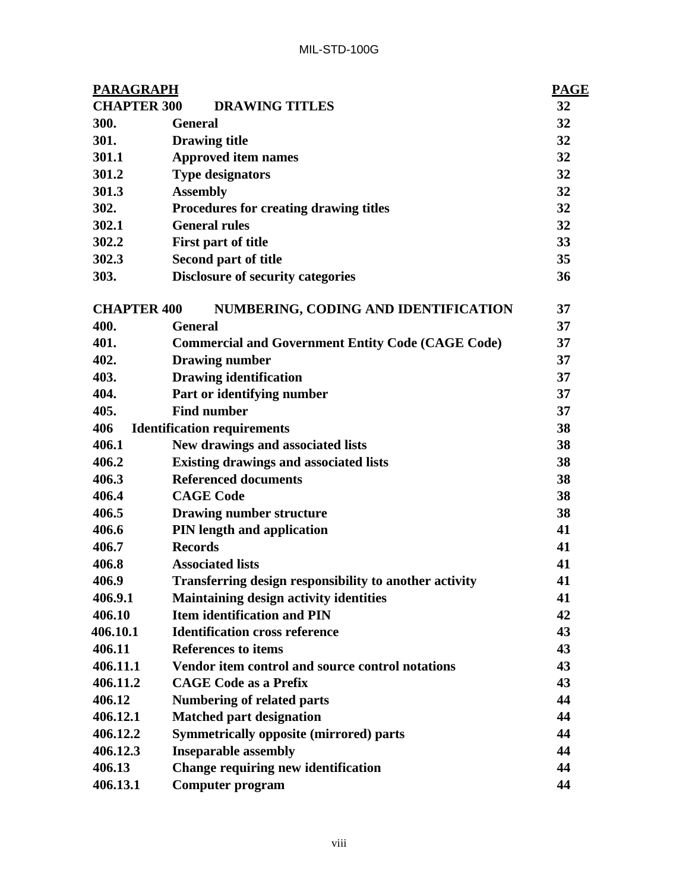| <b>PARAGRAPH</b>   |                                                          | <b>PAGE</b> |
|--------------------|----------------------------------------------------------|-------------|
| <b>CHAPTER 300</b> | <b>DRAWING TITLES</b>                                    | 32          |
| 300.               | <b>General</b>                                           | 32          |
| 301.               | <b>Drawing title</b>                                     | 32          |
| 301.1              | <b>Approved item names</b>                               | 32          |
| 301.2              | <b>Type designators</b>                                  | 32          |
| 301.3              | <b>Assembly</b>                                          | 32          |
| 302.               | Procedures for creating drawing titles                   | 32          |
| 302.1              | <b>General rules</b>                                     | 32          |
| 302.2              | First part of title                                      | 33          |
| 302.3              | Second part of title                                     | 35          |
| 303.               | <b>Disclosure of security categories</b>                 | 36          |
| <b>CHAPTER 400</b> | NUMBERING, CODING AND IDENTIFICATION                     | 37          |
| 400.               | <b>General</b>                                           | 37          |
| 401.               | <b>Commercial and Government Entity Code (CAGE Code)</b> | 37          |
| 402.               | <b>Drawing number</b>                                    | 37          |
| 403.               | <b>Drawing identification</b>                            | 37          |
| 404.               | Part or identifying number                               | 37          |
| 405.               | <b>Find number</b>                                       | 37          |
| 406                | <b>Identification requirements</b>                       | 38          |
| 406.1              | New drawings and associated lists                        | 38          |
| 406.2              | <b>Existing drawings and associated lists</b>            | 38          |
| 406.3              | <b>Referenced documents</b>                              | 38          |
| 406.4              | <b>CAGE Code</b>                                         | 38          |
| 406.5              | <b>Drawing number structure</b>                          | 38          |
| 406.6              | PIN length and application                               | 41          |
| 406.7              | <b>Records</b>                                           | 41          |
| 406.8              | <b>Associated lists</b>                                  | 41          |
| 406.9              | Transferring design responsibility to another activity   | 41          |
| 406.9.1            | <b>Maintaining design activity identities</b>            | 41          |
| 406.10             | <b>Item identification and PIN</b>                       | 42          |
| 406.10.1           | <b>Identification cross reference</b>                    | 43          |
| 406.11             | <b>References to items</b>                               | 43          |
| 406.11.1           | Vendor item control and source control notations         | 43          |
| 406.11.2           | <b>CAGE Code as a Prefix</b>                             | 43          |
| 406.12             | <b>Numbering of related parts</b>                        | 44          |
| 406.12.1           | <b>Matched part designation</b>                          | 44          |
| 406.12.2           | <b>Symmetrically opposite (mirrored) parts</b>           | 44          |
| 406.12.3           | <b>Inseparable assembly</b>                              | 44          |
| 406.13             | Change requiring new identification                      | 44          |
| 406.13.1           | <b>Computer program</b>                                  | 44          |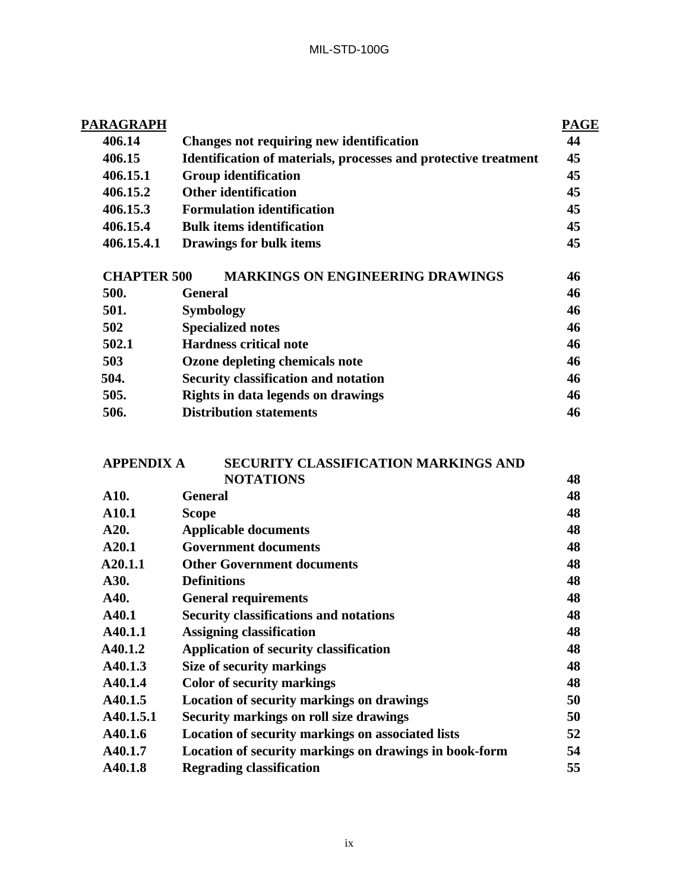| PARAGRAPH          |                                                                 | <b>PAGE</b> |
|--------------------|-----------------------------------------------------------------|-------------|
| 406.14             | Changes not requiring new identification                        | 44          |
| 406.15             | Identification of materials, processes and protective treatment | 45          |
| 406.15.1           | <b>Group identification</b>                                     | 45          |
| 406.15.2           | <b>Other identification</b>                                     | 45          |
| 406.15.3           | <b>Formulation identification</b>                               | 45          |
| 406.15.4           | <b>Bulk items identification</b>                                | 45          |
| 406.15.4.1         | Drawings for bulk items                                         | 45          |
| <b>CHAPTER 500</b> | <b>MARKINGS ON ENGINEERING DRAWINGS</b>                         | 46          |
| 500.               | <b>General</b>                                                  | 46          |
| 501.               | <b>Symbology</b>                                                | 46          |
| 502                | <b>Specialized notes</b>                                        | 46          |
| 502.1              | <b>Hardness critical note</b>                                   | 46          |
| 503                | Ozone depleting chemicals note                                  | 46          |
| 504.               | <b>Security classification and notation</b>                     | 46          |
| 505.               | Rights in data legends on drawings                              | 46          |
| 506.               | <b>Distribution statements</b>                                  | 46          |
|                    |                                                                 |             |

| <b>SECURITY CLASSIFICATION MARKINGS AND</b>            |                   |
|--------------------------------------------------------|-------------------|
| <b>NOTATIONS</b>                                       | 48                |
| <b>General</b>                                         | 48                |
| <b>Scope</b>                                           | 48                |
| <b>Applicable documents</b>                            | 48                |
| <b>Government documents</b>                            | 48                |
| <b>Other Government documents</b>                      | 48                |
| <b>Definitions</b>                                     | 48                |
| <b>General requirements</b>                            | 48                |
| <b>Security classifications and notations</b>          | 48                |
| <b>Assigning classification</b>                        | 48                |
| <b>Application of security classification</b>          | 48                |
| Size of security markings                              | 48                |
| <b>Color of security markings</b>                      | 48                |
| <b>Location of security markings on drawings</b>       | 50                |
| <b>Security markings on roll size drawings</b>         | 50                |
| Location of security markings on associated lists      | 52                |
| Location of security markings on drawings in book-form | 54                |
| <b>Regrading classification</b>                        | 55                |
|                                                        | <b>APPENDIX A</b> |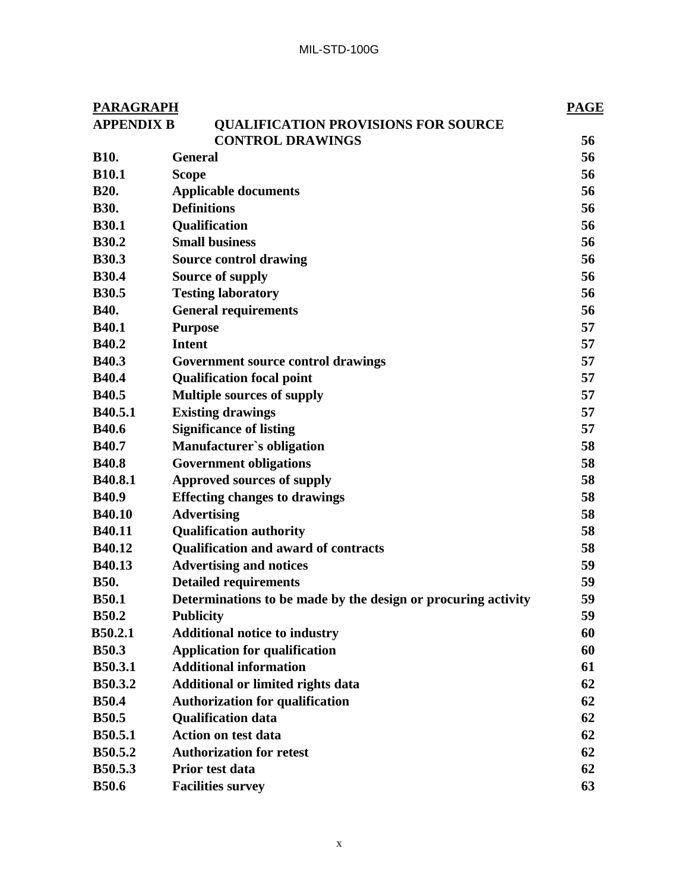| <b>PARAGRAPH</b>  |                                                               | <b>PAGE</b> |
|-------------------|---------------------------------------------------------------|-------------|
| <b>APPENDIX B</b> | <b>QUALIFICATION PROVISIONS FOR SOURCE</b>                    |             |
|                   | <b>CONTROL DRAWINGS</b>                                       | 56          |
| <b>B10.</b>       | <b>General</b>                                                | 56          |
| <b>B10.1</b>      | <b>Scope</b>                                                  | 56          |
| <b>B20.</b>       | <b>Applicable documents</b>                                   | 56          |
| <b>B30.</b>       | <b>Definitions</b>                                            | 56          |
| <b>B30.1</b>      | Qualification                                                 | 56          |
| <b>B30.2</b>      | <b>Small business</b>                                         | 56          |
| <b>B30.3</b>      | <b>Source control drawing</b>                                 | 56          |
| <b>B30.4</b>      | Source of supply                                              | 56          |
| <b>B30.5</b>      | <b>Testing laboratory</b>                                     | 56          |
| <b>B40.</b>       | <b>General requirements</b>                                   | 56          |
| <b>B40.1</b>      | <b>Purpose</b>                                                | 57          |
| <b>B40.2</b>      | <b>Intent</b>                                                 | 57          |
| <b>B40.3</b>      | Government source control drawings                            | 57          |
| <b>B40.4</b>      | <b>Qualification focal point</b>                              | 57          |
| <b>B40.5</b>      | <b>Multiple sources of supply</b>                             | 57          |
| <b>B40.5.1</b>    | <b>Existing drawings</b>                                      | 57          |
| <b>B40.6</b>      | <b>Significance of listing</b>                                | 57          |
| <b>B40.7</b>      | Manufacturer's obligation                                     | 58          |
| <b>B40.8</b>      | <b>Government obligations</b>                                 | 58          |
| <b>B40.8.1</b>    | <b>Approved sources of supply</b>                             | 58          |
| <b>B40.9</b>      | <b>Effecting changes to drawings</b>                          | 58          |
| <b>B40.10</b>     | <b>Advertising</b>                                            | 58          |
| <b>B40.11</b>     | <b>Qualification authority</b>                                | 58          |
| B40.12            | <b>Qualification and award of contracts</b>                   | 58          |
| <b>B40.13</b>     | <b>Advertising and notices</b>                                | 59          |
| <b>B50.</b>       | <b>Detailed requirements</b>                                  | 59          |
| <b>B50.1</b>      | Determinations to be made by the design or procuring activity | 59          |
| <b>B50.2</b>      | <b>Publicity</b>                                              | 59          |
| <b>B50.2.1</b>    | <b>Additional notice to industry</b>                          | 60          |
| <b>B50.3</b>      | <b>Application for qualification</b>                          | 60          |
| <b>B50.3.1</b>    | <b>Additional information</b>                                 | 61          |
| <b>B50.3.2</b>    | <b>Additional or limited rights data</b>                      | 62          |
| <b>B50.4</b>      | <b>Authorization for qualification</b>                        | 62          |
| <b>B50.5</b>      | <b>Qualification data</b>                                     | 62          |
| <b>B50.5.1</b>    | <b>Action on test data</b>                                    | 62          |
| <b>B50.5.2</b>    | <b>Authorization for retest</b>                               | 62          |
| <b>B50.5.3</b>    | Prior test data                                               | 62          |
| <b>B50.6</b>      | <b>Facilities survey</b>                                      | 63          |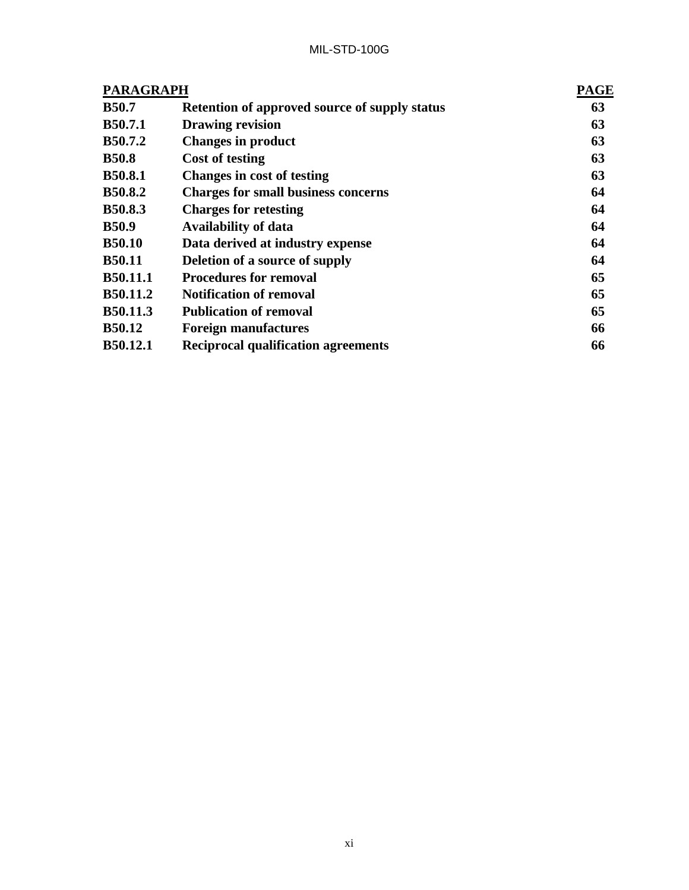| <b>PARAGRAPH</b> | <b>PAGE</b>                                          |    |
|------------------|------------------------------------------------------|----|
| <b>B50.7</b>     | <b>Retention of approved source of supply status</b> | 63 |
| <b>B50.7.1</b>   | <b>Drawing revision</b>                              | 63 |
| <b>B50.7.2</b>   | <b>Changes in product</b>                            | 63 |
| <b>B50.8</b>     | Cost of testing                                      | 63 |
| <b>B50.8.1</b>   | <b>Changes in cost of testing</b>                    | 63 |
| <b>B50.8.2</b>   | <b>Charges for small business concerns</b>           | 64 |
| <b>B50.8.3</b>   | <b>Charges for retesting</b>                         | 64 |
| <b>B50.9</b>     | <b>Availability of data</b>                          | 64 |
| <b>B50.10</b>    | Data derived at industry expense                     | 64 |
| <b>B50.11</b>    | Deletion of a source of supply                       | 64 |
| B50.11.1         | <b>Procedures for removal</b>                        | 65 |
| <b>B50.11.2</b>  | <b>Notification of removal</b>                       | 65 |
| B50.11.3         | <b>Publication of removal</b>                        | 65 |
| <b>B50.12</b>    | <b>Foreign manufactures</b>                          | 66 |
| <b>B50.12.1</b>  | <b>Reciprocal qualification agreements</b>           | 66 |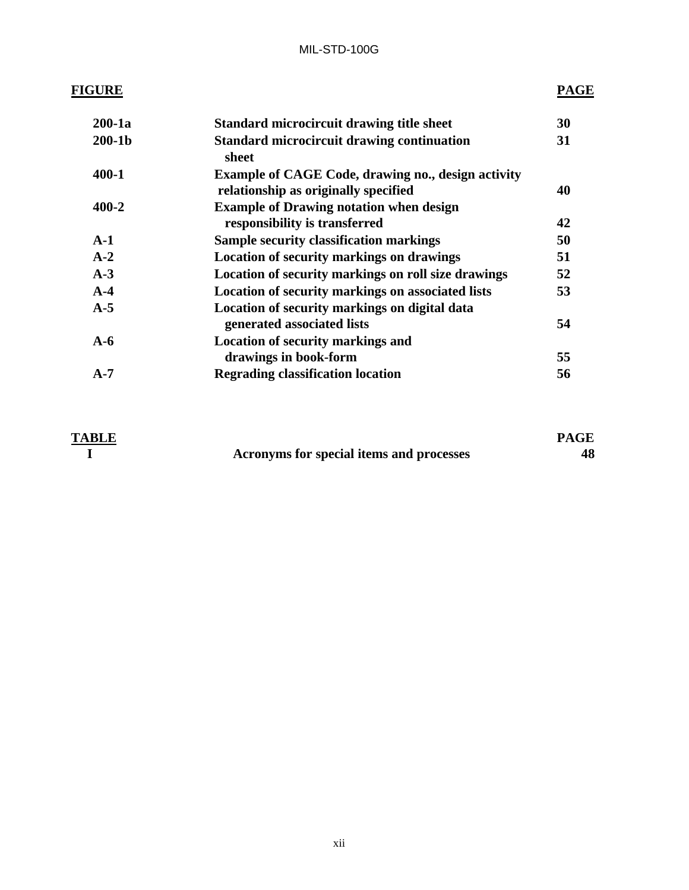# **FIGURE PAGE**

| $200-1a$  | <b>Standard microcircuit drawing title sheet</b>                                                  | 30 |
|-----------|---------------------------------------------------------------------------------------------------|----|
| $200-1b$  | <b>Standard microcircuit drawing continuation</b><br>sheet                                        | 31 |
| $400 - 1$ | <b>Example of CAGE Code, drawing no., design activity</b><br>relationship as originally specified | 40 |
| $400 - 2$ | <b>Example of Drawing notation when design</b>                                                    |    |
|           | responsibility is transferred                                                                     | 42 |
| $A-1$     | <b>Sample security classification markings</b>                                                    | 50 |
| $A-2$     | <b>Location of security markings on drawings</b>                                                  | 51 |
| $A-3$     | Location of security markings on roll size drawings                                               | 52 |
| $A-4$     | Location of security markings on associated lists                                                 | 53 |
| $A-5$     | Location of security markings on digital data<br>generated associated lists                       | 54 |
| $A-6$     | <b>Location of security markings and</b>                                                          |    |
|           | drawings in book-form                                                                             | 55 |
| $A-7$     | <b>Regrading classification location</b>                                                          | 56 |

| <b>TABLE</b> |                                          | <b>PAGE</b> |
|--------------|------------------------------------------|-------------|
|              | Acronyms for special items and processes | 48          |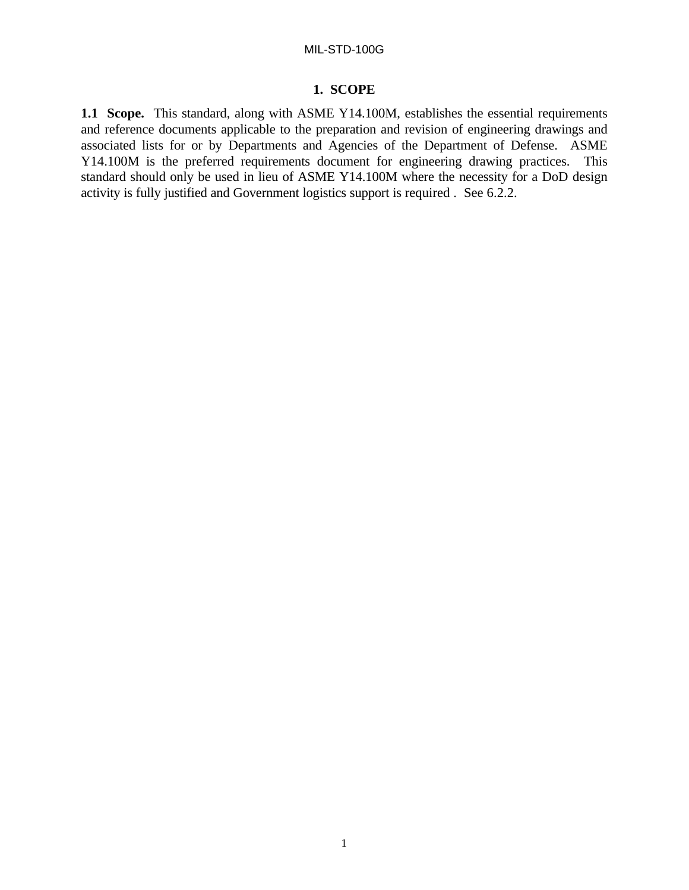# **1. SCOPE**

**1.1 Scope.** This standard, along with ASME Y14.100M, establishes the essential requirements and reference documents applicable to the preparation and revision of engineering drawings and associated lists for or by Departments and Agencies of the Department of Defense. ASME Y14.100M is the preferred requirements document for engineering drawing practices. This standard should only be used in lieu of ASME Y14.100M where the necessity for a DoD design activity is fully justified and Government logistics support is required . See 6.2.2.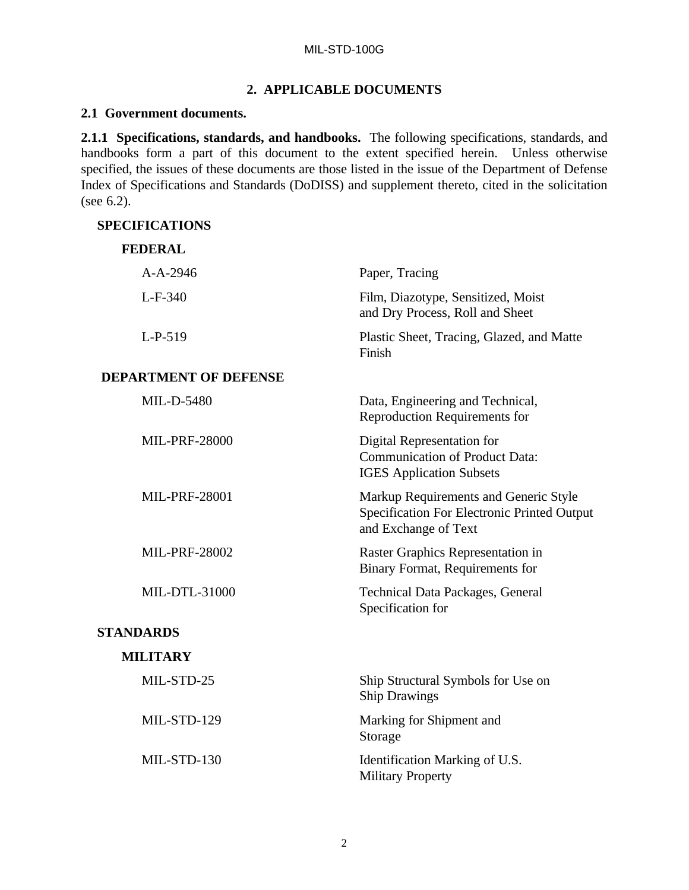# **2. APPLICABLE DOCUMENTS**

#### **2.1 Government documents.**

**2.1.1 Specifications, standards, and handbooks.** The following specifications, standards, and handbooks form a part of this document to the extent specified herein. Unless otherwise specified, the issues of these documents are those listed in the issue of the Department of Defense Index of Specifications and Standards (DoDISS) and supplement thereto, cited in the solicitation (see 6.2).

#### **SPECIFICATIONS**

| <b>FEDERAL</b>               |                                                                                                              |
|------------------------------|--------------------------------------------------------------------------------------------------------------|
| $A-A-2946$                   | Paper, Tracing                                                                                               |
| $L-F-340$                    | Film, Diazotype, Sensitized, Moist<br>and Dry Process, Roll and Sheet                                        |
| $L-P-519$                    | Plastic Sheet, Tracing, Glazed, and Matte<br>Finish                                                          |
| <b>DEPARTMENT OF DEFENSE</b> |                                                                                                              |
| MIL-D-5480                   | Data, Engineering and Technical,<br><b>Reproduction Requirements for</b>                                     |
| <b>MIL-PRF-28000</b>         | Digital Representation for<br><b>Communication of Product Data:</b><br><b>IGES Application Subsets</b>       |
| <b>MIL-PRF-28001</b>         | Markup Requirements and Generic Style<br>Specification For Electronic Printed Output<br>and Exchange of Text |
| <b>MIL-PRF-28002</b>         | Raster Graphics Representation in<br>Binary Format, Requirements for                                         |
| MIL-DTL-31000                | Technical Data Packages, General<br>Specification for                                                        |
| <b>STANDARDS</b>             |                                                                                                              |
| <b>MILITARY</b>              |                                                                                                              |
| MIL-STD-25                   | Ship Structural Symbols for Use on<br><b>Ship Drawings</b>                                                   |
| MIL-STD-129                  | Marking for Shipment and<br>Storage                                                                          |
| MIL-STD-130                  | Identification Marking of U.S.<br><b>Military Property</b>                                                   |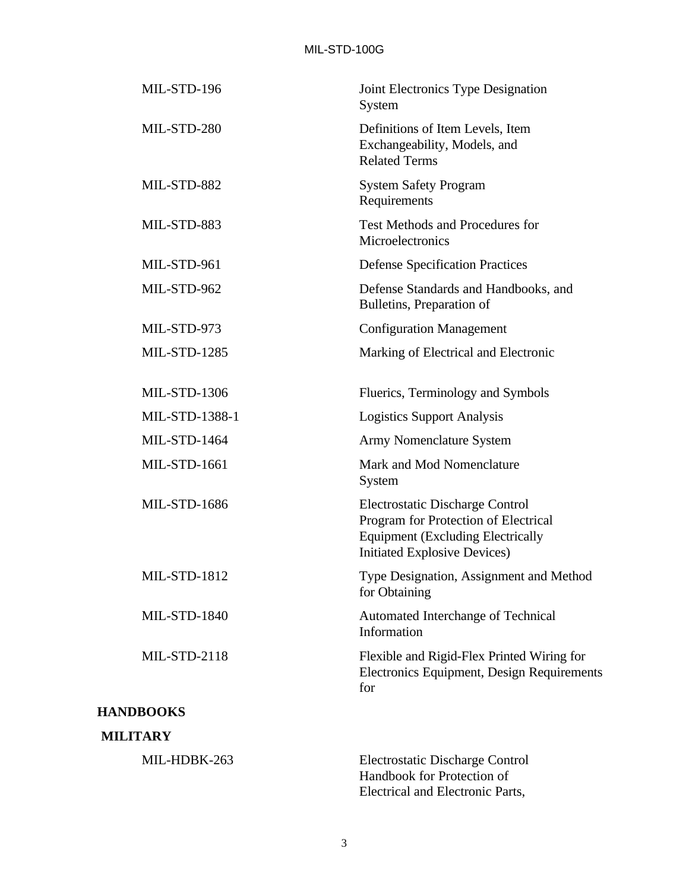| Joint Electronics Type Designation<br>System                                                                                                                      |
|-------------------------------------------------------------------------------------------------------------------------------------------------------------------|
| Definitions of Item Levels, Item<br>Exchangeability, Models, and<br><b>Related Terms</b>                                                                          |
| <b>System Safety Program</b><br>Requirements                                                                                                                      |
| Test Methods and Procedures for<br>Microelectronics                                                                                                               |
| <b>Defense Specification Practices</b>                                                                                                                            |
| Defense Standards and Handbooks, and<br>Bulletins, Preparation of                                                                                                 |
| <b>Configuration Management</b>                                                                                                                                   |
| Marking of Electrical and Electronic                                                                                                                              |
| Fluerics, Terminology and Symbols                                                                                                                                 |
| <b>Logistics Support Analysis</b>                                                                                                                                 |
| Army Nomenclature System                                                                                                                                          |
| Mark and Mod Nomenclature<br>System                                                                                                                               |
| <b>Electrostatic Discharge Control</b><br>Program for Protection of Electrical<br><b>Equipment (Excluding Electrically</b><br><b>Initiated Explosive Devices)</b> |
| Type Designation, Assignment and Method<br>for Obtaining                                                                                                          |
| Automated Interchange of Technical<br>Information                                                                                                                 |
| Flexible and Rigid-Flex Printed Wiring for<br>Electronics Equipment, Design Requirements<br>for                                                                   |
|                                                                                                                                                                   |
|                                                                                                                                                                   |
|                                                                                                                                                                   |

MIL-HDBK-263 Electrostatic Discharge Control Handbook for Protection of Electrical and Electronic Parts,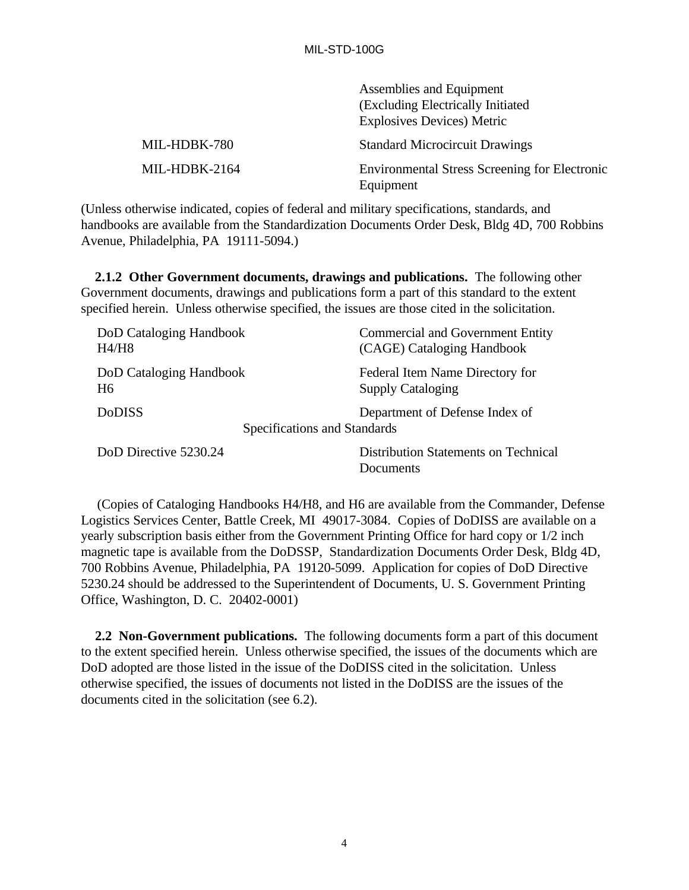|               | Assemblies and Equipment                                          |
|---------------|-------------------------------------------------------------------|
|               | (Excluding Electrically Initiated)                                |
|               | <b>Explosives Devices) Metric</b>                                 |
| MIL-HDBK-780  | <b>Standard Microcircuit Drawings</b>                             |
| MIL-HDBK-2164 | <b>Environmental Stress Screening for Electronic</b><br>Equipment |

(Unless otherwise indicated, copies of federal and military specifications, standards, and handbooks are available from the Standardization Documents Order Desk, Bldg 4D, 700 Robbins Avenue, Philadelphia, PA 19111-5094.)

 **2.1.2 Other Government documents, drawings and publications.** The following other Government documents, drawings and publications form a part of this standard to the extent specified herein. Unless otherwise specified, the issues are those cited in the solicitation.

| DoD Cataloging Handbook                       | <b>Commercial and Government Entity</b>                  |
|-----------------------------------------------|----------------------------------------------------------|
| H4/H8                                         | (CAGE) Cataloging Handbook                               |
| DoD Cataloging Handbook                       | Federal Item Name Directory for                          |
| H6                                            | <b>Supply Cataloging</b>                                 |
| <b>DoDISS</b><br>Specifications and Standards | Department of Defense Index of                           |
| DoD Directive 5230.24                         | <b>Distribution Statements on Technical</b><br>Documents |

(Copies of Cataloging Handbooks H4/H8, and H6 are available from the Commander, Defense Logistics Services Center, Battle Creek, MI 49017-3084. Copies of DoDISS are available on a yearly subscription basis either from the Government Printing Office for hard copy or 1/2 inch magnetic tape is available from the DoDSSP, Standardization Documents Order Desk, Bldg 4D, 700 Robbins Avenue, Philadelphia, PA 19120-5099. Application for copies of DoD Directive 5230.24 should be addressed to the Superintendent of Documents, U. S. Government Printing Office, Washington, D. C. 20402-0001)

 **2.2 Non-Government publications.** The following documents form a part of this document to the extent specified herein. Unless otherwise specified, the issues of the documents which are DoD adopted are those listed in the issue of the DoDISS cited in the solicitation. Unless otherwise specified, the issues of documents not listed in the DoDISS are the issues of the documents cited in the solicitation (see 6.2).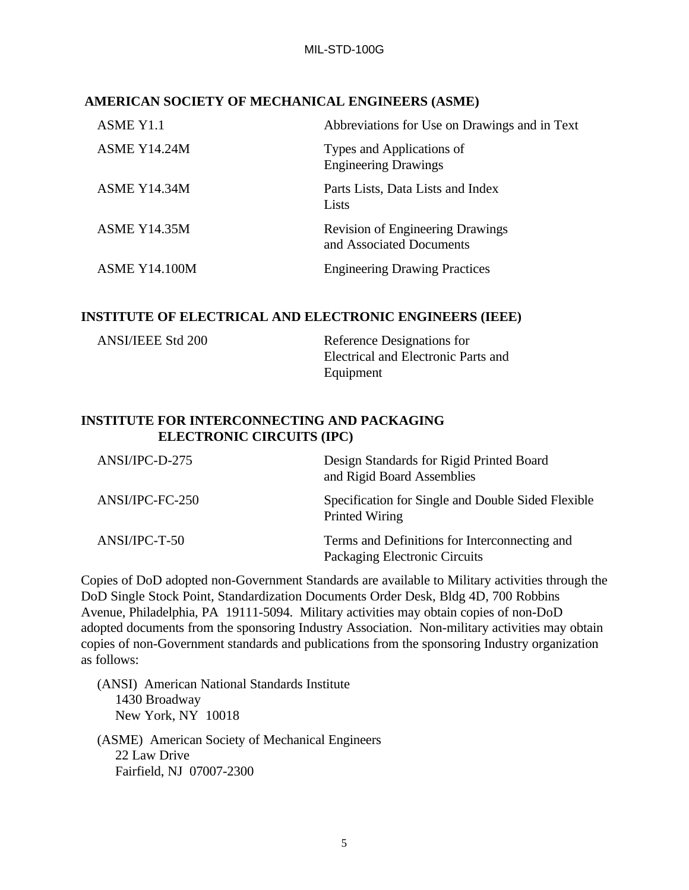#### **AMERICAN SOCIETY OF MECHANICAL ENGINEERS (ASME)**

| ASME Y1.1            | Abbreviations for Use on Drawings and in Text                       |
|----------------------|---------------------------------------------------------------------|
| <b>ASME Y14.24M</b>  | Types and Applications of<br><b>Engineering Drawings</b>            |
| ASME Y14.34M         | Parts Lists, Data Lists and Index<br>Lists                          |
| <b>ASME Y14.35M</b>  | <b>Revision of Engineering Drawings</b><br>and Associated Documents |
| <b>ASME Y14.100M</b> | <b>Engineering Drawing Practices</b>                                |

#### **INSTITUTE OF ELECTRICAL AND ELECTRONIC ENGINEERS (IEEE)**

| <b>ANSI/IEEE Std 200</b> | Reference Designations for          |
|--------------------------|-------------------------------------|
|                          | Electrical and Electronic Parts and |
|                          | Equipment                           |

# **INSTITUTE FOR INTERCONNECTING AND PACKAGING ELECTRONIC CIRCUITS (IPC)**

| ANSI/IPC-D-275  | Design Standards for Rigid Printed Board<br>and Rigid Board Assemblies         |
|-----------------|--------------------------------------------------------------------------------|
| ANSI/IPC-FC-250 | Specification for Single and Double Sided Flexible<br>Printed Wiring           |
| $ANSI/IPC-T-50$ | Terms and Definitions for Interconnecting and<br>Packaging Electronic Circuits |

Copies of DoD adopted non-Government Standards are available to Military activities through the DoD Single Stock Point, Standardization Documents Order Desk, Bldg 4D, 700 Robbins Avenue, Philadelphia, PA 19111-5094. Military activities may obtain copies of non-DoD adopted documents from the sponsoring Industry Association. Non-military activities may obtain copies of non-Government standards and publications from the sponsoring Industry organization as follows:

- (ANSI) American National Standards Institute 1430 Broadway New York, NY 10018
- (ASME) American Society of Mechanical Engineers 22 Law Drive Fairfield, NJ 07007-2300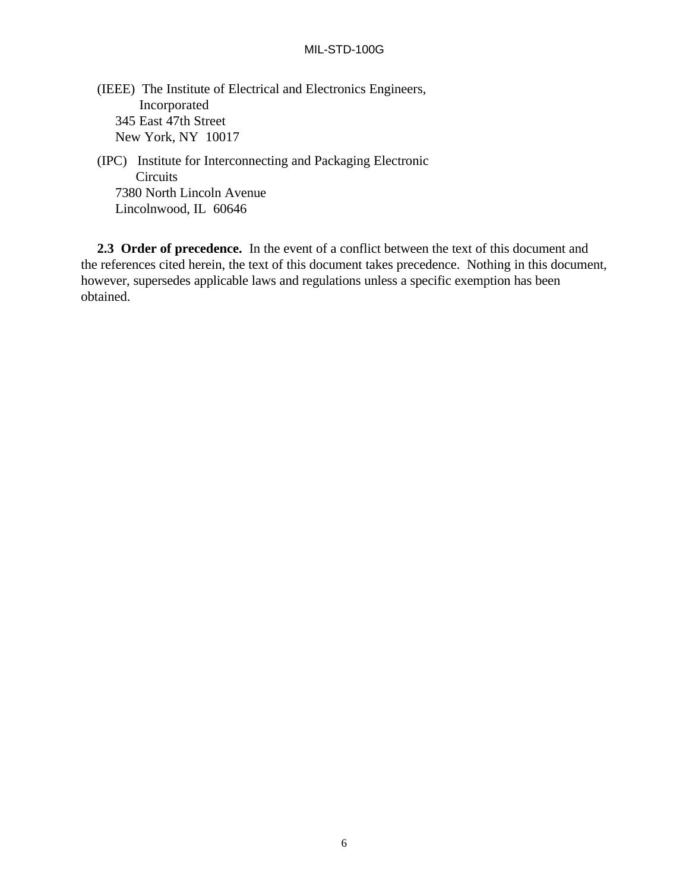(IEEE) The Institute of Electrical and Electronics Engineers, Incorporated 345 East 47th Street New York, NY 10017

(IPC) Institute for Interconnecting and Packaging Electronic **Circuits**  7380 North Lincoln Avenue Lincolnwood, IL 60646

**2.3 Order of precedence.** In the event of a conflict between the text of this document and the references cited herein, the text of this document takes precedence. Nothing in this document, however, supersedes applicable laws and regulations unless a specific exemption has been obtained.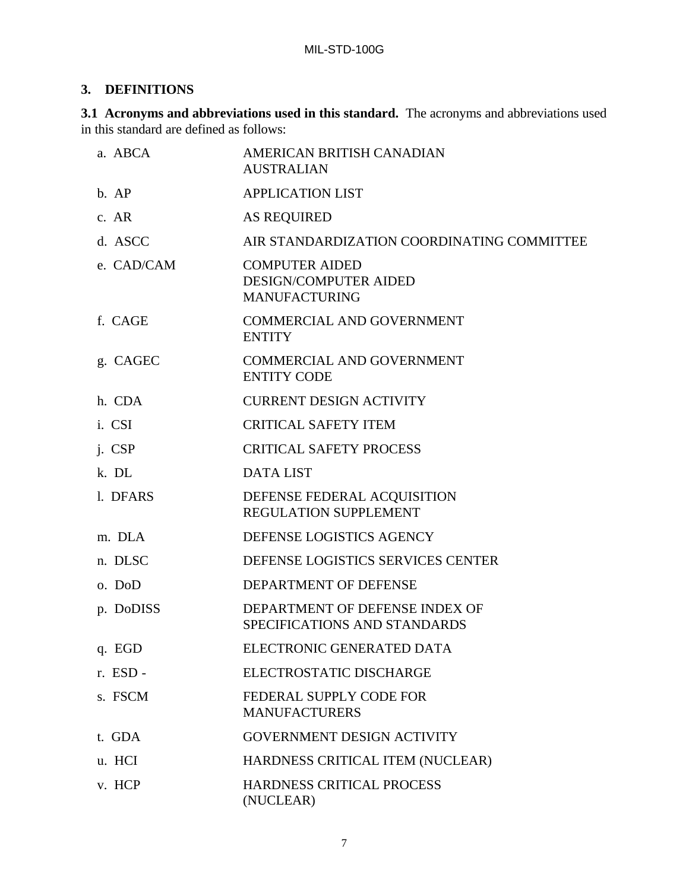# **3. DEFINITIONS**

**3.1 Acronyms and abbreviations used in this standard.** The acronyms and abbreviations used in this standard are defined as follows:

| a. ABCA    | AMERICAN BRITISH CANADIAN<br><b>AUSTRALIAN</b>                                |
|------------|-------------------------------------------------------------------------------|
| b. AP      | <b>APPLICATION LIST</b>                                                       |
| c. AR      | <b>AS REQUIRED</b>                                                            |
| d. ASCC    | AIR STANDARDIZATION COORDINATING COMMITTEE                                    |
| e. CAD/CAM | <b>COMPUTER AIDED</b><br><b>DESIGN/COMPUTER AIDED</b><br><b>MANUFACTURING</b> |
| f. CAGE    | <b>COMMERCIAL AND GOVERNMENT</b><br><b>ENTITY</b>                             |
| g. CAGEC   | <b>COMMERCIAL AND GOVERNMENT</b><br><b>ENTITY CODE</b>                        |
| h. CDA     | <b>CURRENT DESIGN ACTIVITY</b>                                                |
| i. CSI     | <b>CRITICAL SAFETY ITEM</b>                                                   |
| j. CSP     | <b>CRITICAL SAFETY PROCESS</b>                                                |
| k. DL      | <b>DATA LIST</b>                                                              |
| 1. DFARS   | DEFENSE FEDERAL ACQUISITION<br>REGULATION SUPPLEMENT                          |
| m. DLA     | DEFENSE LOGISTICS AGENCY                                                      |
| n. DLSC    | DEFENSE LOGISTICS SERVICES CENTER                                             |
| o. DoD     | DEPARTMENT OF DEFENSE                                                         |
| p. DoDISS  | DEPARTMENT OF DEFENSE INDEX OF<br>SPECIFICATIONS AND STANDARDS                |
| q. EGD     | ELECTRONIC GENERATED DATA                                                     |
| r. ESD -   | ELECTROSTATIC DISCHARGE                                                       |
| s. FSCM    | FEDERAL SUPPLY CODE FOR<br><b>MANUFACTURERS</b>                               |
| t. GDA     | <b>GOVERNMENT DESIGN ACTIVITY</b>                                             |
| u. HCI     | HARDNESS CRITICAL ITEM (NUCLEAR)                                              |
| v. HCP     | HARDNESS CRITICAL PROCESS<br>(NUCLEAR)                                        |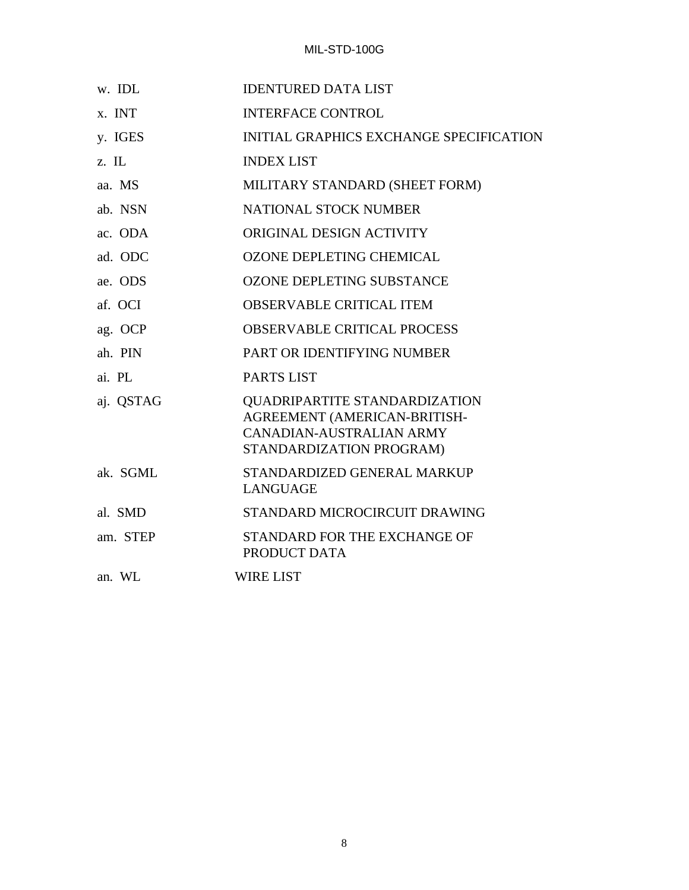| w. IDL    | <b>IDENTURED DATA LIST</b>                                                                                            |
|-----------|-----------------------------------------------------------------------------------------------------------------------|
| x. INT    | <b>INTERFACE CONTROL</b>                                                                                              |
| y. IGES   | <b>INITIAL GRAPHICS EXCHANGE SPECIFICATION</b>                                                                        |
| z. IL     | <b>INDEX LIST</b>                                                                                                     |
| aa. MS    | MILITARY STANDARD (SHEET FORM)                                                                                        |
| ab. NSN   | <b>NATIONAL STOCK NUMBER</b>                                                                                          |
| ac. ODA   | ORIGINAL DESIGN ACTIVITY                                                                                              |
| ad. ODC   | <b>OZONE DEPLETING CHEMICAL</b>                                                                                       |
| ae. ODS   | <b>OZONE DEPLETING SUBSTANCE</b>                                                                                      |
| af. OCI   | <b>OBSERVABLE CRITICAL ITEM</b>                                                                                       |
| ag. OCP   | <b>OBSERVABLE CRITICAL PROCESS</b>                                                                                    |
| ah. PIN   | PART OR IDENTIFYING NUMBER                                                                                            |
| ai. PL    | <b>PARTS LIST</b>                                                                                                     |
| aj. QSTAG | QUADRIPARTITE STANDARDIZATION<br>AGREEMENT (AMERICAN-BRITISH-<br>CANADIAN-AUSTRALIAN ARMY<br>STANDARDIZATION PROGRAM) |
| ak. SGML  | STANDARDIZED GENERAL MARKUP<br><b>LANGUAGE</b>                                                                        |
| al. SMD   | STANDARD MICROCIRCUIT DRAWING                                                                                         |
| am. STEP  | STANDARD FOR THE EXCHANGE OF<br>PRODUCT DATA                                                                          |
| an. WL    | <b>WIRE LIST</b>                                                                                                      |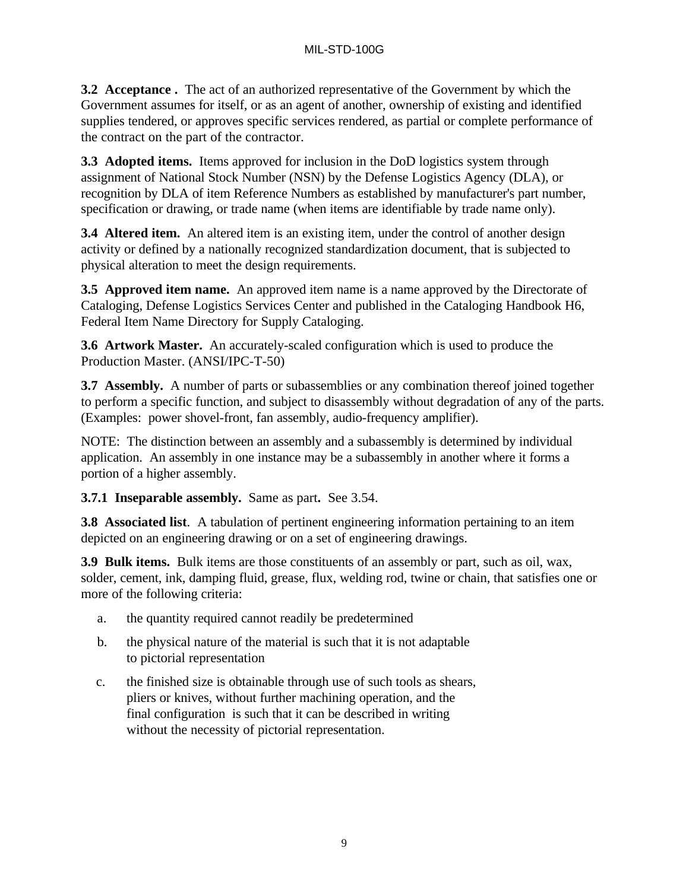**3.2 Acceptance .** The act of an authorized representative of the Government by which the Government assumes for itself, or as an agent of another, ownership of existing and identified supplies tendered, or approves specific services rendered, as partial or complete performance of the contract on the part of the contractor.

**3.3 Adopted items.** Items approved for inclusion in the DoD logistics system through assignment of National Stock Number (NSN) by the Defense Logistics Agency (DLA), or recognition by DLA of item Reference Numbers as established by manufacturer's part number, specification or drawing, or trade name (when items are identifiable by trade name only).

**3.4 Altered item.** An altered item is an existing item, under the control of another design activity or defined by a nationally recognized standardization document, that is subjected to physical alteration to meet the design requirements.

**3.5 Approved item name.** An approved item name is a name approved by the Directorate of Cataloging, Defense Logistics Services Center and published in the Cataloging Handbook H6, Federal Item Name Directory for Supply Cataloging.

**3.6 Artwork Master.** An accurately-scaled configuration which is used to produce the Production Master. (ANSI/IPC-T-50)

**3.7 Assembly.** A number of parts or subassemblies or any combination thereof joined together to perform a specific function, and subject to disassembly without degradation of any of the parts. (Examples: power shovel-front, fan assembly, audio-frequency amplifier).

NOTE: The distinction between an assembly and a subassembly is determined by individual application. An assembly in one instance may be a subassembly in another where it forms a portion of a higher assembly.

**3.7.1 Inseparable assembly.** Same as part**.** See 3.54.

**3.8 Associated list**. A tabulation of pertinent engineering information pertaining to an item depicted on an engineering drawing or on a set of engineering drawings.

**3.9 Bulk items.** Bulk items are those constituents of an assembly or part, such as oil, wax, solder, cement, ink, damping fluid, grease, flux, welding rod, twine or chain, that satisfies one or more of the following criteria:

- a. the quantity required cannot readily be predetermined
- b. the physical nature of the material is such that it is not adaptable to pictorial representation
- c. the finished size is obtainable through use of such tools as shears, pliers or knives, without further machining operation, and the final configuration is such that it can be described in writing without the necessity of pictorial representation.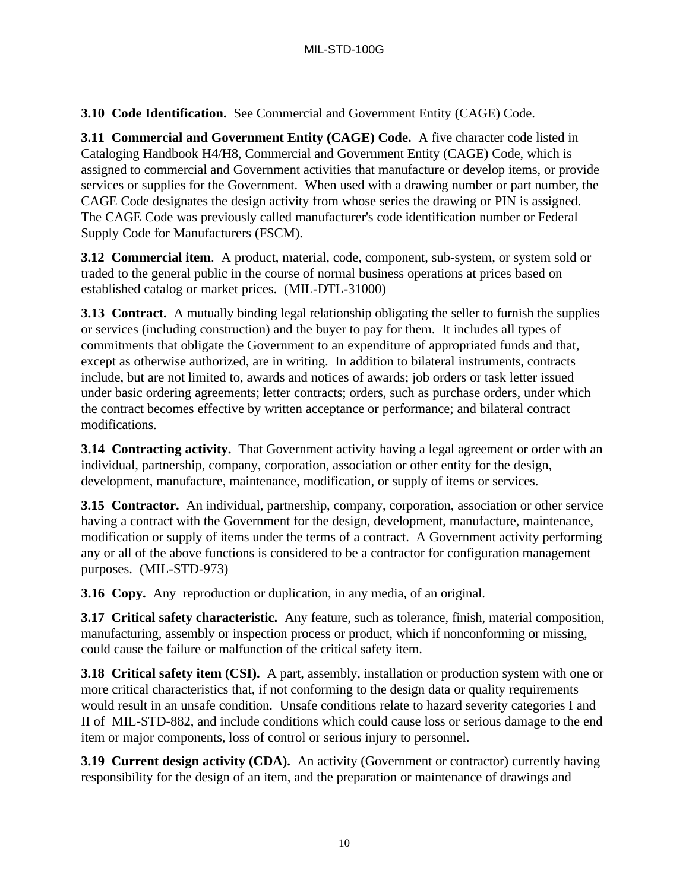**3.10 Code Identification.** See Commercial and Government Entity (CAGE) Code.

**3.11 Commercial and Government Entity (CAGE) Code.** A five character code listed in Cataloging Handbook H4/H8, Commercial and Government Entity (CAGE) Code, which is assigned to commercial and Government activities that manufacture or develop items, or provide services or supplies for the Government. When used with a drawing number or part number, the CAGE Code designates the design activity from whose series the drawing or PIN is assigned. The CAGE Code was previously called manufacturer's code identification number or Federal Supply Code for Manufacturers (FSCM).

**3.12 Commercial item**. A product, material, code, component, sub-system, or system sold or traded to the general public in the course of normal business operations at prices based on established catalog or market prices. (MIL-DTL-31000)

**3.13 Contract.** A mutually binding legal relationship obligating the seller to furnish the supplies or services (including construction) and the buyer to pay for them. It includes all types of commitments that obligate the Government to an expenditure of appropriated funds and that, except as otherwise authorized, are in writing. In addition to bilateral instruments, contracts include, but are not limited to, awards and notices of awards; job orders or task letter issued under basic ordering agreements; letter contracts; orders, such as purchase orders, under which the contract becomes effective by written acceptance or performance; and bilateral contract modifications.

**3.14 Contracting activity.** That Government activity having a legal agreement or order with an individual, partnership, company, corporation, association or other entity for the design, development, manufacture, maintenance, modification, or supply of items or services.

**3.15 Contractor.** An individual, partnership, company, corporation, association or other service having a contract with the Government for the design, development, manufacture, maintenance, modification or supply of items under the terms of a contract. A Government activity performing any or all of the above functions is considered to be a contractor for configuration management purposes. (MIL-STD-973)

**3.16 Copy.** Any reproduction or duplication, in any media, of an original.

**3.17 Critical safety characteristic.** Any feature, such as tolerance, finish, material composition, manufacturing, assembly or inspection process or product, which if nonconforming or missing, could cause the failure or malfunction of the critical safety item.

**3.18 Critical safety item (CSI).** A part, assembly, installation or production system with one or more critical characteristics that, if not conforming to the design data or quality requirements would result in an unsafe condition. Unsafe conditions relate to hazard severity categories I and II of MIL-STD-882, and include conditions which could cause loss or serious damage to the end item or major components, loss of control or serious injury to personnel.

**3.19 Current design activity (CDA).** An activity (Government or contractor) currently having responsibility for the design of an item, and the preparation or maintenance of drawings and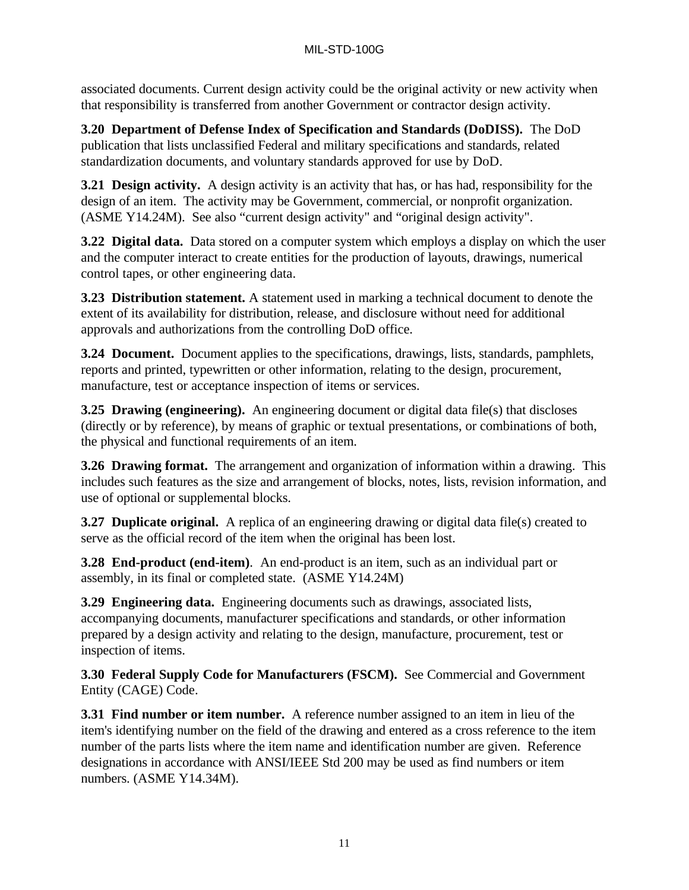associated documents. Current design activity could be the original activity or new activity when that responsibility is transferred from another Government or contractor design activity.

**3.20 Department of Defense Index of Specification and Standards (DoDISS).** The DoD publication that lists unclassified Federal and military specifications and standards, related standardization documents, and voluntary standards approved for use by DoD.

**3.21 Design activity.** A design activity is an activity that has, or has had, responsibility for the design of an item. The activity may be Government, commercial, or nonprofit organization. (ASME Y14.24M). See also "current design activity" and "original design activity".

**3.22 Digital data.** Data stored on a computer system which employs a display on which the user and the computer interact to create entities for the production of layouts, drawings, numerical control tapes, or other engineering data.

**3.23 Distribution statement.** A statement used in marking a technical document to denote the extent of its availability for distribution, release, and disclosure without need for additional approvals and authorizations from the controlling DoD office.

**3.24 Document.** Document applies to the specifications, drawings, lists, standards, pamphlets, reports and printed, typewritten or other information, relating to the design, procurement, manufacture, test or acceptance inspection of items or services.

**3.25 Drawing (engineering).** An engineering document or digital data file(s) that discloses (directly or by reference), by means of graphic or textual presentations, or combinations of both, the physical and functional requirements of an item.

**3.26 Drawing format.** The arrangement and organization of information within a drawing. This includes such features as the size and arrangement of blocks, notes, lists, revision information, and use of optional or supplemental blocks.

**3.27 Duplicate original.** A replica of an engineering drawing or digital data file(s) created to serve as the official record of the item when the original has been lost.

**3.28 End-product (end-item)**. An end-product is an item, such as an individual part or assembly, in its final or completed state. (ASME Y14.24M)

**3.29 Engineering data.** Engineering documents such as drawings, associated lists, accompanying documents, manufacturer specifications and standards, or other information prepared by a design activity and relating to the design, manufacture, procurement, test or inspection of items.

**3.30 Federal Supply Code for Manufacturers (FSCM).** See Commercial and Government Entity (CAGE) Code.

**3.31 Find number or item number.** A reference number assigned to an item in lieu of the item's identifying number on the field of the drawing and entered as a cross reference to the item number of the parts lists where the item name and identification number are given. Reference designations in accordance with ANSI/IEEE Std 200 may be used as find numbers or item numbers. (ASME Y14.34M).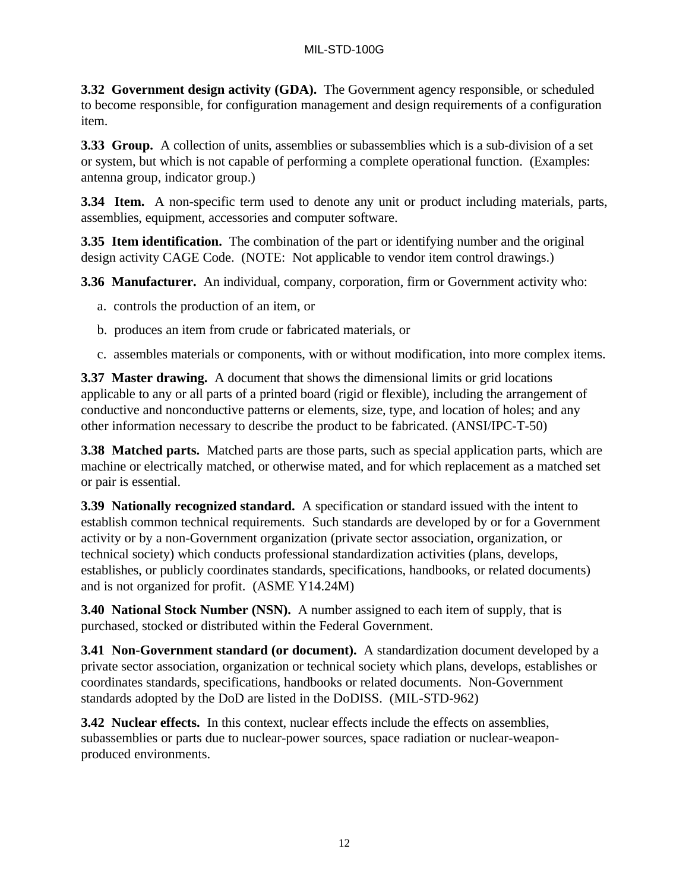**3.32 Government design activity (GDA).** The Government agency responsible, or scheduled to become responsible, for configuration management and design requirements of a configuration item.

**3.33 Group.** A collection of units, assemblies or subassemblies which is a sub-division of a set or system, but which is not capable of performing a complete operational function. (Examples: antenna group, indicator group.)

**3.34 Item.** A non-specific term used to denote any unit or product including materials, parts, assemblies, equipment, accessories and computer software.

**3.35 Item identification.** The combination of the part or identifying number and the original design activity CAGE Code. (NOTE: Not applicable to vendor item control drawings.)

**3.36 Manufacturer.** An individual, company, corporation, firm or Government activity who:

- a. controls the production of an item, or
- b. produces an item from crude or fabricated materials, or
- c. assembles materials or components, with or without modification, into more complex items.

**3.37 Master drawing.** A document that shows the dimensional limits or grid locations applicable to any or all parts of a printed board (rigid or flexible), including the arrangement of conductive and nonconductive patterns or elements, size, type, and location of holes; and any other information necessary to describe the product to be fabricated. (ANSI/IPC-T-50)

**3.38 Matched parts.** Matched parts are those parts, such as special application parts, which are machine or electrically matched, or otherwise mated, and for which replacement as a matched set or pair is essential.

**3.39 Nationally recognized standard.** A specification or standard issued with the intent to establish common technical requirements. Such standards are developed by or for a Government activity or by a non-Government organization (private sector association, organization, or technical society) which conducts professional standardization activities (plans, develops, establishes, or publicly coordinates standards, specifications, handbooks, or related documents) and is not organized for profit. (ASME Y14.24M)

**3.40 National Stock Number (NSN).** A number assigned to each item of supply, that is purchased, stocked or distributed within the Federal Government.

**3.41 Non-Government standard (or document).** A standardization document developed by a private sector association, organization or technical society which plans, develops, establishes or coordinates standards, specifications, handbooks or related documents. Non-Government standards adopted by the DoD are listed in the DoDISS. (MIL-STD-962)

**3.42 Nuclear effects.** In this context, nuclear effects include the effects on assemblies, subassemblies or parts due to nuclear-power sources, space radiation or nuclear-weaponproduced environments.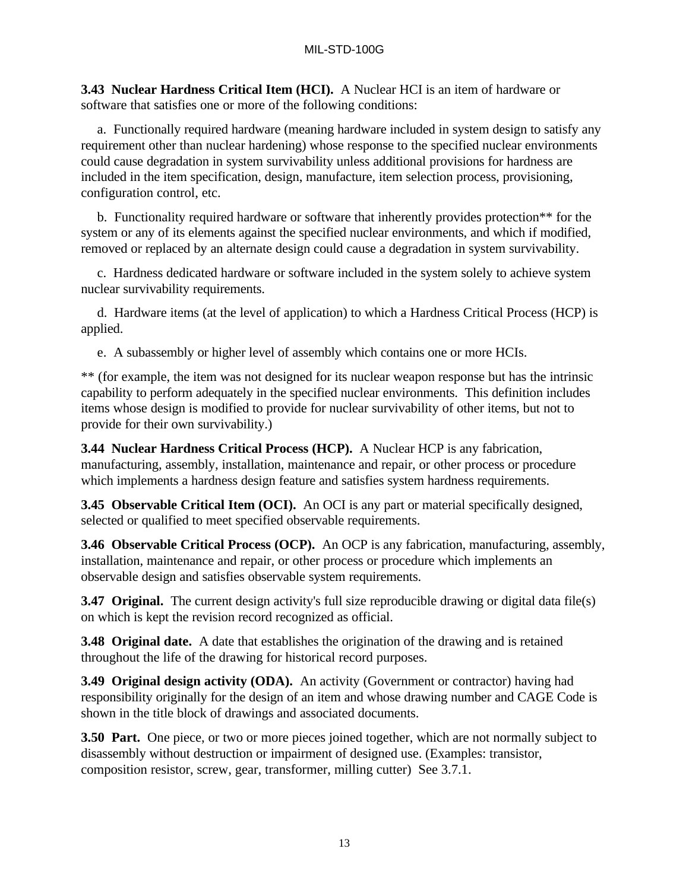**3.43 Nuclear Hardness Critical Item (HCI).** A Nuclear HCI is an item of hardware or software that satisfies one or more of the following conditions:

a. Functionally required hardware (meaning hardware included in system design to satisfy any requirement other than nuclear hardening) whose response to the specified nuclear environments could cause degradation in system survivability unless additional provisions for hardness are included in the item specification, design, manufacture, item selection process, provisioning, configuration control, etc.

b. Functionality required hardware or software that inherently provides protection\*\* for the system or any of its elements against the specified nuclear environments, and which if modified, removed or replaced by an alternate design could cause a degradation in system survivability.

c. Hardness dedicated hardware or software included in the system solely to achieve system nuclear survivability requirements.

d. Hardware items (at the level of application) to which a Hardness Critical Process (HCP) is applied.

e. A subassembly or higher level of assembly which contains one or more HCIs.

\*\* (for example, the item was not designed for its nuclear weapon response but has the intrinsic capability to perform adequately in the specified nuclear environments. This definition includes items whose design is modified to provide for nuclear survivability of other items, but not to provide for their own survivability.)

**3.44 Nuclear Hardness Critical Process (HCP).** A Nuclear HCP is any fabrication, manufacturing, assembly, installation, maintenance and repair, or other process or procedure which implements a hardness design feature and satisfies system hardness requirements.

**3.45 Observable Critical Item (OCI).** An OCI is any part or material specifically designed, selected or qualified to meet specified observable requirements.

**3.46 Observable Critical Process (OCP).** An OCP is any fabrication, manufacturing, assembly, installation, maintenance and repair, or other process or procedure which implements an observable design and satisfies observable system requirements.

**3.47 Original.** The current design activity's full size reproducible drawing or digital data file(s) on which is kept the revision record recognized as official.

**3.48 Original date.** A date that establishes the origination of the drawing and is retained throughout the life of the drawing for historical record purposes.

**3.49 Original design activity (ODA).** An activity (Government or contractor) having had responsibility originally for the design of an item and whose drawing number and CAGE Code is shown in the title block of drawings and associated documents.

**3.50 Part.** One piece, or two or more pieces joined together, which are not normally subject to disassembly without destruction or impairment of designed use. (Examples: transistor, composition resistor, screw, gear, transformer, milling cutter) See 3.7.1.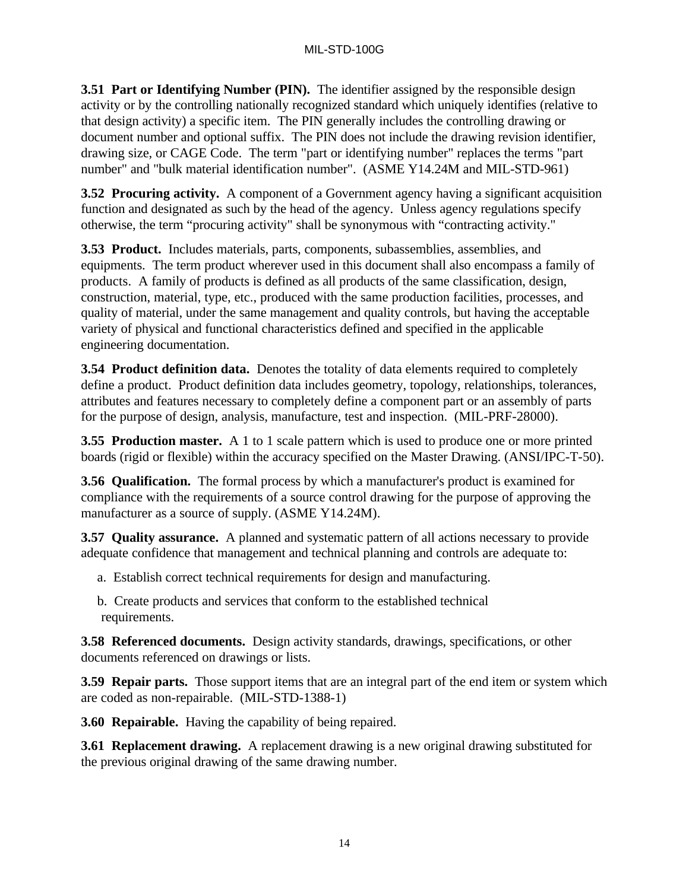**3.51 Part or Identifying Number (PIN).** The identifier assigned by the responsible design activity or by the controlling nationally recognized standard which uniquely identifies (relative to that design activity) a specific item. The PIN generally includes the controlling drawing or document number and optional suffix. The PIN does not include the drawing revision identifier, drawing size, or CAGE Code. The term "part or identifying number" replaces the terms "part number" and "bulk material identification number". (ASME Y14.24M and MIL-STD-961)

**3.52 Procuring activity.** A component of a Government agency having a significant acquisition function and designated as such by the head of the agency. Unless agency regulations specify otherwise, the term "procuring activity" shall be synonymous with "contracting activity."

**3.53 Product.** Includes materials, parts, components, subassemblies, assemblies, and equipments. The term product wherever used in this document shall also encompass a family of products. A family of products is defined as all products of the same classification, design, construction, material, type, etc., produced with the same production facilities, processes, and quality of material, under the same management and quality controls, but having the acceptable variety of physical and functional characteristics defined and specified in the applicable engineering documentation.

**3.54 Product definition data.** Denotes the totality of data elements required to completely define a product. Product definition data includes geometry, topology, relationships, tolerances, attributes and features necessary to completely define a component part or an assembly of parts for the purpose of design, analysis, manufacture, test and inspection. (MIL-PRF-28000).

**3.55 Production master.** A 1 to 1 scale pattern which is used to produce one or more printed boards (rigid or flexible) within the accuracy specified on the Master Drawing. (ANSI/IPC-T-50).

**3.56 Qualification.** The formal process by which a manufacturer's product is examined for compliance with the requirements of a source control drawing for the purpose of approving the manufacturer as a source of supply. (ASME Y14.24M).

**3.57 Quality assurance.** A planned and systematic pattern of all actions necessary to provide adequate confidence that management and technical planning and controls are adequate to:

- a. Establish correct technical requirements for design and manufacturing.
- b. Create products and services that conform to the established technical requirements.

**3.58 Referenced documents.** Design activity standards, drawings, specifications, or other documents referenced on drawings or lists.

**3.59 Repair parts.** Those support items that are an integral part of the end item or system which are coded as non-repairable. (MIL-STD-1388-1)

**3.60 Repairable.** Having the capability of being repaired.

**3.61 Replacement drawing.** A replacement drawing is a new original drawing substituted for the previous original drawing of the same drawing number.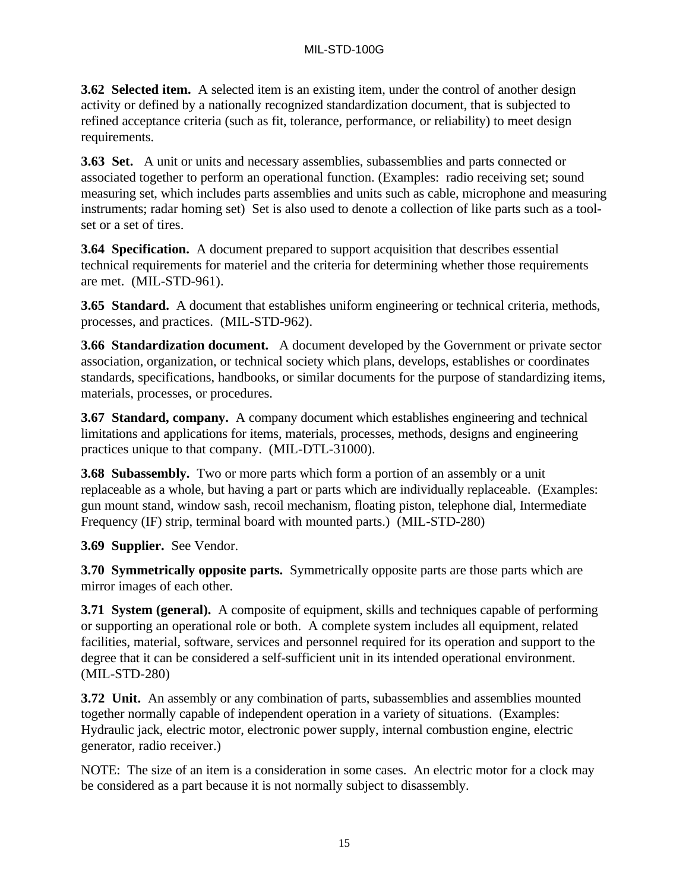**3.62 Selected item.** A selected item is an existing item, under the control of another design activity or defined by a nationally recognized standardization document, that is subjected to refined acceptance criteria (such as fit, tolerance, performance, or reliability) to meet design requirements.

**3.63 Set.** A unit or units and necessary assemblies, subassemblies and parts connected or associated together to perform an operational function. (Examples: radio receiving set; sound measuring set, which includes parts assemblies and units such as cable, microphone and measuring instruments; radar homing set) Set is also used to denote a collection of like parts such as a toolset or a set of tires.

**3.64 Specification.** A document prepared to support acquisition that describes essential technical requirements for materiel and the criteria for determining whether those requirements are met. (MIL-STD-961).

**3.65 Standard.** A document that establishes uniform engineering or technical criteria, methods, processes, and practices. (MIL-STD-962).

**3.66 Standardization document.** A document developed by the Government or private sector association, organization, or technical society which plans, develops, establishes or coordinates standards, specifications, handbooks, or similar documents for the purpose of standardizing items, materials, processes, or procedures.

**3.67 Standard, company.** A company document which establishes engineering and technical limitations and applications for items, materials, processes, methods, designs and engineering practices unique to that company. (MIL-DTL-31000).

**3.68 Subassembly.** Two or more parts which form a portion of an assembly or a unit replaceable as a whole, but having a part or parts which are individually replaceable. (Examples: gun mount stand, window sash, recoil mechanism, floating piston, telephone dial, Intermediate Frequency (IF) strip, terminal board with mounted parts.) (MIL-STD-280)

**3.69 Supplier.** See Vendor.

**3.70 Symmetrically opposite parts.** Symmetrically opposite parts are those parts which are mirror images of each other.

**3.71 System (general).** A composite of equipment, skills and techniques capable of performing or supporting an operational role or both. A complete system includes all equipment, related facilities, material, software, services and personnel required for its operation and support to the degree that it can be considered a self-sufficient unit in its intended operational environment. (MIL-STD-280)

**3.72 Unit.** An assembly or any combination of parts, subassemblies and assemblies mounted together normally capable of independent operation in a variety of situations. (Examples: Hydraulic jack, electric motor, electronic power supply, internal combustion engine, electric generator, radio receiver.)

NOTE: The size of an item is a consideration in some cases. An electric motor for a clock may be considered as a part because it is not normally subject to disassembly.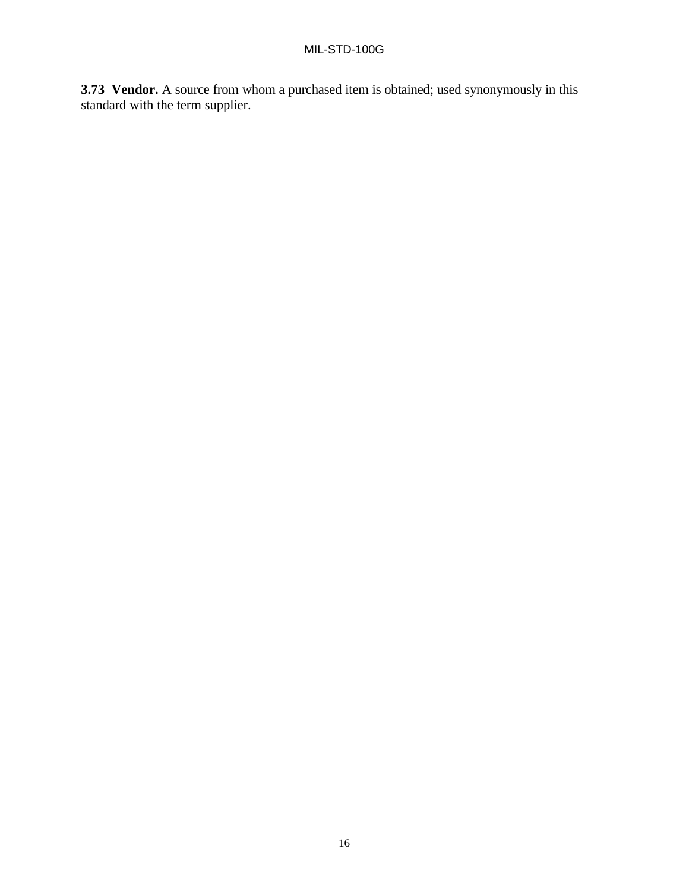**3.73 Vendor.** A source from whom a purchased item is obtained; used synonymously in this standard with the term supplier.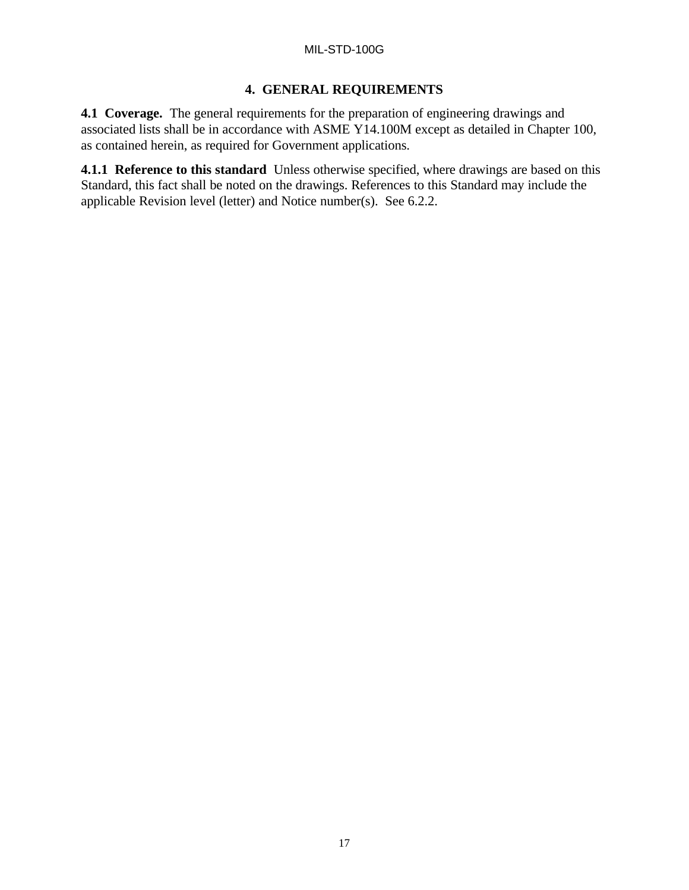# **4. GENERAL REQUIREMENTS**

**4.1 Coverage.** The general requirements for the preparation of engineering drawings and associated lists shall be in accordance with ASME Y14.100M except as detailed in Chapter 100, as contained herein, as required for Government applications.

**4.1.1 Reference to this standard** Unless otherwise specified, where drawings are based on this Standard, this fact shall be noted on the drawings. References to this Standard may include the applicable Revision level (letter) and Notice number(s). See 6.2.2.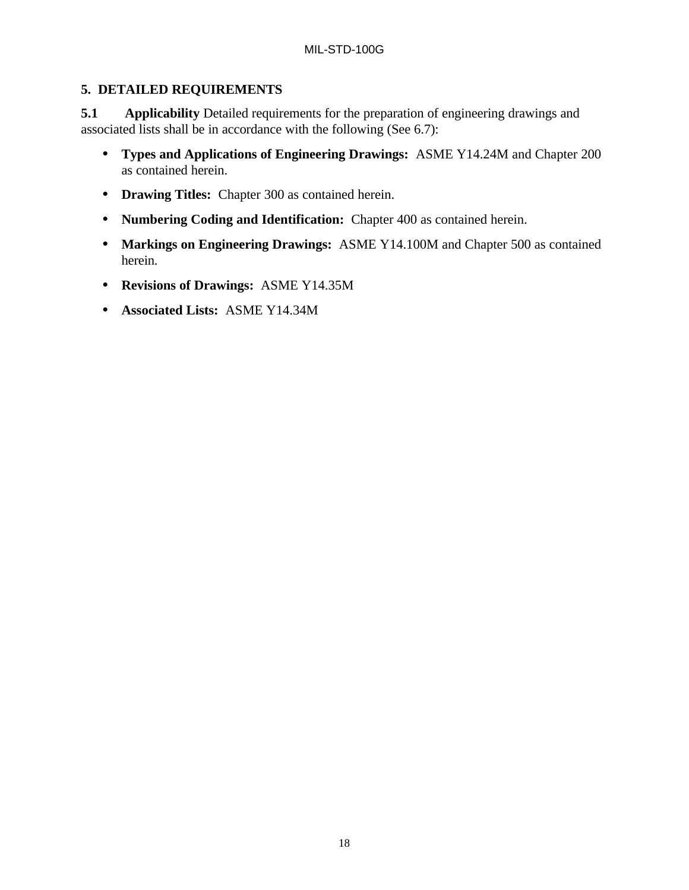# **5. DETAILED REQUIREMENTS**

**5.1** Applicability Detailed requirements for the preparation of engineering drawings and associated lists shall be in accordance with the following (See 6.7):

- **Types and Applications of Engineering Drawings:** ASME Y14.24M and Chapter 200 as contained herein.
- **Drawing Titles:** Chapter 300 as contained herein.
- **Numbering Coding and Identification:** Chapter 400 as contained herein.
- **Markings on Engineering Drawings:** ASME Y14.100M and Chapter 500 as contained herein.
- **Revisions of Drawings:** ASME Y14.35M
- **Associated Lists:** ASME Y14.34M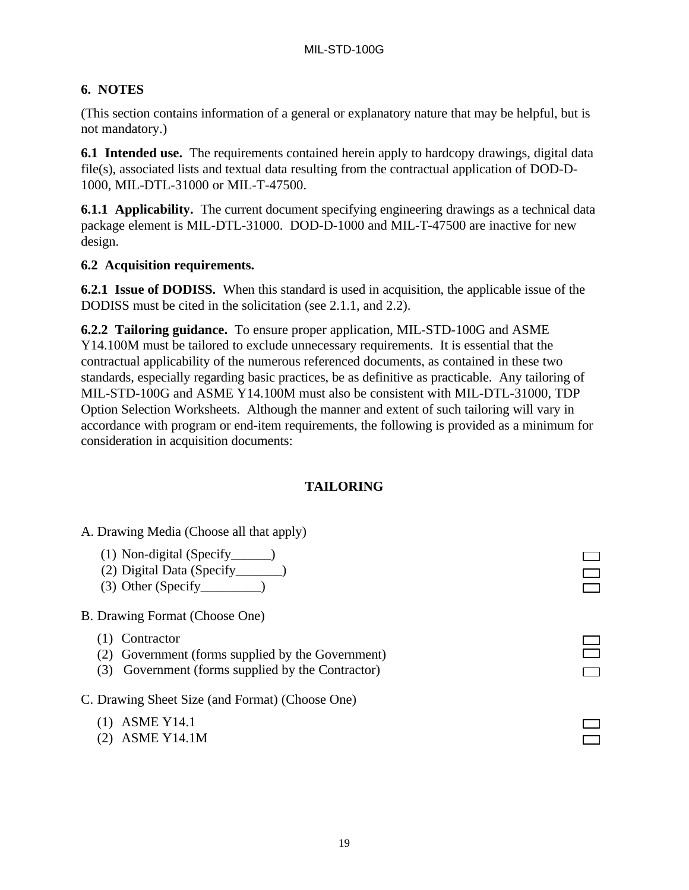# **6. NOTES**

(This section contains information of a general or explanatory nature that may be helpful, but is not mandatory.)

**6.1 Intended use.** The requirements contained herein apply to hardcopy drawings, digital data file(s), associated lists and textual data resulting from the contractual application of DOD-D-1000, MIL-DTL-31000 or MIL-T-47500.

**6.1.1 Applicability.** The current document specifying engineering drawings as a technical data package element is MIL-DTL-31000. DOD-D-1000 and MIL-T-47500 are inactive for new design.

# **6.2 Acquisition requirements.**

**6.2.1 Issue of DODISS.** When this standard is used in acquisition, the applicable issue of the DODISS must be cited in the solicitation (see 2.1.1, and 2.2).

**6.2.2 Tailoring guidance.** To ensure proper application, MIL-STD-100G and ASME Y14.100M must be tailored to exclude unnecessary requirements. It is essential that the contractual applicability of the numerous referenced documents, as contained in these two standards, especially regarding basic practices, be as definitive as practicable. Any tailoring of MIL-STD-100G and ASME Y14.100M must also be consistent with MIL-DTL-31000, TDP Option Selection Worksheets. Although the manner and extent of such tailoring will vary in accordance with program or end-item requirements, the following is provided as a minimum for consideration in acquisition documents:

# **TAILORING**

- A. Drawing Media (Choose all that apply)
	- (1) Non-digital (Specify\_\_\_\_\_\_)
	- (2) Digital Data (Specify\_\_\_\_\_\_\_)
	- $(3)$  Other (Specify \_\_\_\_\_\_\_\_)
- B. Drawing Format (Choose One)
	- (1) Contractor
	- (2) Government (forms supplied by the Government)
	- (3) Government (forms supplied by the Contractor)
- C. Drawing Sheet Size (and Format) (Choose One)
	- (1) ASME Y14.1
	- (2) ASME Y14.1M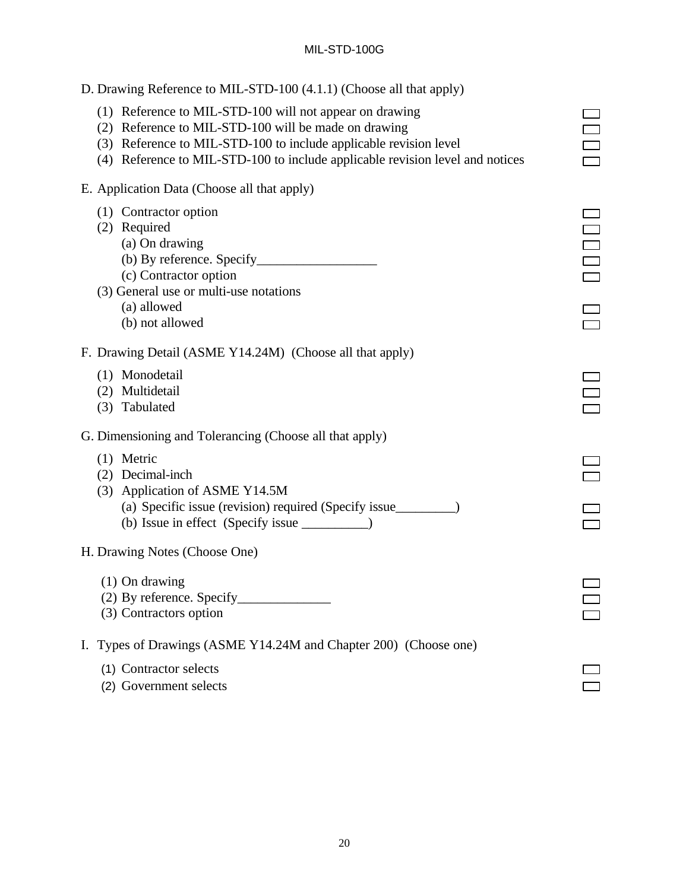| D. Drawing Reference to MIL-STD-100 (4.1.1) (Choose all that apply)                                                                                                                                                                                                   |  |
|-----------------------------------------------------------------------------------------------------------------------------------------------------------------------------------------------------------------------------------------------------------------------|--|
| (1) Reference to MIL-STD-100 will not appear on drawing<br>(2) Reference to MIL-STD-100 will be made on drawing<br>(3) Reference to MIL-STD-100 to include applicable revision level<br>(4) Reference to MIL-STD-100 to include applicable revision level and notices |  |
| E. Application Data (Choose all that apply)                                                                                                                                                                                                                           |  |
| (1) Contractor option<br>(2) Required<br>(a) On drawing<br>(c) Contractor option<br>(3) General use or multi-use notations<br>(a) allowed<br>(b) not allowed                                                                                                          |  |
| F. Drawing Detail (ASME Y14.24M) (Choose all that apply)                                                                                                                                                                                                              |  |
| (1) Monodetail<br>(2) Multidetail<br>(3) Tabulated                                                                                                                                                                                                                    |  |
| G. Dimensioning and Tolerancing (Choose all that apply)                                                                                                                                                                                                               |  |
| $(1)$ Metric<br>(2) Decimal-inch<br>(3) Application of ASME Y14.5M<br>(a) Specific issue (revision) required (Specify issue____________________________                                                                                                               |  |
| H. Drawing Notes (Choose One)                                                                                                                                                                                                                                         |  |
| $(1)$ On drawing<br>(2) By reference. Specify<br>(3) Contractors option                                                                                                                                                                                               |  |
| I. Types of Drawings (ASME Y14.24M and Chapter 200) (Choose one)                                                                                                                                                                                                      |  |
| (1) Contractor selects<br>(2) Government selects                                                                                                                                                                                                                      |  |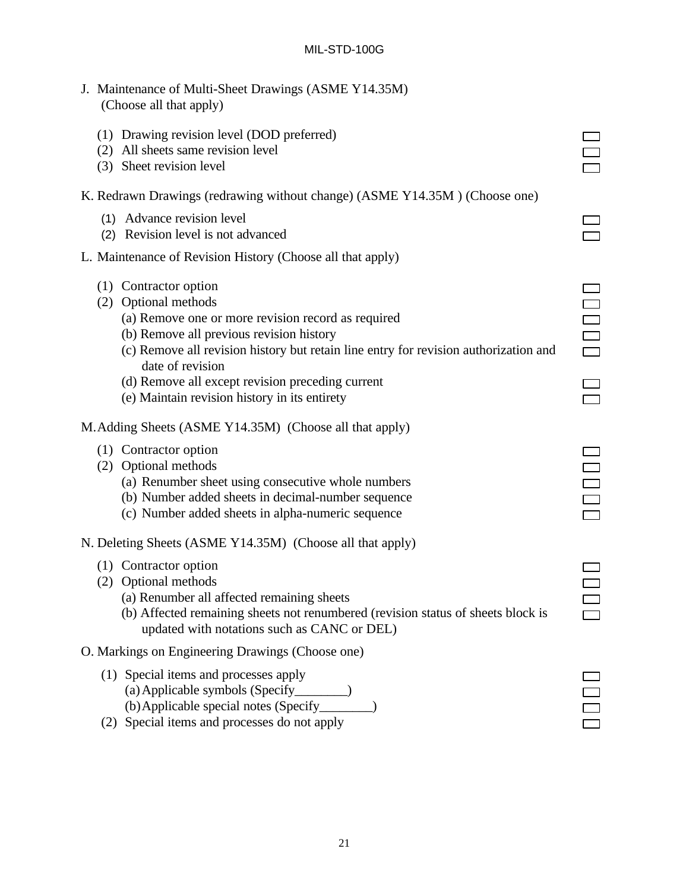- J. Maintenance of Multi-Sheet Drawings (ASME Y14.35M) (Choose all that apply)
	- (1) Drawing revision level (DOD preferred)
	- (2) All sheets same revision level
	- (3) Sheet revision level

# K. Redrawn Drawings (redrawing without change) (ASME Y14.35M ) (Choose one)

- (1) Advance revision level
- (2) Revision level is not advanced

#### L. Maintenance of Revision History (Choose all that apply)

- (1) Contractor option
- (2) Optional methods
	- (a) Remove one or more revision record as required
	- (b) Remove all previous revision history
	- (c) Remove all revision history but retain line entry for revision authorization and date of revision
	- (d) Remove all except revision preceding current
	- (e) Maintain revision history in its entirety

| M. Adding Sheets (ASME Y14.35M) (Choose all that apply) |  |  |  |  |  |  |
|---------------------------------------------------------|--|--|--|--|--|--|
|---------------------------------------------------------|--|--|--|--|--|--|

- (1) Contractor option
- (2) Optional methods
	- (a) Renumber sheet using consecutive whole numbers
	- (b) Number added sheets in decimal-number sequence
	- (c) Number added sheets in alpha-numeric sequence
- N. Deleting Sheets (ASME Y14.35M) (Choose all that apply)
	- (1) Contractor option
	- (2) Optional methods
		- (a) Renumber all affected remaining sheets
		- (b) Affected remaining sheets not renumbered (revision status of sheets block is updated with notations such as CANC or DEL)
- O. Markings on Engineering Drawings (Choose one)
	- (1) Special items and processes apply (a)Applicable symbols (Specify\_\_\_\_\_\_\_\_) (b)Applicable special notes (Specify\_\_\_\_\_\_\_\_)
	- (2) Special items and processes do not apply

| Ξ |
|---|
|   |

| Ξ                             |  |
|-------------------------------|--|
| ٠<br>$\overline{\phantom{a}}$ |  |

 $\Box$ 

| ri i |    |
|------|----|
|      | Г. |
|      |    |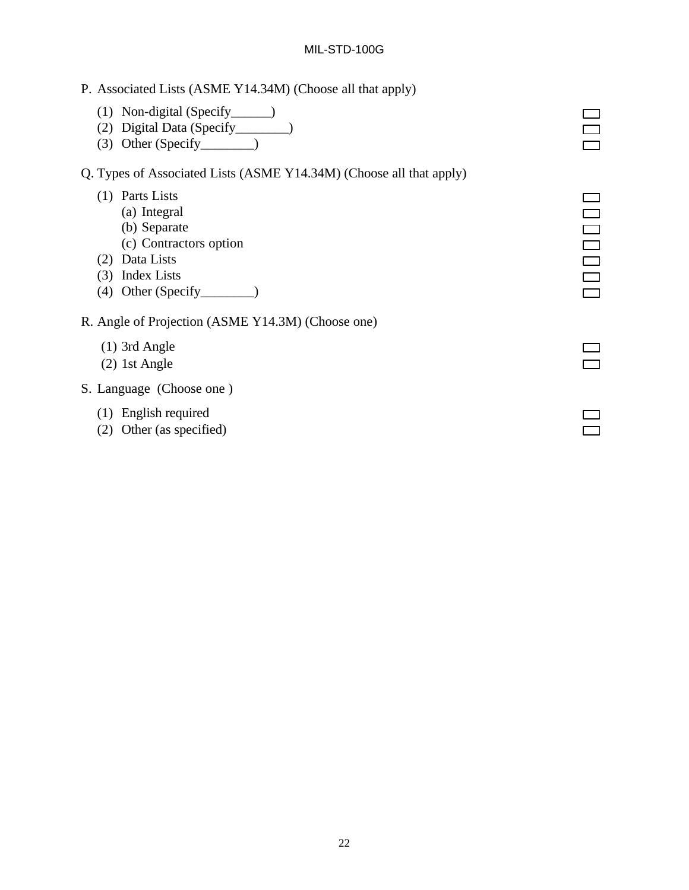- P. Associated Lists (ASME Y14.34M) (Choose all that apply)
	- (1) Non-digital (Specify\_\_\_\_\_\_)
	- (2) Digital Data (Specify\_\_\_\_\_\_\_\_)
	- (3) Other (Specify\_\_\_\_\_\_\_\_)

Q. Types of Associated Lists (ASME Y14.34M) (Choose all that apply)

- (1) Parts Lists
	- (a) Integral
	- (b) Separate
	- (c) Contractors option
- (2) Data Lists
- (3) Index Lists
- (4) Other (Specify\_\_\_\_\_\_\_\_)

R. Angle of Projection (ASME Y14.3M) (Choose one)

- (1) 3rd Angle
- (2) 1st Angle
- S. Language (Choose one )
	- (1) English required
	- (2) Other (as specified)

| $\overline{\phantom{0}}$ |  |
|--------------------------|--|
| $\overline{\phantom{a}}$ |  |
|                          |  |
|                          |  |
|                          |  |
|                          |  |
|                          |  |
| ÷,                       |  |
| $\mathcal{L}$            |  |
|                          |  |
| -<br>L,                  |  |
|                          |  |
|                          |  |
|                          |  |

 $\Box$  $\Box$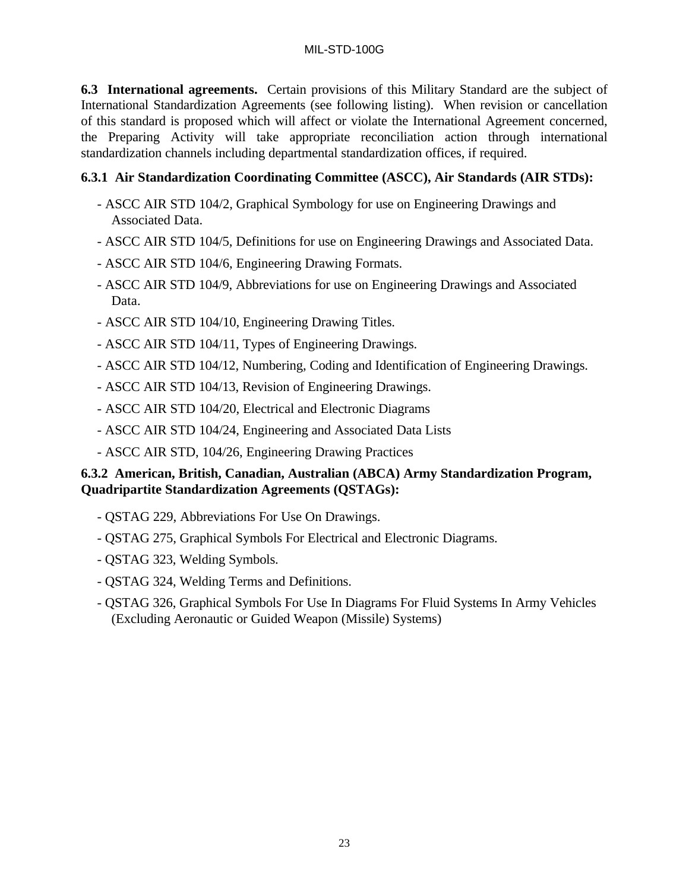**6.3 International agreements.** Certain provisions of this Military Standard are the subject of International Standardization Agreements (see following listing). When revision or cancellation of this standard is proposed which will affect or violate the International Agreement concerned, the Preparing Activity will take appropriate reconciliation action through international standardization channels including departmental standardization offices, if required.

# **6.3.1 Air Standardization Coordinating Committee (ASCC), Air Standards (AIR STDs):**

- ASCC AIR STD 104/2, Graphical Symbology for use on Engineering Drawings and Associated Data.
- ASCC AIR STD 104/5, Definitions for use on Engineering Drawings and Associated Data.
- ASCC AIR STD 104/6, Engineering Drawing Formats.
- ASCC AIR STD 104/9, Abbreviations for use on Engineering Drawings and Associated Data.
- ASCC AIR STD 104/10, Engineering Drawing Titles.
- ASCC AIR STD 104/11, Types of Engineering Drawings.
- ASCC AIR STD 104/12, Numbering, Coding and Identification of Engineering Drawings.
- ASCC AIR STD 104/13, Revision of Engineering Drawings.
- ASCC AIR STD 104/20, Electrical and Electronic Diagrams
- ASCC AIR STD 104/24, Engineering and Associated Data Lists
- ASCC AIR STD, 104/26, Engineering Drawing Practices

# **6.3.2 American, British, Canadian, Australian (ABCA) Army Standardization Program, Quadripartite Standardization Agreements (QSTAGs):**

- QSTAG 229, Abbreviations For Use On Drawings.
- QSTAG 275, Graphical Symbols For Electrical and Electronic Diagrams.
- QSTAG 323, Welding Symbols.
- QSTAG 324, Welding Terms and Definitions.
- QSTAG 326, Graphical Symbols For Use In Diagrams For Fluid Systems In Army Vehicles (Excluding Aeronautic or Guided Weapon (Missile) Systems)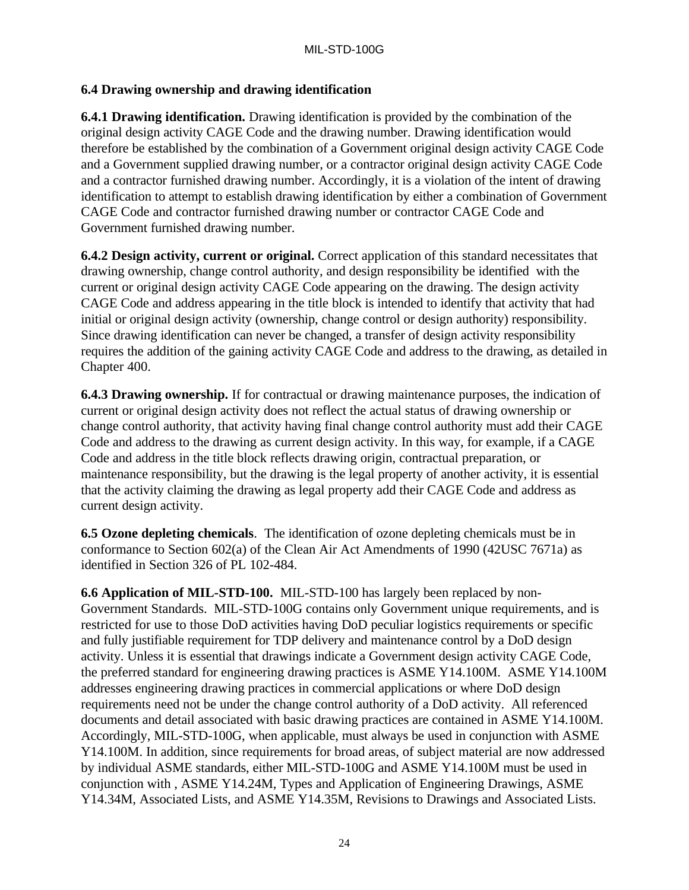# **6.4 Drawing ownership and drawing identification**

**6.4.1 Drawing identification.** Drawing identification is provided by the combination of the original design activity CAGE Code and the drawing number. Drawing identification would therefore be established by the combination of a Government original design activity CAGE Code and a Government supplied drawing number, or a contractor original design activity CAGE Code and a contractor furnished drawing number. Accordingly, it is a violation of the intent of drawing identification to attempt to establish drawing identification by either a combination of Government CAGE Code and contractor furnished drawing number or contractor CAGE Code and Government furnished drawing number.

**6.4.2 Design activity, current or original.** Correct application of this standard necessitates that drawing ownership, change control authority, and design responsibility be identified with the current or original design activity CAGE Code appearing on the drawing. The design activity CAGE Code and address appearing in the title block is intended to identify that activity that had initial or original design activity (ownership, change control or design authority) responsibility. Since drawing identification can never be changed, a transfer of design activity responsibility requires the addition of the gaining activity CAGE Code and address to the drawing, as detailed in Chapter 400.

**6.4.3 Drawing ownership.** If for contractual or drawing maintenance purposes, the indication of current or original design activity does not reflect the actual status of drawing ownership or change control authority, that activity having final change control authority must add their CAGE Code and address to the drawing as current design activity. In this way, for example, if a CAGE Code and address in the title block reflects drawing origin, contractual preparation, or maintenance responsibility, but the drawing is the legal property of another activity, it is essential that the activity claiming the drawing as legal property add their CAGE Code and address as current design activity.

**6.5 Ozone depleting chemicals**. The identification of ozone depleting chemicals must be in conformance to Section 602(a) of the Clean Air Act Amendments of 1990 (42USC 7671a) as identified in Section 326 of PL 102-484.

**6.6 Application of MIL-STD-100.** MIL-STD-100 has largely been replaced by non-Government Standards. MIL-STD-100G contains only Government unique requirements, and is restricted for use to those DoD activities having DoD peculiar logistics requirements or specific and fully justifiable requirement for TDP delivery and maintenance control by a DoD design activity. Unless it is essential that drawings indicate a Government design activity CAGE Code, the preferred standard for engineering drawing practices is ASME Y14.100M. ASME Y14.100M addresses engineering drawing practices in commercial applications or where DoD design requirements need not be under the change control authority of a DoD activity. All referenced documents and detail associated with basic drawing practices are contained in ASME Y14.100M. Accordingly, MIL-STD-100G, when applicable, must always be used in conjunction with ASME Y14.100M. In addition, since requirements for broad areas, of subject material are now addressed by individual ASME standards, either MIL-STD-100G and ASME Y14.100M must be used in conjunction with , ASME Y14.24M, Types and Application of Engineering Drawings, ASME Y14.34M, Associated Lists, and ASME Y14.35M, Revisions to Drawings and Associated Lists.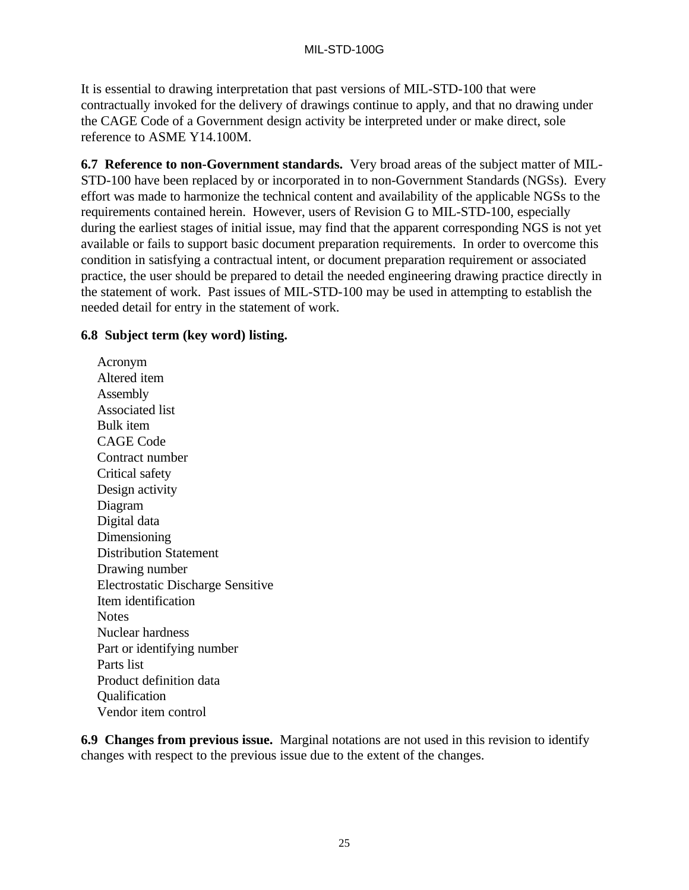It is essential to drawing interpretation that past versions of MIL-STD-100 that were contractually invoked for the delivery of drawings continue to apply, and that no drawing under the CAGE Code of a Government design activity be interpreted under or make direct, sole reference to ASME Y14.100M.

**6.7 Reference to non-Government standards.** Very broad areas of the subject matter of MIL-STD-100 have been replaced by or incorporated in to non-Government Standards (NGSs). Every effort was made to harmonize the technical content and availability of the applicable NGSs to the requirements contained herein. However, users of Revision G to MIL-STD-100, especially during the earliest stages of initial issue, may find that the apparent corresponding NGS is not yet available or fails to support basic document preparation requirements. In order to overcome this condition in satisfying a contractual intent, or document preparation requirement or associated practice, the user should be prepared to detail the needed engineering drawing practice directly in the statement of work. Past issues of MIL-STD-100 may be used in attempting to establish the needed detail for entry in the statement of work.

### **6.8 Subject term (key word) listing.**

Acronym Altered item Assembly Associated list Bulk item CAGE Code Contract number Critical safety Design activity Diagram Digital data Dimensioning Distribution Statement Drawing number Electrostatic Discharge Sensitive Item identification **Notes** Nuclear hardness Part or identifying number Parts list Product definition data **Qualification** Vendor item control

**6.9 Changes from previous issue.** Marginal notations are not used in this revision to identify changes with respect to the previous issue due to the extent of the changes.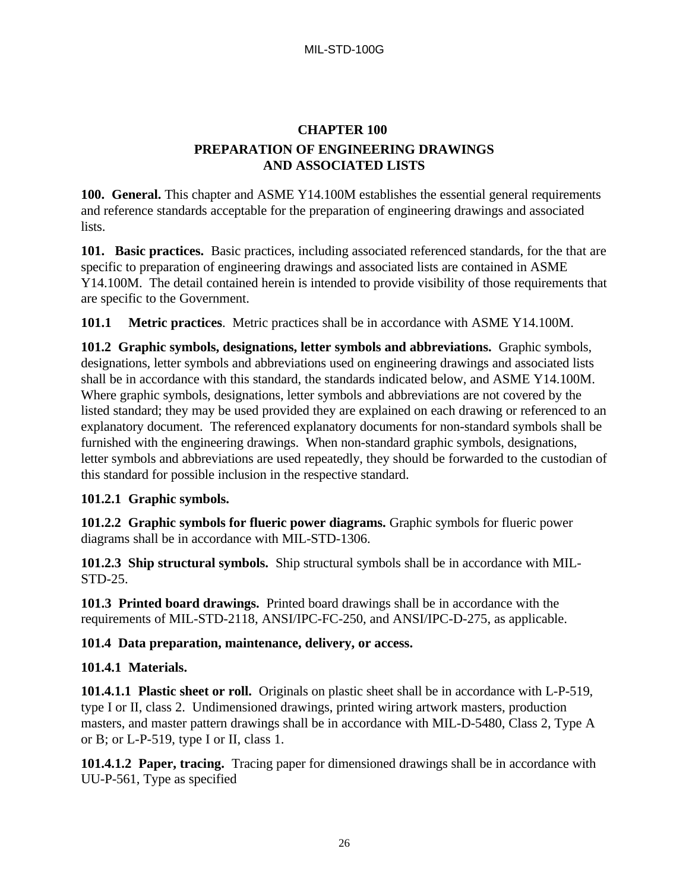# **CHAPTER 100 PREPARATION OF ENGINEERING DRAWINGS AND ASSOCIATED LISTS**

**100. General.** This chapter and ASME Y14.100M establishes the essential general requirements and reference standards acceptable for the preparation of engineering drawings and associated lists.

**101. Basic practices.** Basic practices, including associated referenced standards, for the that are specific to preparation of engineering drawings and associated lists are contained in ASME Y14.100M. The detail contained herein is intended to provide visibility of those requirements that are specific to the Government.

**101.1 Metric practices**. Metric practices shall be in accordance with ASME Y14.100M.

**101.2 Graphic symbols, designations, letter symbols and abbreviations.** Graphic symbols, designations, letter symbols and abbreviations used on engineering drawings and associated lists shall be in accordance with this standard, the standards indicated below, and ASME Y14.100M. Where graphic symbols, designations, letter symbols and abbreviations are not covered by the listed standard; they may be used provided they are explained on each drawing or referenced to an explanatory document. The referenced explanatory documents for non-standard symbols shall be furnished with the engineering drawings. When non-standard graphic symbols, designations, letter symbols and abbreviations are used repeatedly, they should be forwarded to the custodian of this standard for possible inclusion in the respective standard.

### **101.2.1 Graphic symbols.**

**101.2.2 Graphic symbols for flueric power diagrams.** Graphic symbols for flueric power diagrams shall be in accordance with MIL-STD-1306.

**101.2.3 Ship structural symbols.** Ship structural symbols shall be in accordance with MIL-STD-25.

**101.3 Printed board drawings.** Printed board drawings shall be in accordance with the requirements of MIL-STD-2118, ANSI/IPC-FC-250, and ANSI/IPC-D-275, as applicable.

### **101.4 Data preparation, maintenance, delivery, or access.**

## **101.4.1 Materials.**

**101.4.1.1 Plastic sheet or roll.** Originals on plastic sheet shall be in accordance with L-P-519, type I or II, class 2. Undimensioned drawings, printed wiring artwork masters, production masters, and master pattern drawings shall be in accordance with MIL-D-5480, Class 2, Type A or B; or L-P-519, type I or II, class 1.

**101.4.1.2 Paper, tracing.** Tracing paper for dimensioned drawings shall be in accordance with UU-P-561, Type as specified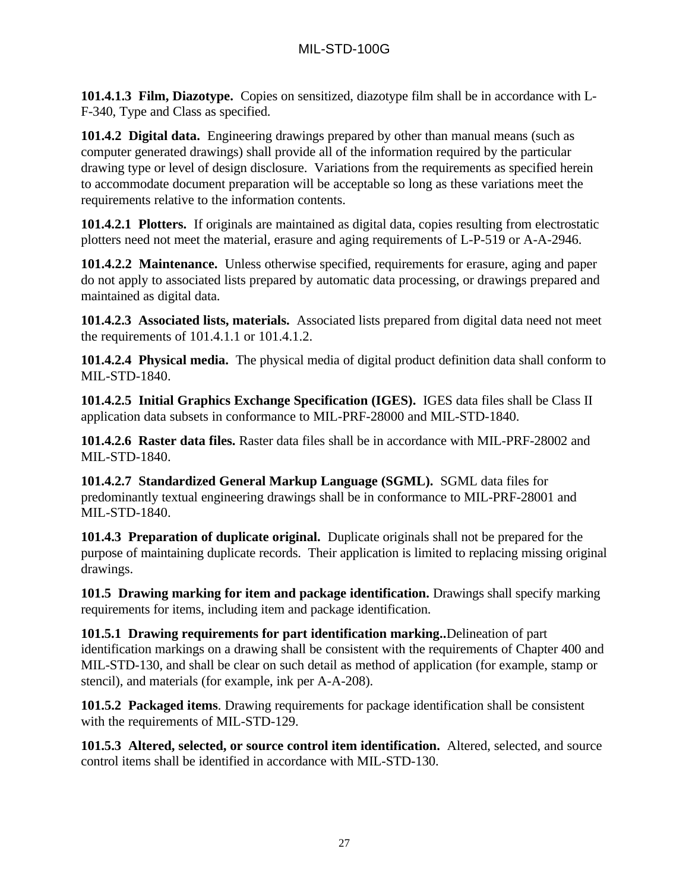**101.4.1.3 Film, Diazotype.** Copies on sensitized, diazotype film shall be in accordance with L-F-340, Type and Class as specified.

**101.4.2 Digital data.** Engineering drawings prepared by other than manual means (such as computer generated drawings) shall provide all of the information required by the particular drawing type or level of design disclosure. Variations from the requirements as specified herein to accommodate document preparation will be acceptable so long as these variations meet the requirements relative to the information contents.

**101.4.2.1 Plotters.** If originals are maintained as digital data, copies resulting from electrostatic plotters need not meet the material, erasure and aging requirements of L-P-519 or A-A-2946.

**101.4.2.2 Maintenance.** Unless otherwise specified, requirements for erasure, aging and paper do not apply to associated lists prepared by automatic data processing, or drawings prepared and maintained as digital data.

**101.4.2.3 Associated lists, materials.** Associated lists prepared from digital data need not meet the requirements of 101.4.1.1 or 101.4.1.2.

**101.4.2.4 Physical media.** The physical media of digital product definition data shall conform to MIL-STD-1840.

**101.4.2.5 Initial Graphics Exchange Specification (IGES).** IGES data files shall be Class II application data subsets in conformance to MIL-PRF-28000 and MIL-STD-1840.

**101.4.2.6 Raster data files.** Raster data files shall be in accordance with MIL-PRF-28002 and MIL-STD-1840.

**101.4.2.7 Standardized General Markup Language (SGML).** SGML data files for predominantly textual engineering drawings shall be in conformance to MIL-PRF-28001 and MIL-STD-1840.

**101.4.3 Preparation of duplicate original.** Duplicate originals shall not be prepared for the purpose of maintaining duplicate records. Their application is limited to replacing missing original drawings.

**101.5 Drawing marking for item and package identification.** Drawings shall specify marking requirements for items, including item and package identification.

**101.5.1 Drawing requirements for part identification marking..**Delineation of part identification markings on a drawing shall be consistent with the requirements of Chapter 400 and MIL-STD-130, and shall be clear on such detail as method of application (for example, stamp or stencil), and materials (for example, ink per A-A-208).

**101.5.2 Packaged items**. Drawing requirements for package identification shall be consistent with the requirements of MIL-STD-129.

**101.5.3 Altered, selected, or source control item identification.** Altered, selected, and source control items shall be identified in accordance with MIL-STD-130.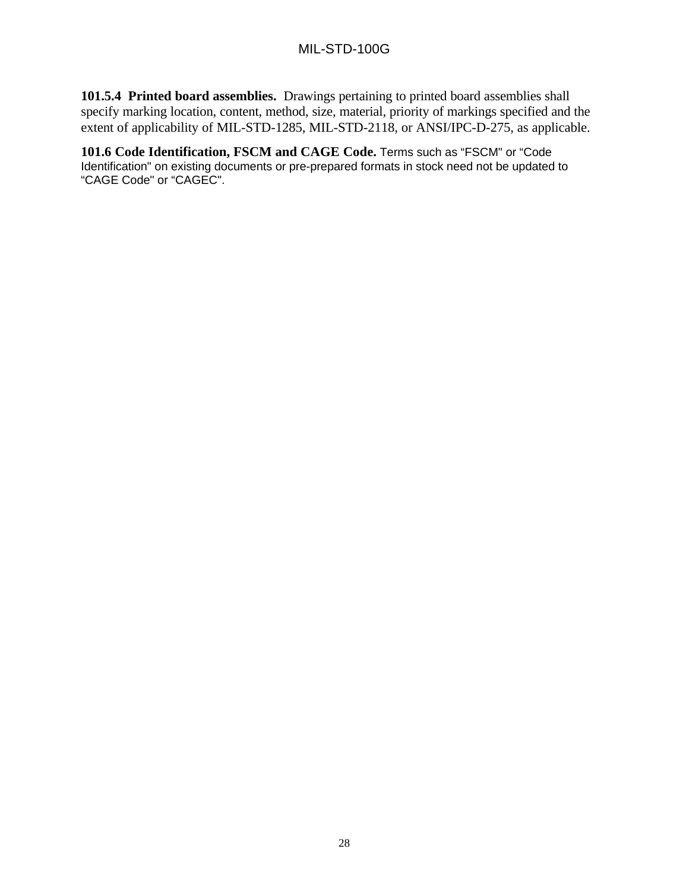**101.5.4 Printed board assemblies.** Drawings pertaining to printed board assemblies shall specify marking location, content, method, size, material, priority of markings specified and the extent of applicability of MIL-STD-1285, MIL-STD-2118, or ANSI/IPC-D-275, as applicable.

**101.6 Code Identification, FSCM and CAGE Code.** Terms such as "FSCM" or "Code Identification" on existing documents or pre-prepared formats in stock need not be updated to "CAGE Code" or "CAGEC".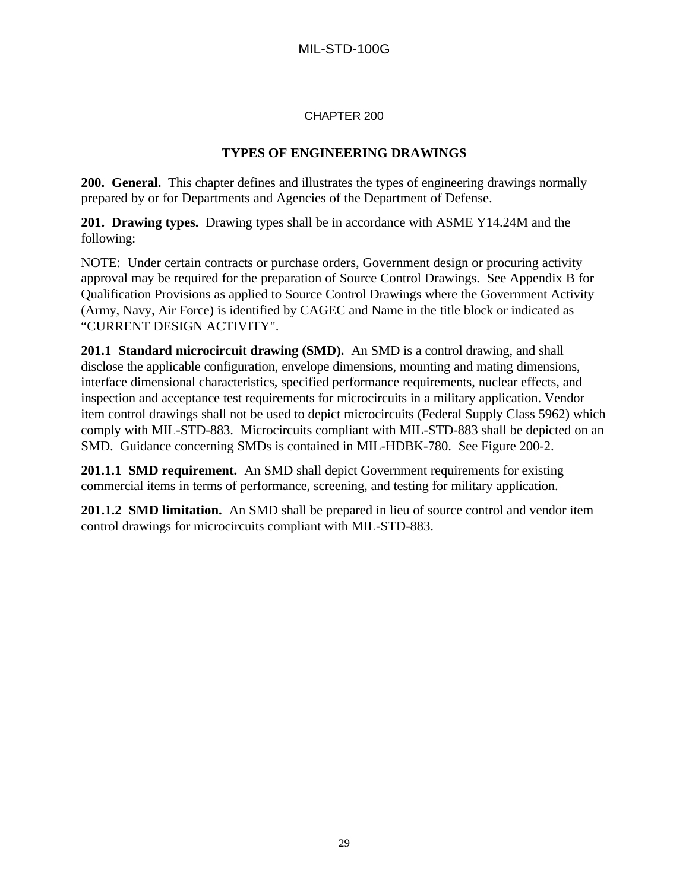#### CHAPTER 200

### **TYPES OF ENGINEERING DRAWINGS**

**200. General.** This chapter defines and illustrates the types of engineering drawings normally prepared by or for Departments and Agencies of the Department of Defense.

**201. Drawing types.** Drawing types shall be in accordance with ASME Y14.24M and the following:

NOTE: Under certain contracts or purchase orders, Government design or procuring activity approval may be required for the preparation of Source Control Drawings. See Appendix B for Qualification Provisions as applied to Source Control Drawings where the Government Activity (Army, Navy, Air Force) is identified by CAGEC and Name in the title block or indicated as "CURRENT DESIGN ACTIVITY".

**201.1 Standard microcircuit drawing (SMD).** An SMD is a control drawing, and shall disclose the applicable configuration, envelope dimensions, mounting and mating dimensions, interface dimensional characteristics, specified performance requirements, nuclear effects, and inspection and acceptance test requirements for microcircuits in a military application. Vendor item control drawings shall not be used to depict microcircuits (Federal Supply Class 5962) which comply with MIL-STD-883. Microcircuits compliant with MIL-STD-883 shall be depicted on an SMD. Guidance concerning SMDs is contained in MIL-HDBK-780. See Figure 200-2.

**201.1.1 SMD requirement.** An SMD shall depict Government requirements for existing commercial items in terms of performance, screening, and testing for military application.

**201.1.2 SMD limitation.** An SMD shall be prepared in lieu of source control and vendor item control drawings for microcircuits compliant with MIL-STD-883.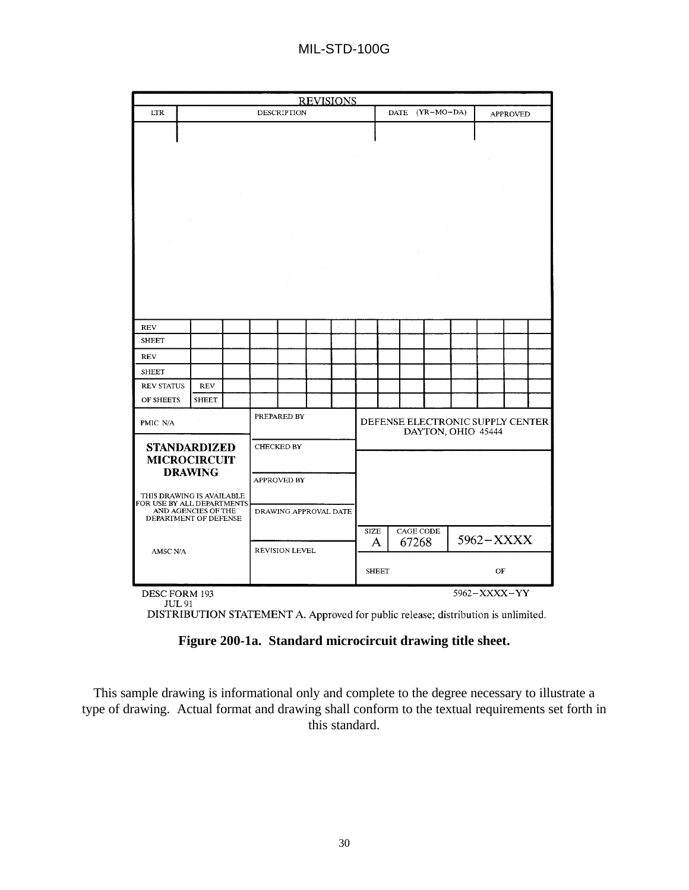|                                                                                |                |  |  |                                         |  | <b>REVISIONS</b> |           |              |                    |  |                                                        |                 |  |
|--------------------------------------------------------------------------------|----------------|--|--|-----------------------------------------|--|------------------|-----------|--------------|--------------------|--|--------------------------------------------------------|-----------------|--|
| <b>LTR</b>                                                                     |                |  |  | <b>DESCRIPTION</b>                      |  |                  |           |              | DATE (YR-MO-DA)    |  |                                                        | <b>APPROVED</b> |  |
|                                                                                |                |  |  |                                         |  |                  |           |              |                    |  |                                                        |                 |  |
| <b>REV</b>                                                                     |                |  |  |                                         |  |                  |           |              |                    |  |                                                        |                 |  |
| <b>SHEET</b>                                                                   |                |  |  |                                         |  |                  |           |              |                    |  |                                                        |                 |  |
| <b>REV</b>                                                                     |                |  |  |                                         |  |                  |           |              |                    |  |                                                        |                 |  |
| <b>SHEET</b>                                                                   |                |  |  |                                         |  |                  |           |              |                    |  |                                                        |                 |  |
| <b>REV STATUS</b>                                                              | <b>REV</b>     |  |  |                                         |  |                  |           |              |                    |  |                                                        |                 |  |
| OF SHEETS                                                                      | <b>SHEET</b>   |  |  |                                         |  |                  |           |              |                    |  |                                                        |                 |  |
| PMIC N/A<br><b>STANDARDIZED</b>                                                |                |  |  | PREPARED BY<br>CHECKED BY               |  |                  |           |              |                    |  | DEFENSE ELECTRONIC SUPPLY CENTER<br>DAYTON, OHIO 45444 |                 |  |
| <b>MICROCIRCUIT</b><br>THIS DRAWING IS AVAILABLE<br>FOR USE BY ALL DEPARTMENTS | <b>DRAWING</b> |  |  | <b>APPROVED BY</b>                      |  |                  |           |              |                    |  |                                                        |                 |  |
| AND AGENCIES OF THE<br>DEPARTMENT OF DEFENSE<br>AMSC N/A                       |                |  |  | DRAWING APPROVAL DATE<br>REVISION LEVEL |  |                  | SIZE<br>A |              | CAGE CODE<br>67268 |  | 5962-XXXX                                              |                 |  |
|                                                                                |                |  |  |                                         |  |                  |           | <b>SHEET</b> |                    |  | OF                                                     |                 |  |
| 5962-XXXX-YY<br>DESC FORM 193<br><b>JUL 91</b>                                 |                |  |  |                                         |  |                  |           |              |                    |  |                                                        |                 |  |

DISTRIBUTION STATEMENT A. Approved for public release; distribution is unlimited.

### **Figure 200-1a. Standard microcircuit drawing title sheet.**

This sample drawing is informational only and complete to the degree necessary to illustrate a type of drawing. Actual format and drawing shall conform to the textual requirements set forth in this standard.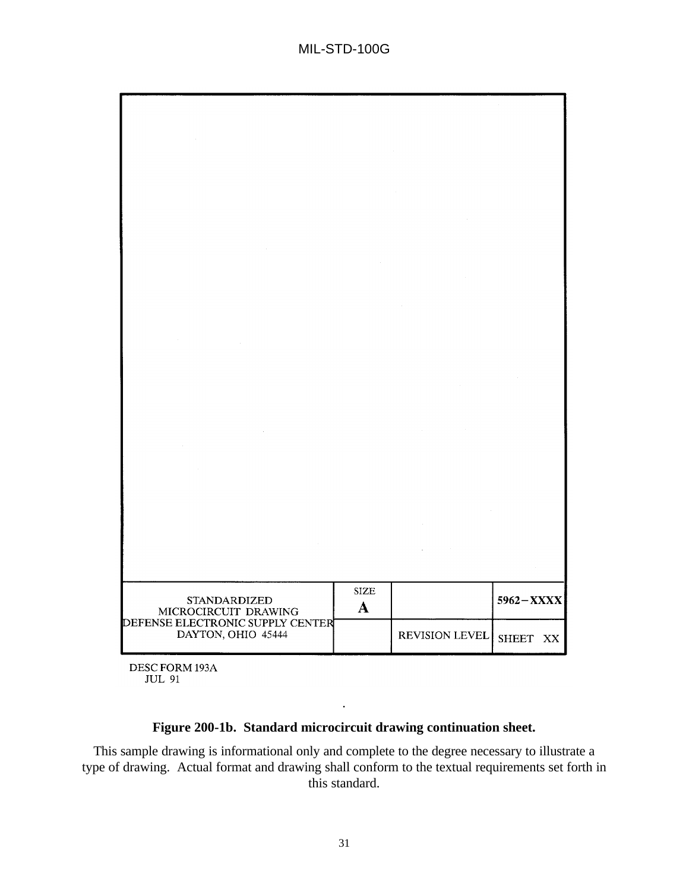

DESC FORM 193A **JUL 91** 

### **Figure 200-1b. Standard microcircuit drawing continuation sheet.**

.

This sample drawing is informational only and complete to the degree necessary to illustrate a type of drawing. Actual format and drawing shall conform to the textual requirements set forth in this standard.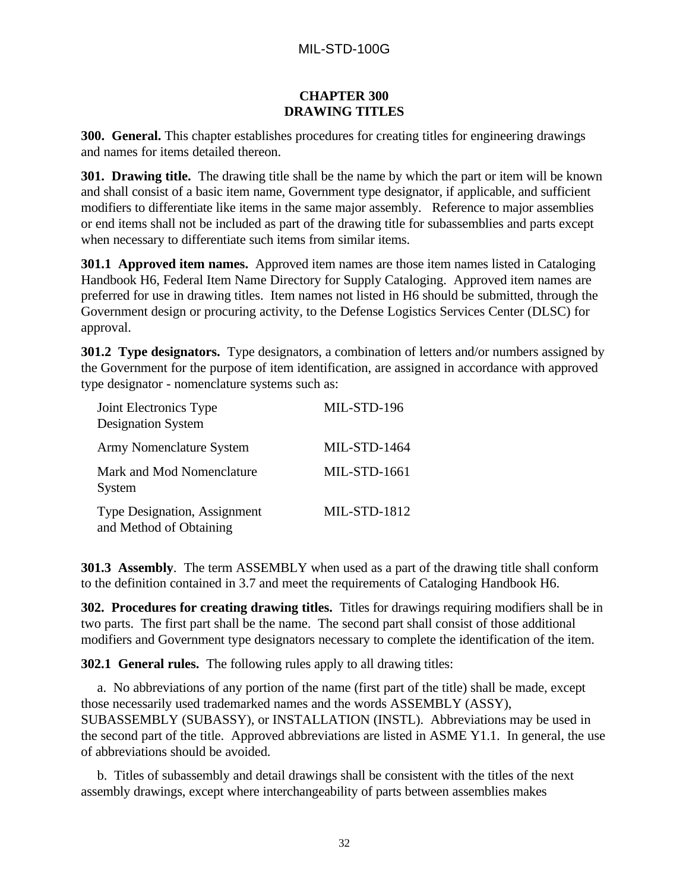### **CHAPTER 300 DRAWING TITLES**

**300. General.** This chapter establishes procedures for creating titles for engineering drawings and names for items detailed thereon.

**301. Drawing title.** The drawing title shall be the name by which the part or item will be known and shall consist of a basic item name, Government type designator, if applicable, and sufficient modifiers to differentiate like items in the same major assembly. Reference to major assemblies or end items shall not be included as part of the drawing title for subassemblies and parts except when necessary to differentiate such items from similar items.

**301.1 Approved item names.** Approved item names are those item names listed in Cataloging Handbook H6, Federal Item Name Directory for Supply Cataloging. Approved item names are preferred for use in drawing titles. Item names not listed in H6 should be submitted, through the Government design or procuring activity, to the Defense Logistics Services Center (DLSC) for approval.

**301.2 Type designators.** Type designators, a combination of letters and/or numbers assigned by the Government for the purpose of item identification, are assigned in accordance with approved type designator - nomenclature systems such as:

| Joint Electronics Type<br><b>Designation System</b>            | MIL-STD-196         |
|----------------------------------------------------------------|---------------------|
| Army Nomenclature System                                       | <b>MIL-STD-1464</b> |
| Mark and Mod Nomenclature<br>System                            | MIL-STD-1661        |
| <b>Type Designation, Assignment</b><br>and Method of Obtaining | <b>MIL-STD-1812</b> |

**301.3 Assembly**. The term ASSEMBLY when used as a part of the drawing title shall conform to the definition contained in 3.7 and meet the requirements of Cataloging Handbook H6.

**302. Procedures for creating drawing titles.** Titles for drawings requiring modifiers shall be in two parts. The first part shall be the name. The second part shall consist of those additional modifiers and Government type designators necessary to complete the identification of the item.

**302.1 General rules.** The following rules apply to all drawing titles:

a. No abbreviations of any portion of the name (first part of the title) shall be made, except those necessarily used trademarked names and the words ASSEMBLY (ASSY), SUBASSEMBLY (SUBASSY), or INSTALLATION (INSTL). Abbreviations may be used in the second part of the title. Approved abbreviations are listed in ASME Y1.1. In general, the use of abbreviations should be avoided.

b. Titles of subassembly and detail drawings shall be consistent with the titles of the next assembly drawings, except where interchangeability of parts between assemblies makes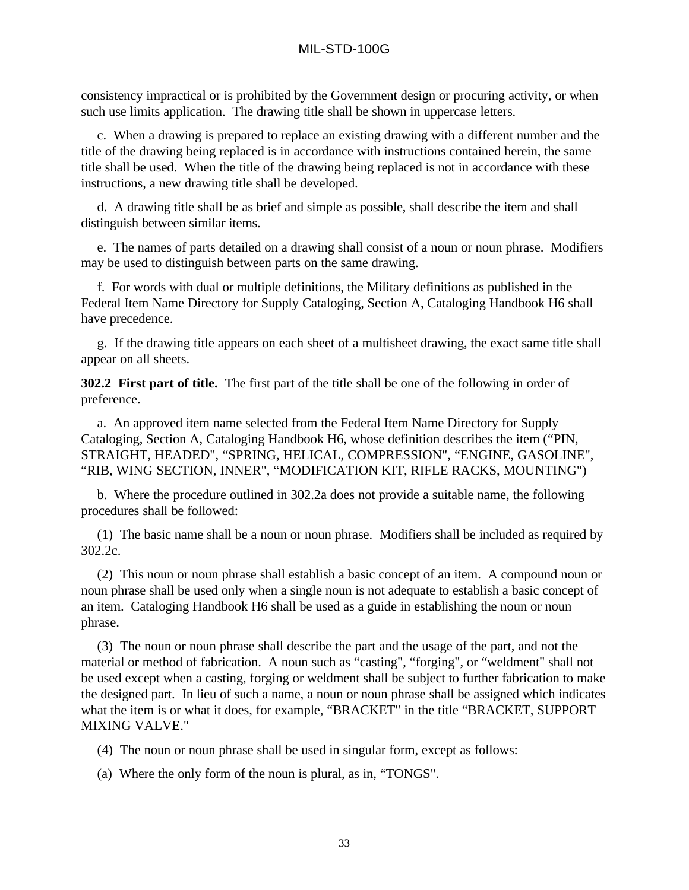consistency impractical or is prohibited by the Government design or procuring activity, or when such use limits application. The drawing title shall be shown in uppercase letters.

c. When a drawing is prepared to replace an existing drawing with a different number and the title of the drawing being replaced is in accordance with instructions contained herein, the same title shall be used. When the title of the drawing being replaced is not in accordance with these instructions, a new drawing title shall be developed.

d. A drawing title shall be as brief and simple as possible, shall describe the item and shall distinguish between similar items.

e. The names of parts detailed on a drawing shall consist of a noun or noun phrase. Modifiers may be used to distinguish between parts on the same drawing.

f. For words with dual or multiple definitions, the Military definitions as published in the Federal Item Name Directory for Supply Cataloging, Section A, Cataloging Handbook H6 shall have precedence.

g. If the drawing title appears on each sheet of a multisheet drawing, the exact same title shall appear on all sheets.

**302.2 First part of title.** The first part of the title shall be one of the following in order of preference.

a. An approved item name selected from the Federal Item Name Directory for Supply Cataloging, Section A, Cataloging Handbook H6, whose definition describes the item ("PIN, STRAIGHT, HEADED", "SPRING, HELICAL, COMPRESSION", "ENGINE, GASOLINE", "RIB, WING SECTION, INNER", "MODIFICATION KIT, RIFLE RACKS, MOUNTING")

b. Where the procedure outlined in 302.2a does not provide a suitable name, the following procedures shall be followed:

(1) The basic name shall be a noun or noun phrase. Modifiers shall be included as required by 302.2c.

(2) This noun or noun phrase shall establish a basic concept of an item. A compound noun or noun phrase shall be used only when a single noun is not adequate to establish a basic concept of an item. Cataloging Handbook H6 shall be used as a guide in establishing the noun or noun phrase.

(3) The noun or noun phrase shall describe the part and the usage of the part, and not the material or method of fabrication. A noun such as "casting", "forging", or "weldment" shall not be used except when a casting, forging or weldment shall be subject to further fabrication to make the designed part. In lieu of such a name, a noun or noun phrase shall be assigned which indicates what the item is or what it does, for example, "BRACKET" in the title "BRACKET, SUPPORT MIXING VALVE."

(4) The noun or noun phrase shall be used in singular form, except as follows:

(a) Where the only form of the noun is plural, as in, "TONGS".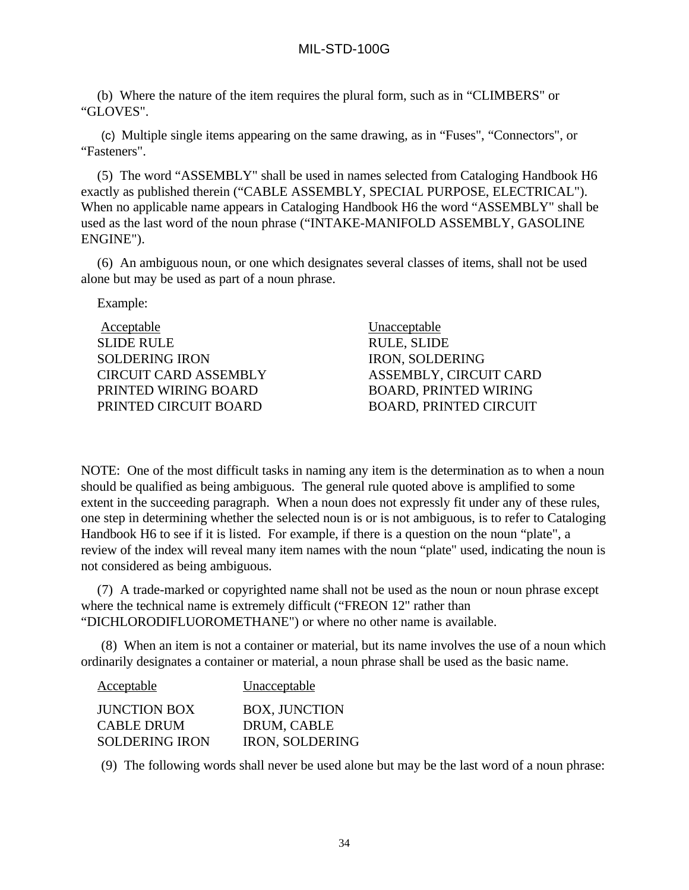(b) Where the nature of the item requires the plural form, such as in "CLIMBERS" or "GLOVES".

(c) Multiple single items appearing on the same drawing, as in "Fuses", "Connectors", or "Fasteners".

(5) The word "ASSEMBLY" shall be used in names selected from Cataloging Handbook H6 exactly as published therein ("CABLE ASSEMBLY, SPECIAL PURPOSE, ELECTRICAL"). When no applicable name appears in Cataloging Handbook H6 the word "ASSEMBLY" shall be used as the last word of the noun phrase ("INTAKE-MANIFOLD ASSEMBLY, GASOLINE ENGINE").

(6) An ambiguous noun, or one which designates several classes of items, shall not be used alone but may be used as part of a noun phrase.

Example:

| <b>Acceptable</b>            | Unacceptable                  |
|------------------------------|-------------------------------|
| <b>SLIDE RULE</b>            | <b>RULE, SLIDE</b>            |
| <b>SOLDERING IRON</b>        | <b>IRON, SOLDERING</b>        |
| <b>CIRCUIT CARD ASSEMBLY</b> | ASSEMBLY, CIRCUIT CARD        |
| PRINTED WIRING BOARD         | <b>BOARD, PRINTED WIRING</b>  |
| PRINTED CIRCUIT BOARD        | <b>BOARD, PRINTED CIRCUIT</b> |

NOTE: One of the most difficult tasks in naming any item is the determination as to when a noun should be qualified as being ambiguous. The general rule quoted above is amplified to some extent in the succeeding paragraph. When a noun does not expressly fit under any of these rules, one step in determining whether the selected noun is or is not ambiguous, is to refer to Cataloging Handbook H6 to see if it is listed. For example, if there is a question on the noun "plate", a review of the index will reveal many item names with the noun "plate" used, indicating the noun is not considered as being ambiguous.

(7) A trade-marked or copyrighted name shall not be used as the noun or noun phrase except where the technical name is extremely difficult ("FREON 12" rather than "DICHLORODIFLUOROMETHANE") or where no other name is available.

(8) When an item is not a container or material, but its name involves the use of a noun which ordinarily designates a container or material, a noun phrase shall be used as the basic name.

| <b>Acceptable</b>     | Unacceptable           |
|-----------------------|------------------------|
| <b>JUNCTION BOX</b>   | <b>BOX, JUNCTION</b>   |
| CABLE DRUM            | DRUM, CABLE            |
| <b>SOLDERING IRON</b> | <b>IRON, SOLDERING</b> |

(9) The following words shall never be used alone but may be the last word of a noun phrase: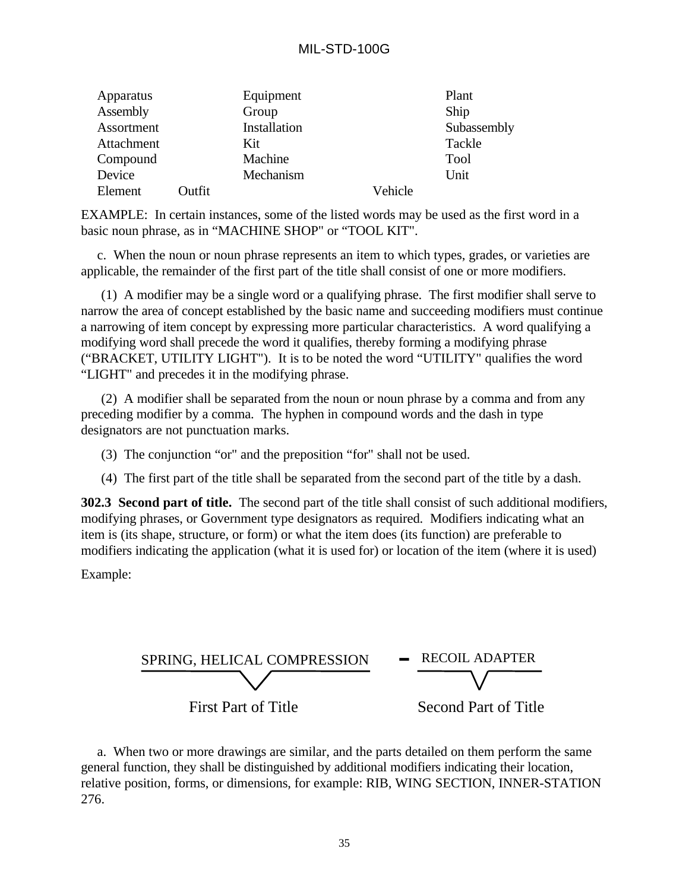## MIL-STD-100G

| Apparatus  |        | Equipment    |         | Plant       |
|------------|--------|--------------|---------|-------------|
| Assembly   |        | Group        |         | Ship        |
| Assortment |        | Installation |         | Subassembly |
| Attachment |        | Kit          |         | Tackle      |
| Compound   |        | Machine      |         | Tool        |
| Device     |        | Mechanism    |         | Unit        |
| Element    | Outfit |              | Vehicle |             |

EXAMPLE: In certain instances, some of the listed words may be used as the first word in a basic noun phrase, as in "MACHINE SHOP" or "TOOL KIT".

c. When the noun or noun phrase represents an item to which types, grades, or varieties are applicable, the remainder of the first part of the title shall consist of one or more modifiers.

(1) A modifier may be a single word or a qualifying phrase. The first modifier shall serve to narrow the area of concept established by the basic name and succeeding modifiers must continue a narrowing of item concept by expressing more particular characteristics. A word qualifying a modifying word shall precede the word it qualifies, thereby forming a modifying phrase ("BRACKET, UTILITY LIGHT"). It is to be noted the word "UTILITY" qualifies the word "LIGHT" and precedes it in the modifying phrase.

(2) A modifier shall be separated from the noun or noun phrase by a comma and from any preceding modifier by a comma. The hyphen in compound words and the dash in type designators are not punctuation marks.

(3) The conjunction "or" and the preposition "for" shall not be used.

(4) The first part of the title shall be separated from the second part of the title by a dash.

**302.3 Second part of title.** The second part of the title shall consist of such additional modifiers, modifying phrases, or Government type designators as required. Modifiers indicating what an item is (its shape, structure, or form) or what the item does (its function) are preferable to modifiers indicating the application (what it is used for) or location of the item (where it is used)

Example:



a. When two or more drawings are similar, and the parts detailed on them perform the same general function, they shall be distinguished by additional modifiers indicating their location, relative position, forms, or dimensions, for example: RIB, WING SECTION, INNER-STATION 276.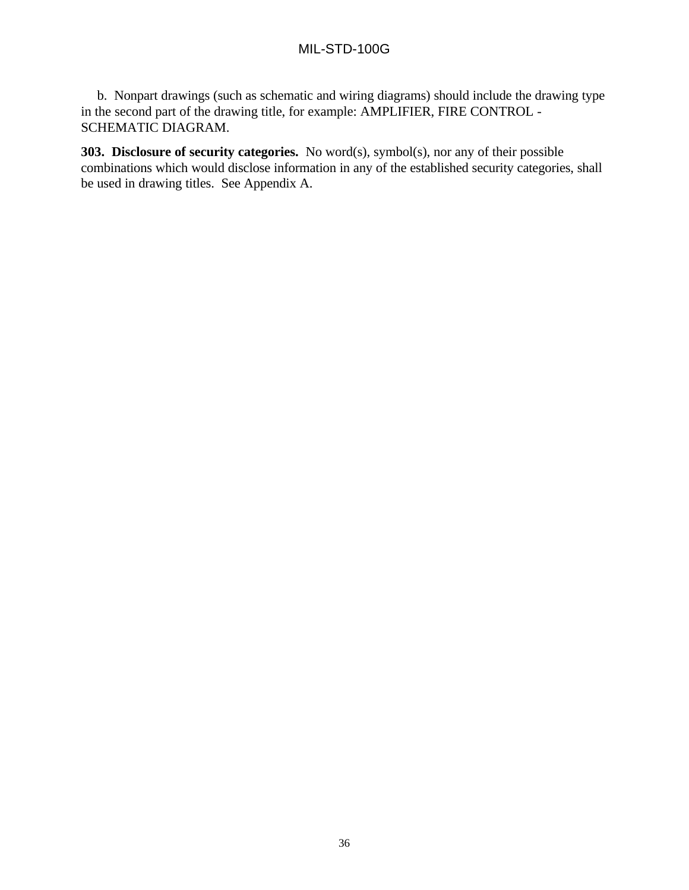# MIL-STD-100G

b. Nonpart drawings (such as schematic and wiring diagrams) should include the drawing type in the second part of the drawing title, for example: AMPLIFIER, FIRE CONTROL - SCHEMATIC DIAGRAM.

**303. Disclosure of security categories.** No word(s), symbol(s), nor any of their possible combinations which would disclose information in any of the established security categories, shall be used in drawing titles. See Appendix A.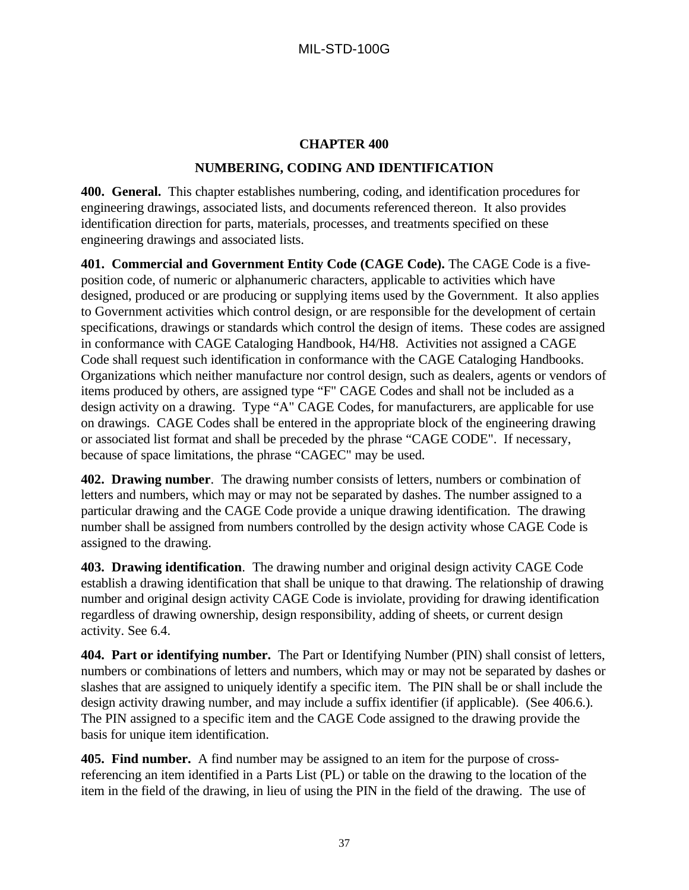### **CHAPTER 400**

### **NUMBERING, CODING AND IDENTIFICATION**

**400. General.** This chapter establishes numbering, coding, and identification procedures for engineering drawings, associated lists, and documents referenced thereon. It also provides identification direction for parts, materials, processes, and treatments specified on these engineering drawings and associated lists.

**401. Commercial and Government Entity Code (CAGE Code).** The CAGE Code is a fiveposition code, of numeric or alphanumeric characters, applicable to activities which have designed, produced or are producing or supplying items used by the Government. It also applies to Government activities which control design, or are responsible for the development of certain specifications, drawings or standards which control the design of items. These codes are assigned in conformance with CAGE Cataloging Handbook, H4/H8. Activities not assigned a CAGE Code shall request such identification in conformance with the CAGE Cataloging Handbooks. Organizations which neither manufacture nor control design, such as dealers, agents or vendors of items produced by others, are assigned type "F" CAGE Codes and shall not be included as a design activity on a drawing. Type "A" CAGE Codes, for manufacturers, are applicable for use on drawings. CAGE Codes shall be entered in the appropriate block of the engineering drawing or associated list format and shall be preceded by the phrase "CAGE CODE". If necessary, because of space limitations, the phrase "CAGEC" may be used.

**402. Drawing number**. The drawing number consists of letters, numbers or combination of letters and numbers, which may or may not be separated by dashes. The number assigned to a particular drawing and the CAGE Code provide a unique drawing identification. The drawing number shall be assigned from numbers controlled by the design activity whose CAGE Code is assigned to the drawing.

**403. Drawing identification**. The drawing number and original design activity CAGE Code establish a drawing identification that shall be unique to that drawing. The relationship of drawing number and original design activity CAGE Code is inviolate, providing for drawing identification regardless of drawing ownership, design responsibility, adding of sheets, or current design activity. See 6.4.

**404. Part or identifying number.** The Part or Identifying Number (PIN) shall consist of letters, numbers or combinations of letters and numbers, which may or may not be separated by dashes or slashes that are assigned to uniquely identify a specific item. The PIN shall be or shall include the design activity drawing number, and may include a suffix identifier (if applicable). (See 406.6.). The PIN assigned to a specific item and the CAGE Code assigned to the drawing provide the basis for unique item identification.

**405. Find number.** A find number may be assigned to an item for the purpose of crossreferencing an item identified in a Parts List (PL) or table on the drawing to the location of the item in the field of the drawing, in lieu of using the PIN in the field of the drawing. The use of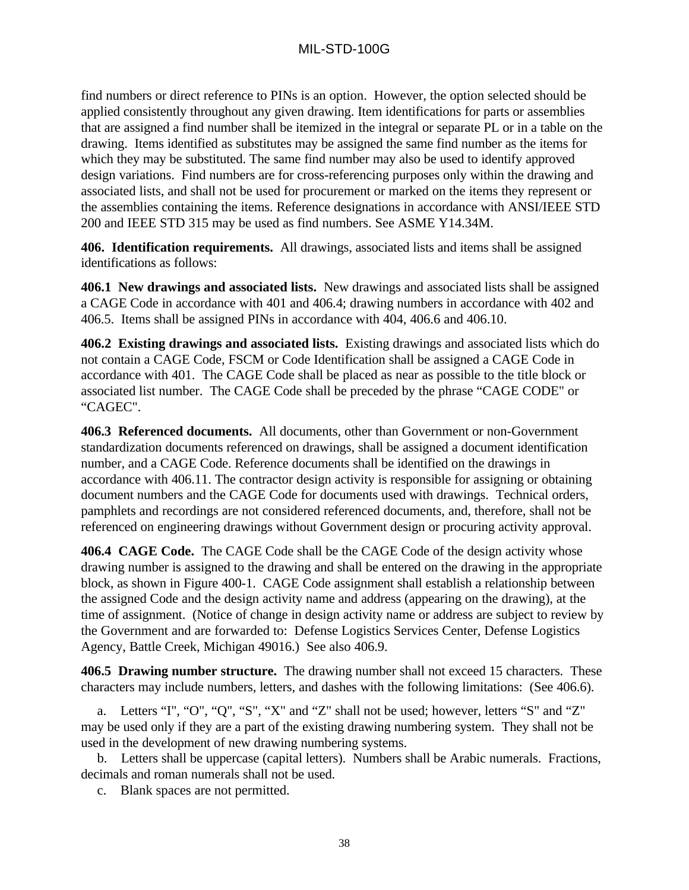find numbers or direct reference to PINs is an option. However, the option selected should be applied consistently throughout any given drawing. Item identifications for parts or assemblies that are assigned a find number shall be itemized in the integral or separate PL or in a table on the drawing. Items identified as substitutes may be assigned the same find number as the items for which they may be substituted. The same find number may also be used to identify approved design variations. Find numbers are for cross-referencing purposes only within the drawing and associated lists, and shall not be used for procurement or marked on the items they represent or the assemblies containing the items. Reference designations in accordance with ANSI/IEEE STD 200 and IEEE STD 315 may be used as find numbers. See ASME Y14.34M.

**406. Identification requirements.** All drawings, associated lists and items shall be assigned identifications as follows:

**406.1 New drawings and associated lists.** New drawings and associated lists shall be assigned a CAGE Code in accordance with 401 and 406.4; drawing numbers in accordance with 402 and 406.5. Items shall be assigned PINs in accordance with 404, 406.6 and 406.10.

**406.2 Existing drawings and associated lists.** Existing drawings and associated lists which do not contain a CAGE Code, FSCM or Code Identification shall be assigned a CAGE Code in accordance with 401. The CAGE Code shall be placed as near as possible to the title block or associated list number. The CAGE Code shall be preceded by the phrase "CAGE CODE" or "CAGEC".

**406.3 Referenced documents.** All documents, other than Government or non-Government standardization documents referenced on drawings, shall be assigned a document identification number, and a CAGE Code. Reference documents shall be identified on the drawings in accordance with 406.11. The contractor design activity is responsible for assigning or obtaining document numbers and the CAGE Code for documents used with drawings. Technical orders, pamphlets and recordings are not considered referenced documents, and, therefore, shall not be referenced on engineering drawings without Government design or procuring activity approval.

**406.4 CAGE Code.** The CAGE Code shall be the CAGE Code of the design activity whose drawing number is assigned to the drawing and shall be entered on the drawing in the appropriate block, as shown in Figure 400-1. CAGE Code assignment shall establish a relationship between the assigned Code and the design activity name and address (appearing on the drawing), at the time of assignment. (Notice of change in design activity name or address are subject to review by the Government and are forwarded to: Defense Logistics Services Center, Defense Logistics Agency, Battle Creek, Michigan 49016.) See also 406.9.

**406.5 Drawing number structure.** The drawing number shall not exceed 15 characters. These characters may include numbers, letters, and dashes with the following limitations: (See 406.6).

a. Letters "I", "O", "Q", "S", "X" and "Z" shall not be used; however, letters "S" and "Z" may be used only if they are a part of the existing drawing numbering system. They shall not be used in the development of new drawing numbering systems.

b. Letters shall be uppercase (capital letters). Numbers shall be Arabic numerals. Fractions, decimals and roman numerals shall not be used.

c. Blank spaces are not permitted.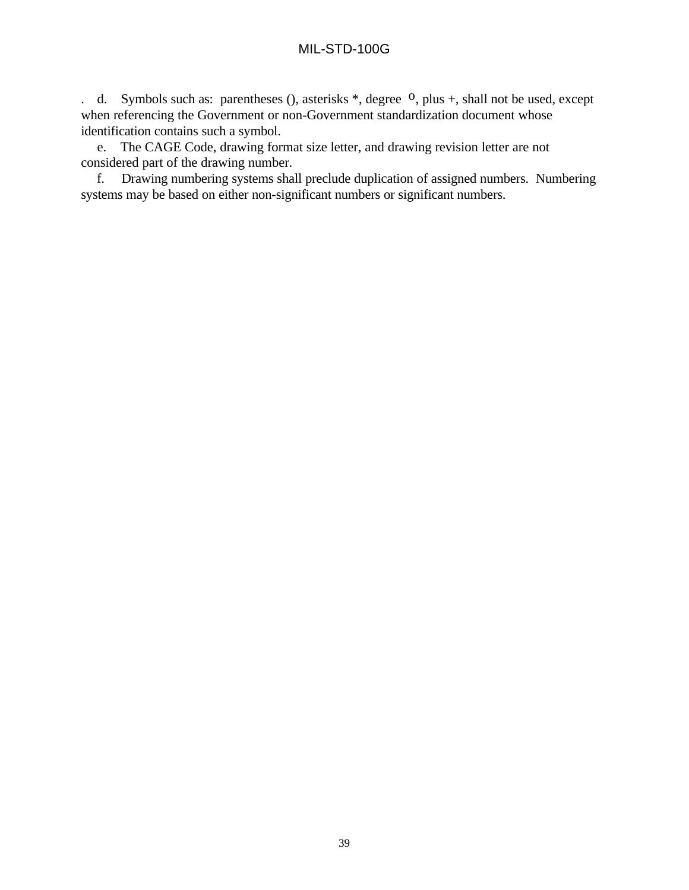. d. Symbols such as: parentheses (), asterisks  $*$ , degree  $\Omega$ , plus +, shall not be used, except when referencing the Government or non-Government standardization document whose identification contains such a symbol.

e. The CAGE Code, drawing format size letter, and drawing revision letter are not considered part of the drawing number.

f. Drawing numbering systems shall preclude duplication of assigned numbers. Numbering systems may be based on either non-significant numbers or significant numbers.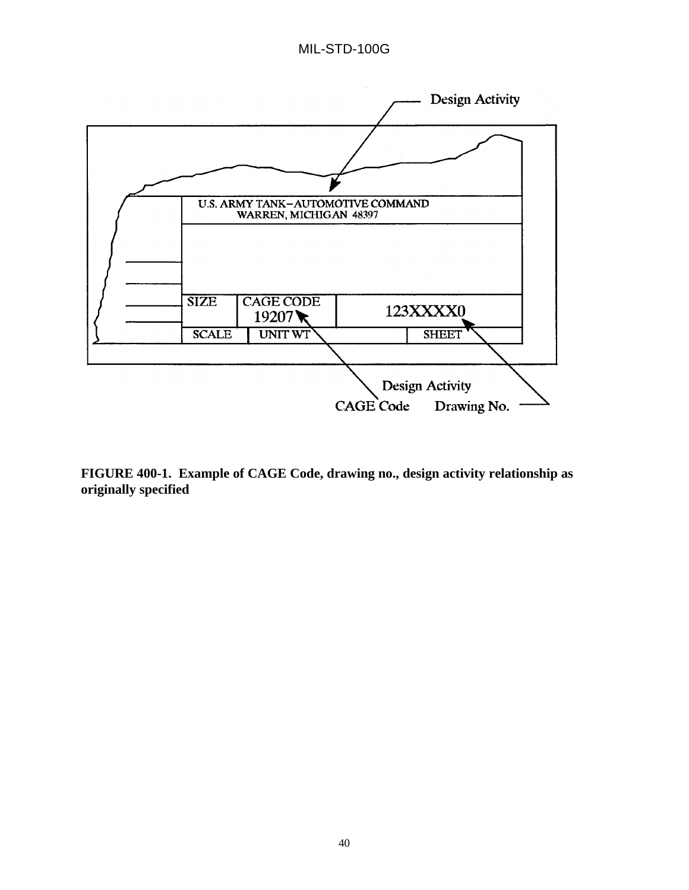

**FIGURE 400-1. Example of CAGE Code, drawing no., design activity relationship as originally specified**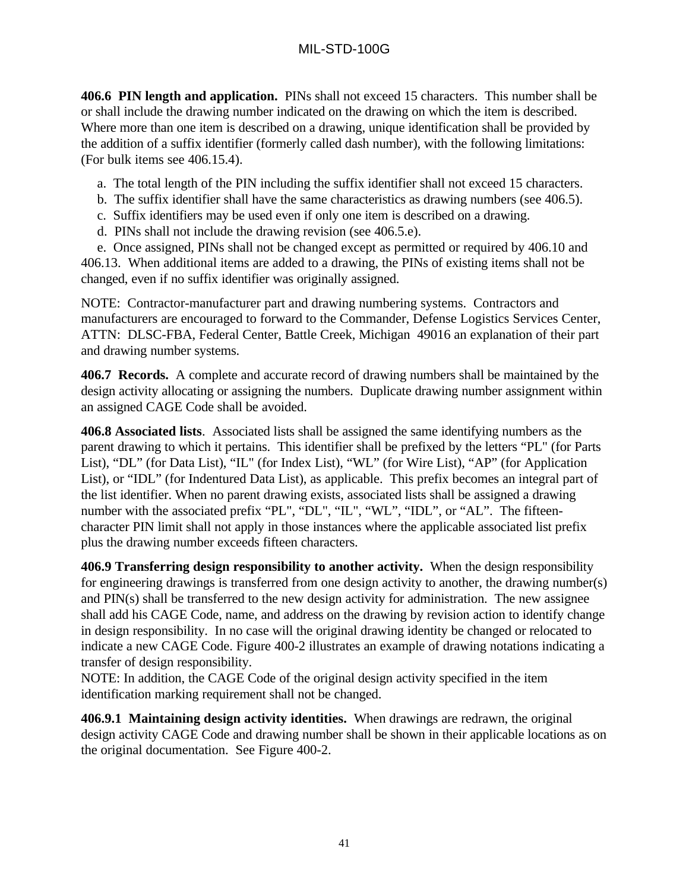**406.6 PIN length and application.** PINs shall not exceed 15 characters. This number shall be or shall include the drawing number indicated on the drawing on which the item is described. Where more than one item is described on a drawing, unique identification shall be provided by the addition of a suffix identifier (formerly called dash number), with the following limitations: (For bulk items see 406.15.4).

- a. The total length of the PIN including the suffix identifier shall not exceed 15 characters.
- b. The suffix identifier shall have the same characteristics as drawing numbers (see 406.5).
- c. Suffix identifiers may be used even if only one item is described on a drawing.
- d. PINs shall not include the drawing revision (see 406.5.e).

e. Once assigned, PINs shall not be changed except as permitted or required by 406.10 and 406.13. When additional items are added to a drawing, the PINs of existing items shall not be changed, even if no suffix identifier was originally assigned.

NOTE: Contractor-manufacturer part and drawing numbering systems. Contractors and manufacturers are encouraged to forward to the Commander, Defense Logistics Services Center, ATTN: DLSC-FBA, Federal Center, Battle Creek, Michigan 49016 an explanation of their part and drawing number systems.

**406.7 Records.** A complete and accurate record of drawing numbers shall be maintained by the design activity allocating or assigning the numbers. Duplicate drawing number assignment within an assigned CAGE Code shall be avoided.

**406.8 Associated lists**. Associated lists shall be assigned the same identifying numbers as the parent drawing to which it pertains. This identifier shall be prefixed by the letters "PL" (for Parts List), "DL" (for Data List), "IL" (for Index List), "WL" (for Wire List), "AP" (for Application List), or "IDL" (for Indentured Data List), as applicable. This prefix becomes an integral part of the list identifier. When no parent drawing exists, associated lists shall be assigned a drawing number with the associated prefix "PL", "DL", "IL", "WL", "IDL", or "AL". The fifteencharacter PIN limit shall not apply in those instances where the applicable associated list prefix plus the drawing number exceeds fifteen characters.

**406.9 Transferring design responsibility to another activity.** When the design responsibility for engineering drawings is transferred from one design activity to another, the drawing number(s) and PIN(s) shall be transferred to the new design activity for administration. The new assignee shall add his CAGE Code, name, and address on the drawing by revision action to identify change in design responsibility. In no case will the original drawing identity be changed or relocated to indicate a new CAGE Code. Figure 400-2 illustrates an example of drawing notations indicating a transfer of design responsibility.

NOTE: In addition, the CAGE Code of the original design activity specified in the item identification marking requirement shall not be changed.

**406.9.1 Maintaining design activity identities.** When drawings are redrawn, the original design activity CAGE Code and drawing number shall be shown in their applicable locations as on the original documentation. See Figure 400-2.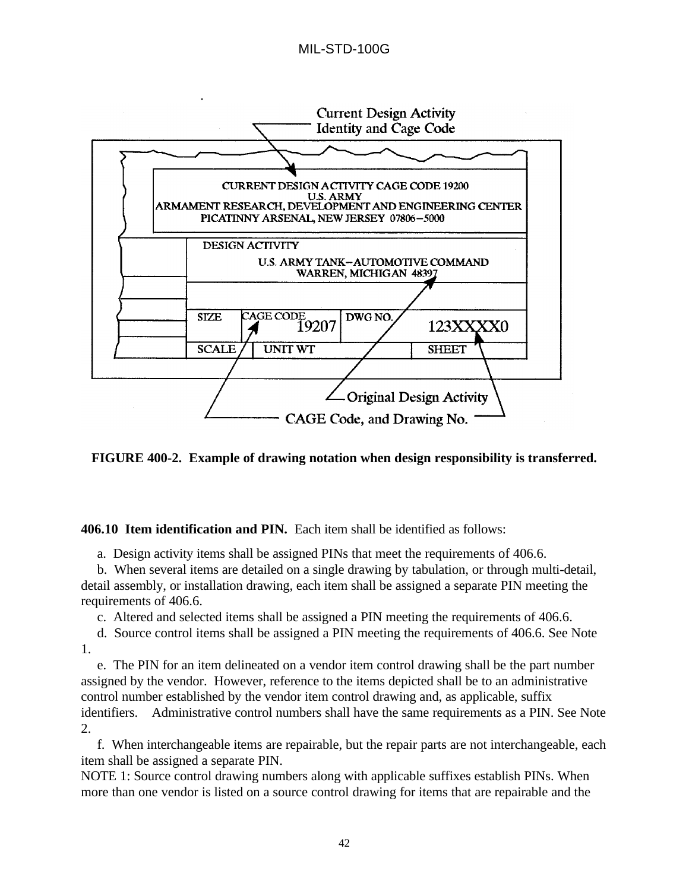

**FIGURE 400-2. Example of drawing notation when design responsibility is transferred.**

**406.10 Item identification and PIN.** Each item shall be identified as follows:

a. Design activity items shall be assigned PINs that meet the requirements of 406.6.

b. When several items are detailed on a single drawing by tabulation, or through multi-detail, detail assembly, or installation drawing, each item shall be assigned a separate PIN meeting the requirements of 406.6.

c. Altered and selected items shall be assigned a PIN meeting the requirements of 406.6.

d. Source control items shall be assigned a PIN meeting the requirements of 406.6. See Note 1.

e. The PIN for an item delineated on a vendor item control drawing shall be the part number assigned by the vendor. However, reference to the items depicted shall be to an administrative control number established by the vendor item control drawing and, as applicable, suffix identifiers. Administrative control numbers shall have the same requirements as a PIN. See Note 2.

f. When interchangeable items are repairable, but the repair parts are not interchangeable, each item shall be assigned a separate PIN.

NOTE 1: Source control drawing numbers along with applicable suffixes establish PINs. When more than one vendor is listed on a source control drawing for items that are repairable and the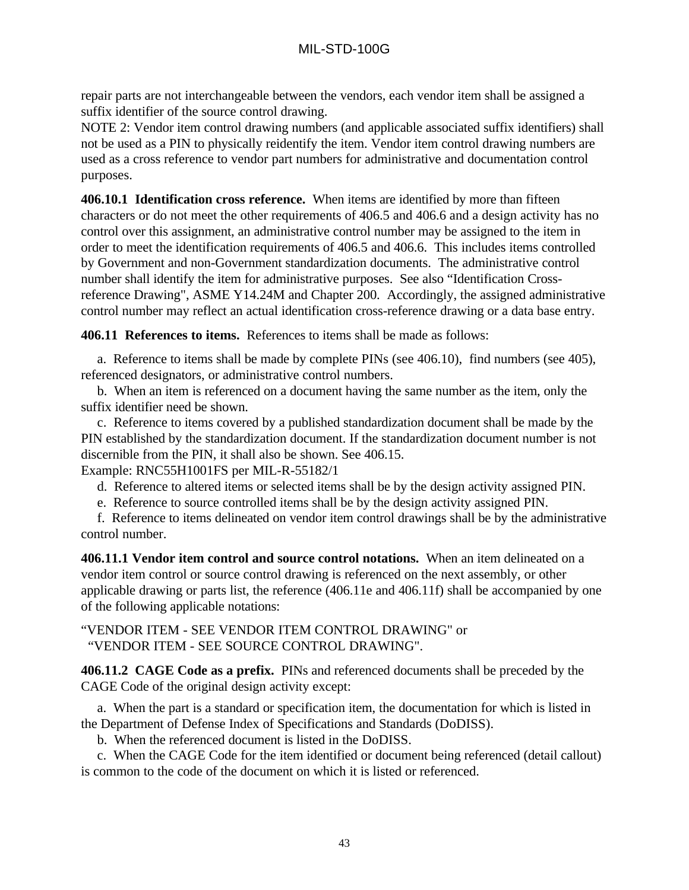repair parts are not interchangeable between the vendors, each vendor item shall be assigned a suffix identifier of the source control drawing.

NOTE 2: Vendor item control drawing numbers (and applicable associated suffix identifiers) shall not be used as a PIN to physically reidentify the item. Vendor item control drawing numbers are used as a cross reference to vendor part numbers for administrative and documentation control purposes.

**406.10.1 Identification cross reference.** When items are identified by more than fifteen characters or do not meet the other requirements of 406.5 and 406.6 and a design activity has no control over this assignment, an administrative control number may be assigned to the item in order to meet the identification requirements of 406.5 and 406.6. This includes items controlled by Government and non-Government standardization documents. The administrative control number shall identify the item for administrative purposes. See also "Identification Crossreference Drawing", ASME Y14.24M and Chapter 200. Accordingly, the assigned administrative control number may reflect an actual identification cross-reference drawing or a data base entry.

**406.11 References to items.** References to items shall be made as follows:

a. Reference to items shall be made by complete PINs (see 406.10), find numbers (see 405), referenced designators, or administrative control numbers.

b. When an item is referenced on a document having the same number as the item, only the suffix identifier need be shown.

c. Reference to items covered by a published standardization document shall be made by the PIN established by the standardization document. If the standardization document number is not discernible from the PIN, it shall also be shown. See 406.15.

Example: RNC55H1001FS per MIL-R-55182/1

d. Reference to altered items or selected items shall be by the design activity assigned PIN.

e. Reference to source controlled items shall be by the design activity assigned PIN.

f. Reference to items delineated on vendor item control drawings shall be by the administrative control number.

**406.11.1 Vendor item control and source control notations.** When an item delineated on a vendor item control or source control drawing is referenced on the next assembly, or other applicable drawing or parts list, the reference (406.11e and 406.11f) shall be accompanied by one of the following applicable notations:

"VENDOR ITEM - SEE VENDOR ITEM CONTROL DRAWING" or "VENDOR ITEM - SEE SOURCE CONTROL DRAWING".

**406.11.2 CAGE Code as a prefix.** PINs and referenced documents shall be preceded by the CAGE Code of the original design activity except:

a. When the part is a standard or specification item, the documentation for which is listed in the Department of Defense Index of Specifications and Standards (DoDISS).

b. When the referenced document is listed in the DoDISS.

c. When the CAGE Code for the item identified or document being referenced (detail callout) is common to the code of the document on which it is listed or referenced.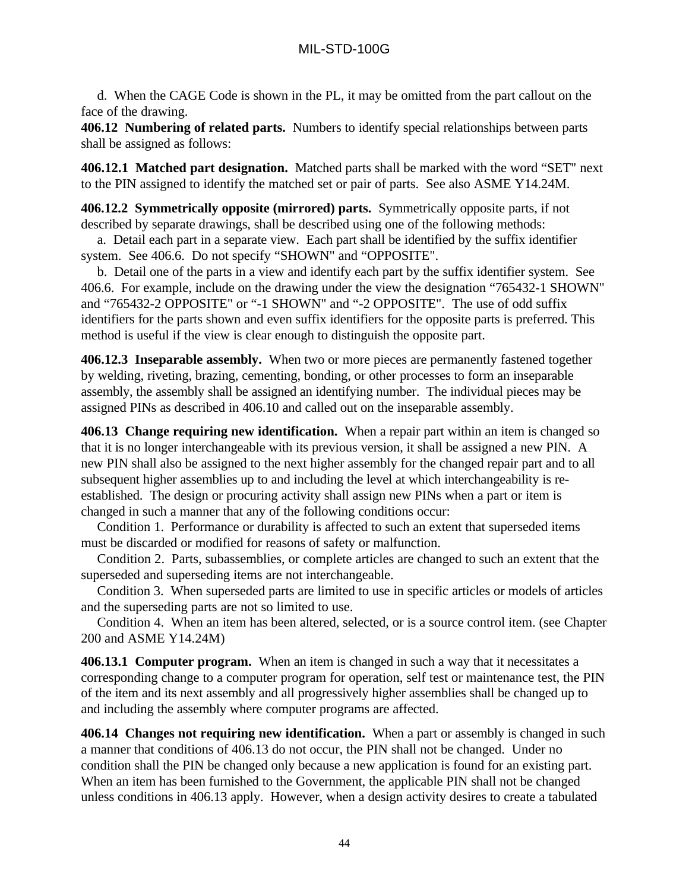d. When the CAGE Code is shown in the PL, it may be omitted from the part callout on the face of the drawing.

**406.12 Numbering of related parts.** Numbers to identify special relationships between parts shall be assigned as follows:

**406.12.1 Matched part designation.** Matched parts shall be marked with the word "SET" next to the PIN assigned to identify the matched set or pair of parts. See also ASME Y14.24M.

**406.12.2 Symmetrically opposite (mirrored) parts.** Symmetrically opposite parts, if not described by separate drawings, shall be described using one of the following methods:

a. Detail each part in a separate view. Each part shall be identified by the suffix identifier system. See 406.6. Do not specify "SHOWN" and "OPPOSITE".

b. Detail one of the parts in a view and identify each part by the suffix identifier system. See 406.6. For example, include on the drawing under the view the designation "765432-1 SHOWN" and "765432-2 OPPOSITE" or "-1 SHOWN" and "-2 OPPOSITE". The use of odd suffix identifiers for the parts shown and even suffix identifiers for the opposite parts is preferred. This method is useful if the view is clear enough to distinguish the opposite part.

**406.12.3 Inseparable assembly.** When two or more pieces are permanently fastened together by welding, riveting, brazing, cementing, bonding, or other processes to form an inseparable assembly, the assembly shall be assigned an identifying number. The individual pieces may be assigned PINs as described in 406.10 and called out on the inseparable assembly.

**406.13 Change requiring new identification.** When a repair part within an item is changed so that it is no longer interchangeable with its previous version, it shall be assigned a new PIN. A new PIN shall also be assigned to the next higher assembly for the changed repair part and to all subsequent higher assemblies up to and including the level at which interchangeability is reestablished. The design or procuring activity shall assign new PINs when a part or item is changed in such a manner that any of the following conditions occur:

Condition 1. Performance or durability is affected to such an extent that superseded items must be discarded or modified for reasons of safety or malfunction.

Condition 2. Parts, subassemblies, or complete articles are changed to such an extent that the superseded and superseding items are not interchangeable.

Condition 3. When superseded parts are limited to use in specific articles or models of articles and the superseding parts are not so limited to use.

Condition 4. When an item has been altered, selected, or is a source control item. (see Chapter 200 and ASME Y14.24M)

**406.13.1 Computer program.** When an item is changed in such a way that it necessitates a corresponding change to a computer program for operation, self test or maintenance test, the PIN of the item and its next assembly and all progressively higher assemblies shall be changed up to and including the assembly where computer programs are affected.

**406.14 Changes not requiring new identification.** When a part or assembly is changed in such a manner that conditions of 406.13 do not occur, the PIN shall not be changed. Under no condition shall the PIN be changed only because a new application is found for an existing part. When an item has been furnished to the Government, the applicable PIN shall not be changed unless conditions in 406.13 apply. However, when a design activity desires to create a tabulated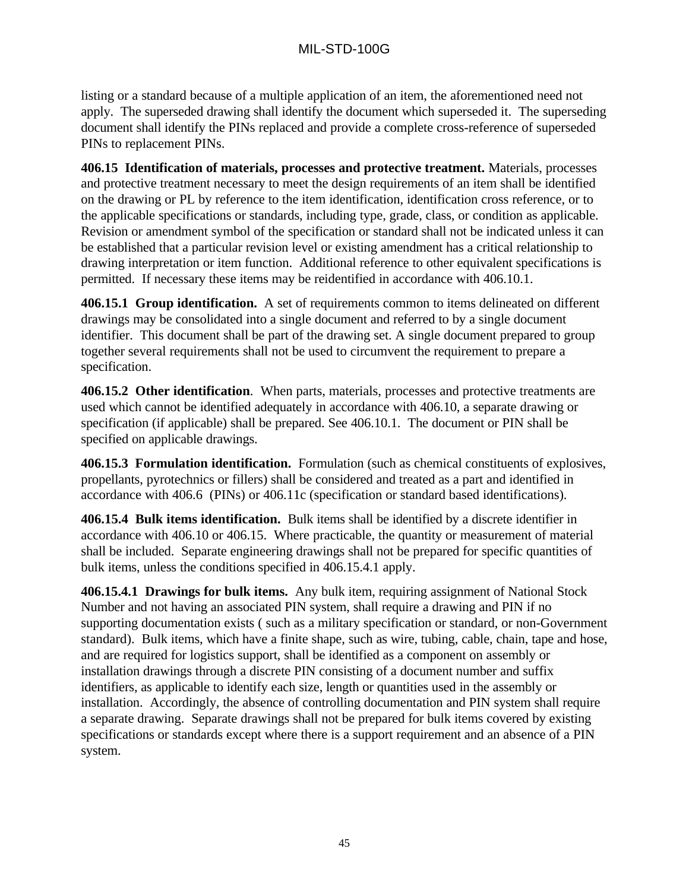listing or a standard because of a multiple application of an item, the aforementioned need not apply. The superseded drawing shall identify the document which superseded it. The superseding document shall identify the PINs replaced and provide a complete cross-reference of superseded PINs to replacement PINs.

**406.15 Identification of materials, processes and protective treatment.** Materials, processes and protective treatment necessary to meet the design requirements of an item shall be identified on the drawing or PL by reference to the item identification, identification cross reference, or to the applicable specifications or standards, including type, grade, class, or condition as applicable. Revision or amendment symbol of the specification or standard shall not be indicated unless it can be established that a particular revision level or existing amendment has a critical relationship to drawing interpretation or item function. Additional reference to other equivalent specifications is permitted. If necessary these items may be reidentified in accordance with 406.10.1.

**406.15.1 Group identification.** A set of requirements common to items delineated on different drawings may be consolidated into a single document and referred to by a single document identifier. This document shall be part of the drawing set. A single document prepared to group together several requirements shall not be used to circumvent the requirement to prepare a specification.

**406.15.2 Other identification**. When parts, materials, processes and protective treatments are used which cannot be identified adequately in accordance with 406.10, a separate drawing or specification (if applicable) shall be prepared. See 406.10.1. The document or PIN shall be specified on applicable drawings.

**406.15.3 Formulation identification.** Formulation (such as chemical constituents of explosives, propellants, pyrotechnics or fillers) shall be considered and treated as a part and identified in accordance with 406.6 (PINs) or 406.11c (specification or standard based identifications).

**406.15.4 Bulk items identification.** Bulk items shall be identified by a discrete identifier in accordance with 406.10 or 406.15. Where practicable, the quantity or measurement of material shall be included. Separate engineering drawings shall not be prepared for specific quantities of bulk items, unless the conditions specified in 406.15.4.1 apply.

**406.15.4.1 Drawings for bulk items.** Any bulk item, requiring assignment of National Stock Number and not having an associated PIN system, shall require a drawing and PIN if no supporting documentation exists ( such as a military specification or standard, or non-Government standard). Bulk items, which have a finite shape, such as wire, tubing, cable, chain, tape and hose, and are required for logistics support, shall be identified as a component on assembly or installation drawings through a discrete PIN consisting of a document number and suffix identifiers, as applicable to identify each size, length or quantities used in the assembly or installation. Accordingly, the absence of controlling documentation and PIN system shall require a separate drawing. Separate drawings shall not be prepared for bulk items covered by existing specifications or standards except where there is a support requirement and an absence of a PIN system.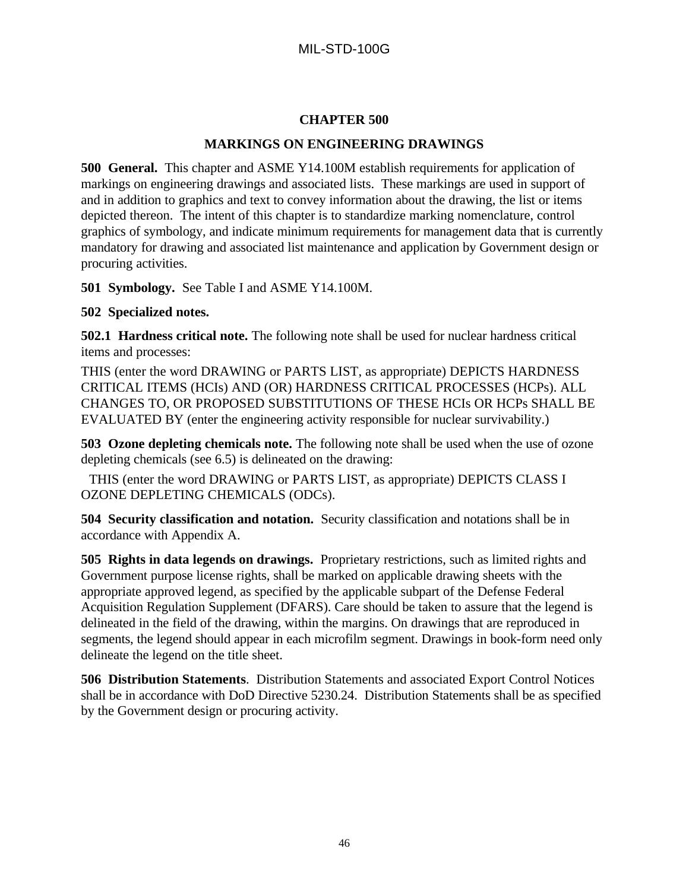### **CHAPTER 500**

### **MARKINGS ON ENGINEERING DRAWINGS**

**500 General.** This chapter and ASME Y14.100M establish requirements for application of markings on engineering drawings and associated lists. These markings are used in support of and in addition to graphics and text to convey information about the drawing, the list or items depicted thereon. The intent of this chapter is to standardize marking nomenclature, control graphics of symbology, and indicate minimum requirements for management data that is currently mandatory for drawing and associated list maintenance and application by Government design or procuring activities.

**501 Symbology.** See Table I and ASME Y14.100M.

## **502 Specialized notes.**

**502.1 Hardness critical note.** The following note shall be used for nuclear hardness critical items and processes:

THIS (enter the word DRAWING or PARTS LIST, as appropriate) DEPICTS HARDNESS CRITICAL ITEMS (HCIs) AND (OR) HARDNESS CRITICAL PROCESSES (HCPs). ALL CHANGES TO, OR PROPOSED SUBSTITUTIONS OF THESE HCIs OR HCPs SHALL BE EVALUATED BY (enter the engineering activity responsible for nuclear survivability.)

**503 Ozone depleting chemicals note.** The following note shall be used when the use of ozone depleting chemicals (see 6.5) is delineated on the drawing:

THIS (enter the word DRAWING or PARTS LIST, as appropriate) DEPICTS CLASS I OZONE DEPLETING CHEMICALS (ODCs).

**504 Security classification and notation.** Security classification and notations shall be in accordance with Appendix A.

**505 Rights in data legends on drawings.** Proprietary restrictions, such as limited rights and Government purpose license rights, shall be marked on applicable drawing sheets with the appropriate approved legend, as specified by the applicable subpart of the Defense Federal Acquisition Regulation Supplement (DFARS). Care should be taken to assure that the legend is delineated in the field of the drawing, within the margins. On drawings that are reproduced in segments, the legend should appear in each microfilm segment. Drawings in book-form need only delineate the legend on the title sheet.

**506 Distribution Statements**. Distribution Statements and associated Export Control Notices shall be in accordance with DoD Directive 5230.24. Distribution Statements shall be as specified by the Government design or procuring activity.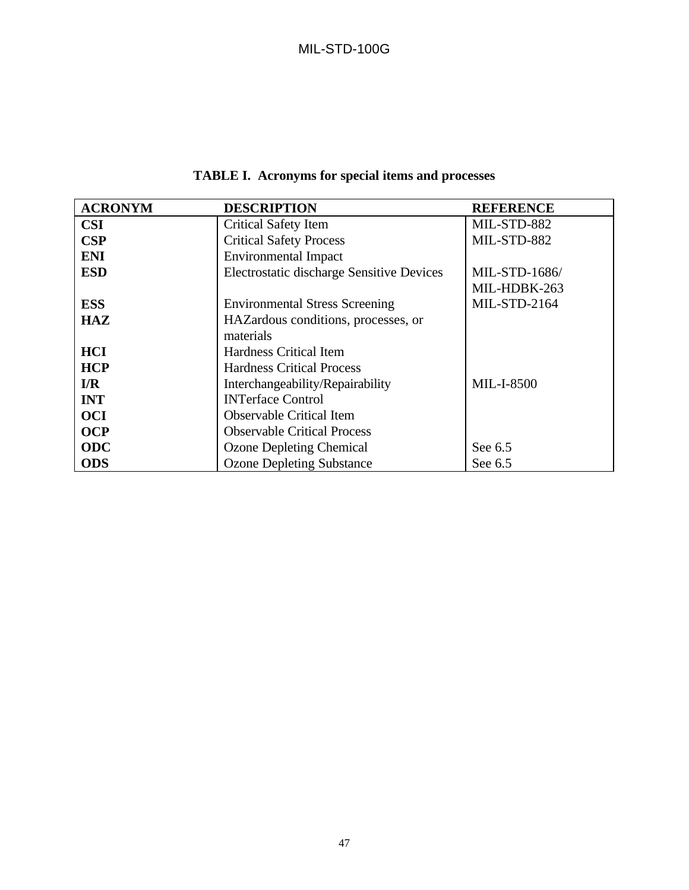| <b>ACRONYM</b>          | <b>DESCRIPTION</b>                               | <b>REFERENCE</b>    |
|-------------------------|--------------------------------------------------|---------------------|
| <b>CSI</b>              | <b>Critical Safety Item</b>                      | MIL-STD-882         |
| CSP                     | <b>Critical Safety Process</b>                   | MIL-STD-882         |
| <b>ENI</b>              | <b>Environmental Impact</b>                      |                     |
| <b>ESD</b>              | <b>Electrostatic discharge Sensitive Devices</b> | MIL-STD-1686/       |
|                         |                                                  | MIL-HDBK-263        |
| <b>ESS</b>              | <b>Environmental Stress Screening</b>            | <b>MIL-STD-2164</b> |
| <b>HAZ</b>              | HAZardous conditions, processes, or              |                     |
|                         | materials                                        |                     |
| <b>HCI</b>              | <b>Hardness Critical Item</b>                    |                     |
| <b>HCP</b>              | <b>Hardness Critical Process</b>                 |                     |
| $\mathbf{I}/\mathbf{R}$ | Interchangeability/Repairability                 | <b>MIL-I-8500</b>   |
| <b>INT</b>              | <b>INTerface Control</b>                         |                     |
| <b>OCI</b>              | <b>Observable Critical Item</b>                  |                     |
| <b>OCP</b>              | <b>Observable Critical Process</b>               |                     |
| <b>ODC</b>              | <b>Ozone Depleting Chemical</b>                  | See 6.5             |
| <b>ODS</b>              | <b>Ozone Depleting Substance</b>                 | See 6.5             |

# **TABLE I. Acronyms for special items and processes**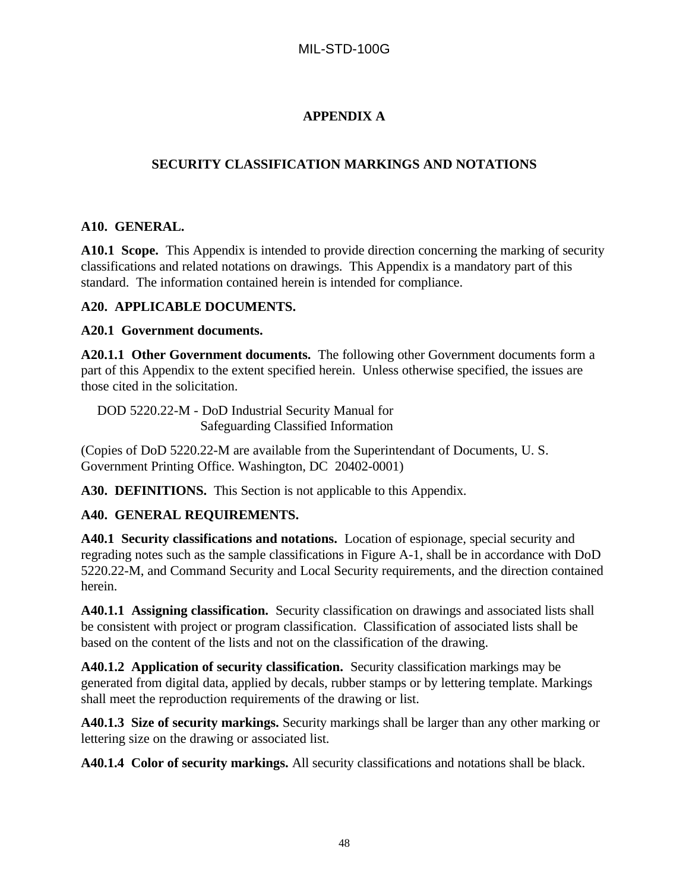# **APPENDIX A**

# **SECURITY CLASSIFICATION MARKINGS AND NOTATIONS**

## **A10. GENERAL.**

**A10.1 Scope.** This Appendix is intended to provide direction concerning the marking of security classifications and related notations on drawings. This Appendix is a mandatory part of this standard. The information contained herein is intended for compliance.

## **A20. APPLICABLE DOCUMENTS.**

## **A20.1 Government documents.**

**A20.1.1 Other Government documents.** The following other Government documents form a part of this Appendix to the extent specified herein. Unless otherwise specified, the issues are those cited in the solicitation.

DOD 5220.22-M - DoD Industrial Security Manual for Safeguarding Classified Information

(Copies of DoD 5220.22-M are available from the Superintendant of Documents, U. S. Government Printing Office. Washington, DC 20402-0001)

**A30. DEFINITIONS.** This Section is not applicable to this Appendix.

## **A40. GENERAL REQUIREMENTS.**

**A40.1 Security classifications and notations.** Location of espionage, special security and regrading notes such as the sample classifications in Figure A-1, shall be in accordance with DoD 5220.22-M, and Command Security and Local Security requirements, and the direction contained herein.

**A40.1.1 Assigning classification.** Security classification on drawings and associated lists shall be consistent with project or program classification. Classification of associated lists shall be based on the content of the lists and not on the classification of the drawing.

**A40.1.2 Application of security classification.** Security classification markings may be generated from digital data, applied by decals, rubber stamps or by lettering template. Markings shall meet the reproduction requirements of the drawing or list.

**A40.1.3 Size of security markings.** Security markings shall be larger than any other marking or lettering size on the drawing or associated list.

**A40.1.4 Color of security markings.** All security classifications and notations shall be black.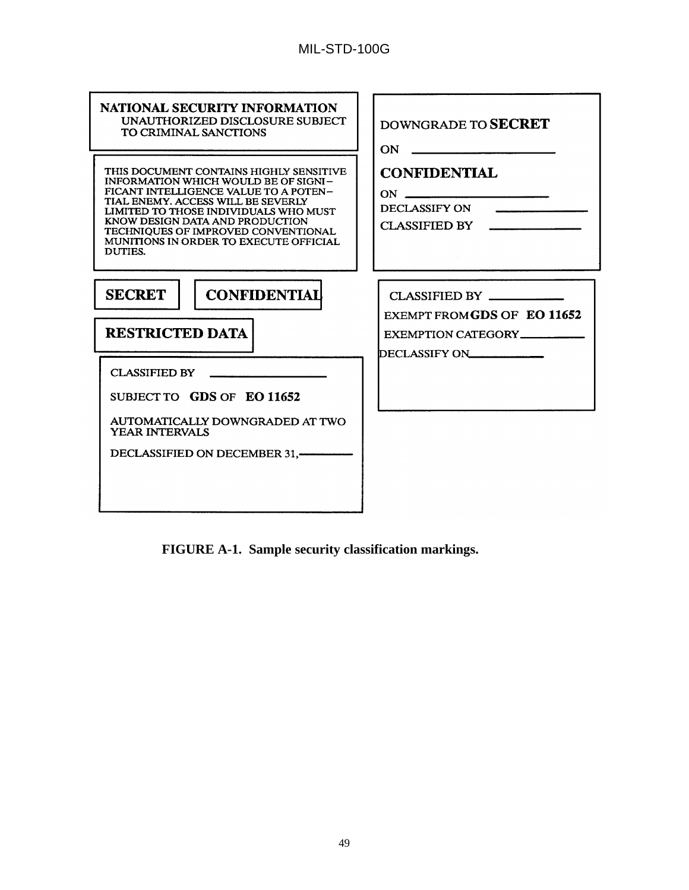| <b>NATIONAL SECURITY INFORMATION</b><br>UNAUTHORIZED DISCLOSURE SUBJECT<br>TO CRIMINAL SANCTIONS                                                                                                                                                                                                                                              | DOWNGRADE TO SECRET<br>$ON \fbox{}$                                                 |
|-----------------------------------------------------------------------------------------------------------------------------------------------------------------------------------------------------------------------------------------------------------------------------------------------------------------------------------------------|-------------------------------------------------------------------------------------|
| THIS DOCUMENT CONTAINS HIGHLY SENSITIVE<br><b>INFORMATION WHICH WOULD BE OF SIGNI-</b><br>FICANT INTELLIGENCE VALUE TO A POTEN-<br>TIAL ENEMY. ACCESS WILL BE SEVERLY<br>LIMITED TO THOSE INDIVIDUALS WHO MUST<br>KNOW DESIGN DATA AND PRODUCTION<br>TECHNIOUES OF IMPROVED CONVENTIONAL<br>MUNITIONS IN ORDER TO EXECUTE OFFICIAL<br>DUTIES. | <b>CONFIDENTIAL</b><br>DECLASSIFY ON<br>CLASSIFIED BY                               |
| <b>SECRET</b><br><b>CONFIDENTIAL</b><br><b>RESTRICTED DATA</b><br>CLASSIFIED BY<br>SUBJECT TO GDS OF EO 11652<br>AUTOMATICALLY DOWNGRADED AT TWO<br><b>YEAR INTERVALS</b>                                                                                                                                                                     | CLASSIFIED BY<br>EXEMPT FROM GDS OF EO 11652<br>EXEMPTION CATEGORY<br>DECLASSIFY ON |

**FIGURE A-1. Sample security classification markings.**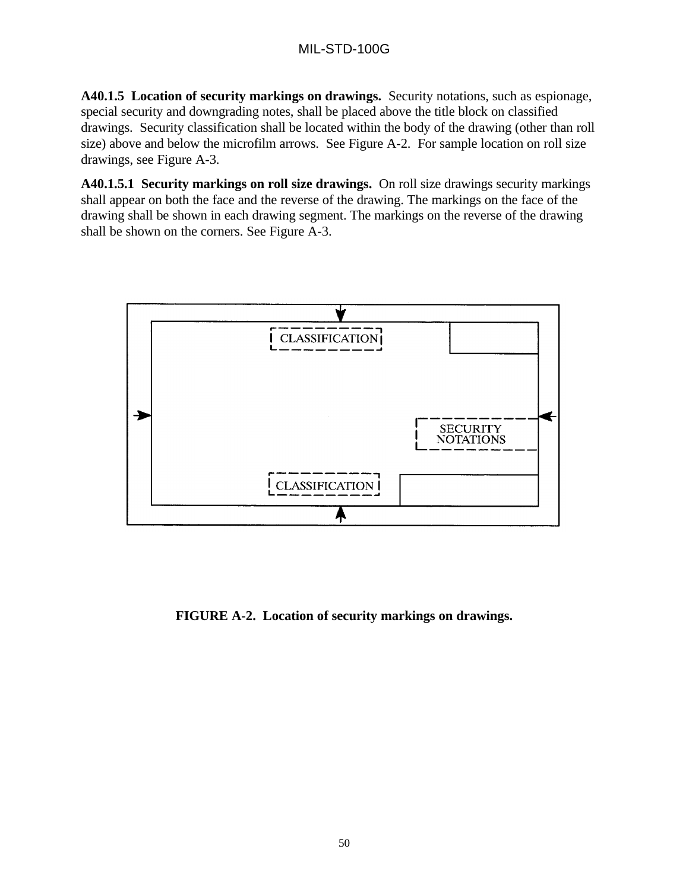**A40.1.5 Location of security markings on drawings.** Security notations, such as espionage, special security and downgrading notes, shall be placed above the title block on classified drawings. Security classification shall be located within the body of the drawing (other than roll size) above and below the microfilm arrows. See Figure A-2. For sample location on roll size drawings, see Figure A-3.

**A40.1.5.1 Security markings on roll size drawings.** On roll size drawings security markings shall appear on both the face and the reverse of the drawing. The markings on the face of the drawing shall be shown in each drawing segment. The markings on the reverse of the drawing shall be shown on the corners. See Figure A-3.



**FIGURE A-2. Location of security markings on drawings.**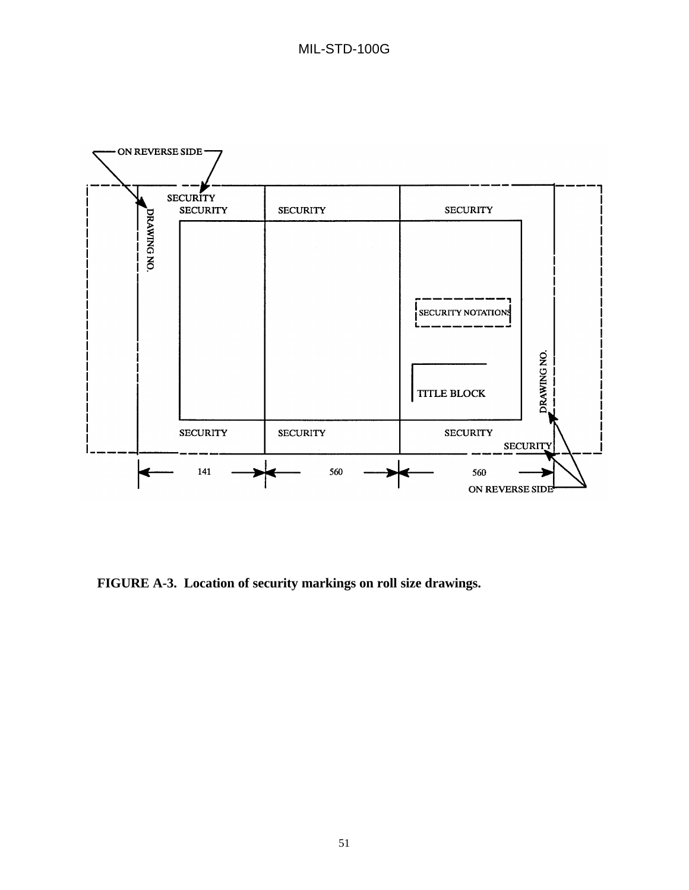

**FIGURE A-3. Location of security markings on roll size drawings.**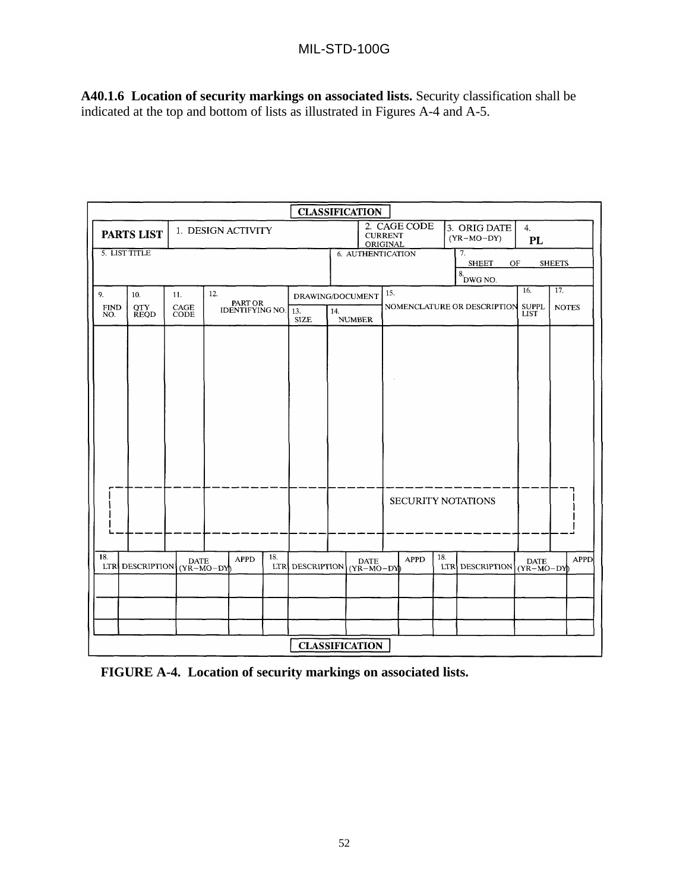# MIL-STD-100G

**A40.1.6 Location of security markings on associated lists.** Security classification shall be indicated at the top and bottom of lists as illustrated in Figures A-4 and A-5.

|                    |                           |                                               |                                                     |     | <b>CLASSIFICATION</b> |     |                             |     |              |     |                              |                             |               |
|--------------------|---------------------------|-----------------------------------------------|-----------------------------------------------------|-----|-----------------------|-----|-----------------------------|-----|--------------|-----|------------------------------|-----------------------------|---------------|
|                    | <b>PARTS LIST</b>         |                                               | 1. DESIGN ACTIVITY                                  |     |                       |     | <b>CURRENT</b><br>ORIGINAL  |     | 2. CAGE CODE |     | 3. ORIG DATE<br>$(YR-MO-DY)$ | 4.<br>PL                    |               |
|                    | 5. LIST TITLE             |                                               |                                                     |     |                       |     | 6. AUTHENTICATION           |     |              |     | 7.<br><b>SHEET</b><br>OF     |                             | <b>SHEETS</b> |
|                    |                           |                                               |                                                     |     |                       |     |                             |     |              |     | $8.000 \times 10^{-10}$      |                             |               |
| 9.                 | 10.                       | 11.                                           | 12.                                                 |     | DRAWING/DOCUMENT      |     |                             | 15. |              |     |                              | 16.                         | 17.           |
| <b>FIND</b><br>NO. | <b>QTY</b><br><b>REQD</b> | $\operatorname*{CAGE}_{\operatorname*{CODE}}$ | PART OR<br><b>IDENTIFYING NO.</b>                   |     | 13.                   | 14. |                             |     |              |     | NOMENCLATURE OR DESCRIPTION  | <b>SUPPL</b><br><b>LIST</b> | <b>NOTES</b>  |
|                    |                           |                                               |                                                     |     | <b>SIZE</b>           |     | <b>NUMBER</b>               |     |              |     |                              |                             |               |
|                    |                           |                                               |                                                     |     |                       |     |                             |     |              |     |                              |                             |               |
|                    |                           |                                               |                                                     |     |                       |     |                             |     |              |     |                              |                             |               |
|                    |                           |                                               |                                                     |     |                       |     |                             |     |              |     |                              |                             |               |
|                    |                           |                                               |                                                     |     |                       |     |                             |     |              |     |                              |                             |               |
|                    |                           |                                               |                                                     |     |                       |     |                             |     |              |     |                              |                             |               |
|                    |                           |                                               |                                                     |     |                       |     |                             |     |              |     |                              |                             |               |
|                    |                           |                                               |                                                     |     |                       |     |                             |     |              |     |                              |                             |               |
|                    |                           |                                               |                                                     |     |                       |     |                             |     |              |     |                              |                             |               |
|                    |                           |                                               |                                                     |     |                       |     |                             |     |              |     |                              |                             |               |
|                    |                           |                                               |                                                     |     |                       |     |                             |     |              |     | SECURITY NOTATIONS           |                             |               |
|                    |                           |                                               |                                                     |     |                       |     |                             |     |              |     |                              |                             |               |
|                    |                           |                                               |                                                     |     |                       |     |                             |     |              |     |                              |                             |               |
| 18.                | LTR DESCRIPTION           | <b>DATE</b>                                   | <b>APPD</b><br>$(Y\widetilde{R}-\widetilde{MO}-DY)$ | 18. | LTR DESCRIPTION       |     | <b>DATE</b><br>$(YR-MO-DY)$ |     | <b>APPD</b>  | 18. | LTR DESCRIPTION              | <b>DATE</b><br>$(YR-MO-DY)$ | <b>APPD</b>   |
|                    |                           |                                               |                                                     |     |                       |     |                             |     |              |     |                              |                             |               |
|                    |                           |                                               |                                                     |     |                       |     |                             |     |              |     |                              |                             |               |
|                    |                           |                                               |                                                     |     |                       |     |                             |     |              |     |                              |                             |               |
|                    |                           |                                               |                                                     |     |                       |     |                             |     |              |     |                              |                             |               |
|                    | <b>CLASSIFICATION</b>     |                                               |                                                     |     |                       |     |                             |     |              |     |                              |                             |               |

**FIGURE A-4. Location of security markings on associated lists.**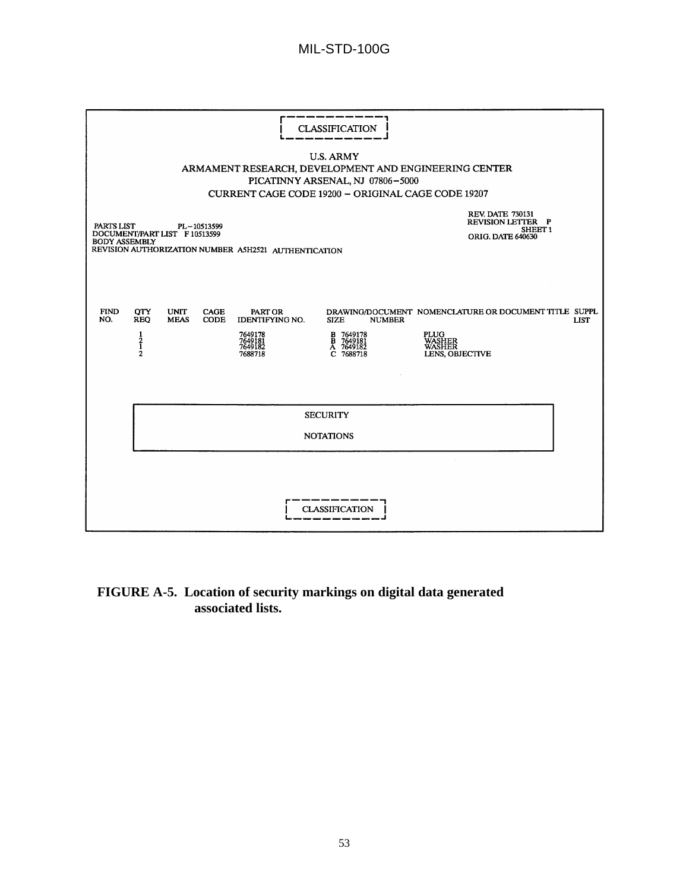# MIL-STD-100G

|                                    | <b>CLASSIFICATION</b><br><b>U.S. ARMY</b><br>ARMAMENT RESEARCH, DEVELOPMENT AND ENGINEERING CENTER<br>PICATINNY ARSENAL, NJ 07806-5000<br>CURRENT CAGE CODE 19200 - ORIGINAL CAGE CODE 19207 |                               |                     |                                                                               |                                                                                                 |                                                                                                                            |  |  |
|------------------------------------|----------------------------------------------------------------------------------------------------------------------------------------------------------------------------------------------|-------------------------------|---------------------|-------------------------------------------------------------------------------|-------------------------------------------------------------------------------------------------|----------------------------------------------------------------------------------------------------------------------------|--|--|
| PARTS LIST<br><b>BODY ASSEMBLY</b> |                                                                                                                                                                                              | DOCUMENT/PART LIST F 10513599 | PL-10513599         | REVISION AUTHORIZATION NUMBER A5H2521 AUTHENTICATION                          |                                                                                                 | <b>REV. DATE 730131</b><br><b>REVISION LETTER P</b><br>SHEET <sub>1</sub><br>ORIG. DATE 640630                             |  |  |
| <b>FIND</b><br>NO.                 | <b>QTY</b><br><b>REQ</b><br>$\frac{1}{2}$                                                                                                                                                    | <b>UNIT</b><br><b>MEAS</b>    | <b>CAGE</b><br>CODE | PART OR<br><b>IDENTIFYING NO.</b><br>7649178<br>7649181<br>7649182<br>7688718 | <b>SIZE</b><br><b>NUMBER</b><br>7649178<br>B 7649178<br>B 7649181<br>A 7649182<br>C.<br>7688718 | DRAWING/DOCUMENT NOMENCLATURE OR DOCUMENT TITLE SUPPL<br><b>LIST</b><br><b>PLUG</b><br>WASHER<br>WASHER<br>LENS, OBJECTIVE |  |  |
|                                    | <b>SECURITY</b><br><b>NOTATIONS</b>                                                                                                                                                          |                               |                     |                                                                               |                                                                                                 |                                                                                                                            |  |  |
|                                    | <b>CLASSIFICATION</b>                                                                                                                                                                        |                               |                     |                                                                               |                                                                                                 |                                                                                                                            |  |  |

# **FIGURE A-5. Location of security markings on digital data generated associated lists.**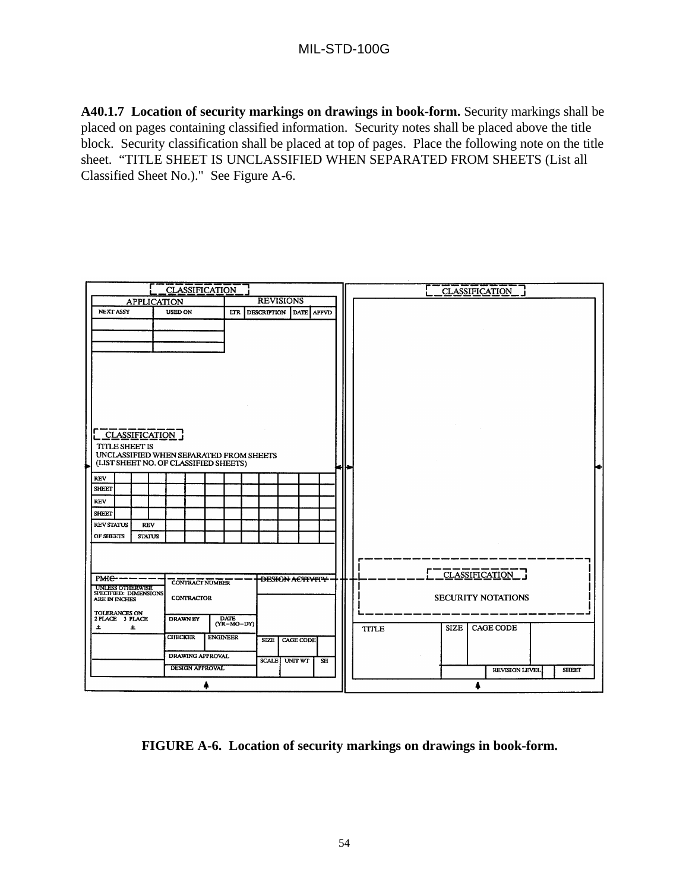**A40.1.7 Location of security markings on drawings in book-form.** Security markings shall be placed on pages containing classified information. Security notes shall be placed above the title block. Security classification shall be placed at top of pages. Place the following note on the title sheet. "TITLE SHEET IS UNCLASSIFIED WHEN SEPARATED FROM SHEETS (List all Classified Sheet No.)." See Figure A-6.

|                                        | <b>CLASSIFICATION</b>                   |                                  | <b>CLASSIFICATION</b>                    |
|----------------------------------------|-----------------------------------------|----------------------------------|------------------------------------------|
| <b>APPLICATION</b>                     |                                         | <b>REVISIONS</b>                 |                                          |
| <b>NEXT ASSY</b>                       | <b>USED ON</b><br>LTR                   | <b>DESCRIPTION</b><br>DATE APPVD |                                          |
|                                        |                                         |                                  |                                          |
|                                        |                                         |                                  |                                          |
|                                        |                                         |                                  |                                          |
|                                        |                                         |                                  |                                          |
|                                        |                                         |                                  |                                          |
|                                        |                                         |                                  |                                          |
|                                        |                                         |                                  |                                          |
|                                        |                                         |                                  |                                          |
|                                        |                                         |                                  |                                          |
|                                        |                                         |                                  |                                          |
|                                        |                                         |                                  |                                          |
| <b>CLASSIFICATION</b>                  |                                         |                                  |                                          |
| <b>TITLE SHEET IS</b>                  |                                         |                                  |                                          |
|                                        | UNCLASSIFIED WHEN SEPARATED FROM SHEETS |                                  |                                          |
|                                        | (LIST SHEET NO. OF CLASSIFIED SHEETS)   |                                  |                                          |
|                                        |                                         |                                  |                                          |
| <b>REV</b><br><b>SHEET</b>             |                                         |                                  |                                          |
|                                        |                                         |                                  |                                          |
| <b>REV</b>                             |                                         |                                  |                                          |
| <b>SHEET</b>                           |                                         |                                  |                                          |
| <b>REV STATUS</b><br><b>REV</b>        |                                         |                                  |                                          |
| OF SHEETS<br><b>STATUS</b>             |                                         |                                  |                                          |
|                                        |                                         |                                  |                                          |
|                                        |                                         |                                  |                                          |
|                                        |                                         |                                  |                                          |
| $PME$ $-$                              | <b>CONTRACT NUMBER</b>                  | <b>DESIGN ACTIVITY</b>           | CLASSIFICATION ]                         |
| <b>UNLESS OTHERWISE</b>                |                                         |                                  |                                          |
| SPECIFIED: DIMENSIONS<br>ARE IN INCHES | <b>CONTRACTOR</b>                       |                                  | <b>SECURITY NOTATIONS</b>                |
| <b>TOLERANCES ON</b>                   |                                         |                                  |                                          |
| 2 PLACE 3 PLACE                        | <b>DATE</b><br><b>DRAWN BY</b>          |                                  |                                          |
| 土<br>土                                 | $(YR-MO-DY)$                            |                                  | <b>SIZE</b><br>CAGE CODE<br><b>TITLE</b> |
|                                        | <b>CHECKER</b><br><b>ENGINEER</b>       | <b>SIZE</b><br><b>CAGE CODE</b>  |                                          |
|                                        |                                         |                                  |                                          |
|                                        | <b>DRAWING APPROVAL</b>                 | <b>SCALE</b><br>UNIT WT<br>SH    |                                          |
|                                        | <b>DESIGN APPROVAL</b>                  |                                  | REVISION LEVEL<br><b>SHEET</b>           |
|                                        |                                         |                                  |                                          |

**FIGURE A-6. Location of security markings on drawings in book-form.**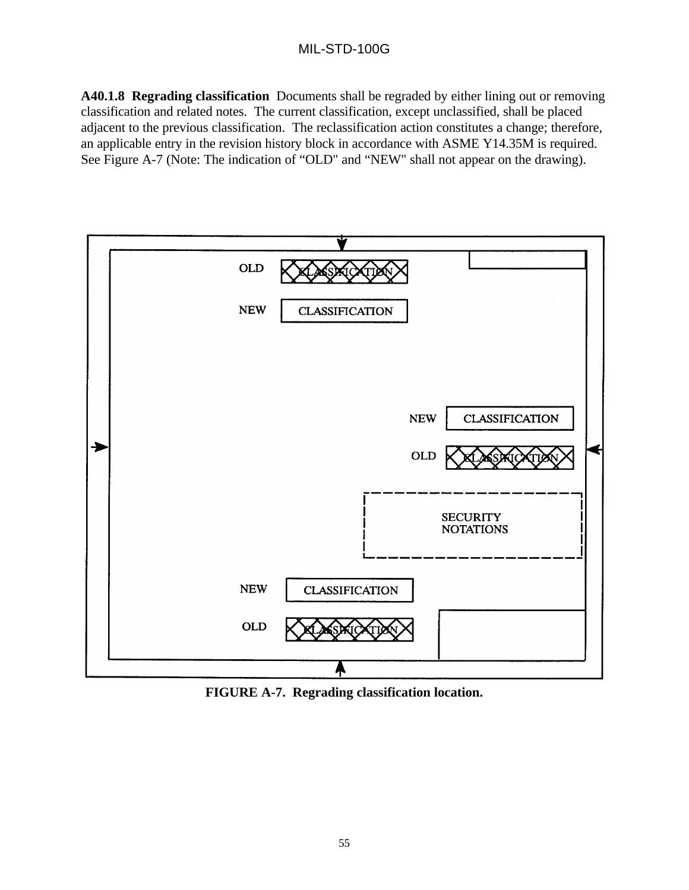# MIL-STD-100G

**A40.1.8 Regrading classification** Documents shall be regraded by either lining out or removing classification and related notes. The current classification, except unclassified, shall be placed adjacent to the previous classification. The reclassification action constitutes a change; therefore, an applicable entry in the revision history block in accordance with ASME Y14.35M is required. See Figure A-7 (Note: The indication of "OLD" and "NEW" shall not appear on the drawing).



**FIGURE A-7. Regrading classification location.**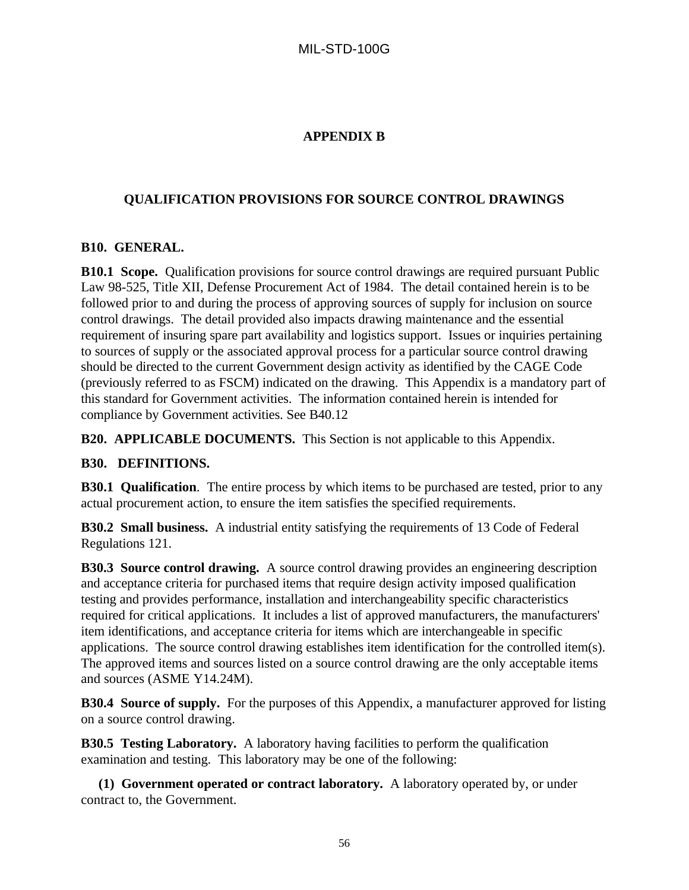# **APPENDIX B**

## **QUALIFICATION PROVISIONS FOR SOURCE CONTROL DRAWINGS**

### **B10. GENERAL.**

**B10.1 Scope.** Qualification provisions for source control drawings are required pursuant Public Law 98-525, Title XII, Defense Procurement Act of 1984. The detail contained herein is to be followed prior to and during the process of approving sources of supply for inclusion on source control drawings. The detail provided also impacts drawing maintenance and the essential requirement of insuring spare part availability and logistics support. Issues or inquiries pertaining to sources of supply or the associated approval process for a particular source control drawing should be directed to the current Government design activity as identified by the CAGE Code (previously referred to as FSCM) indicated on the drawing. This Appendix is a mandatory part of this standard for Government activities. The information contained herein is intended for compliance by Government activities. See B40.12

**B20. APPLICABLE DOCUMENTS.** This Section is not applicable to this Appendix.

#### **B30. DEFINITIONS.**

**B30.1 Qualification**. The entire process by which items to be purchased are tested, prior to any actual procurement action, to ensure the item satisfies the specified requirements.

**B30.2 Small business.** A industrial entity satisfying the requirements of 13 Code of Federal Regulations 121.

**B30.3 Source control drawing.** A source control drawing provides an engineering description and acceptance criteria for purchased items that require design activity imposed qualification testing and provides performance, installation and interchangeability specific characteristics required for critical applications. It includes a list of approved manufacturers, the manufacturers' item identifications, and acceptance criteria for items which are interchangeable in specific applications. The source control drawing establishes item identification for the controlled item(s). The approved items and sources listed on a source control drawing are the only acceptable items and sources (ASME Y14.24M).

**B30.4 Source of supply.** For the purposes of this Appendix, a manufacturer approved for listing on a source control drawing.

**B30.5 Testing Laboratory.** A laboratory having facilities to perform the qualification examination and testing. This laboratory may be one of the following:

 **(1) Government operated or contract laboratory.** A laboratory operated by, or under contract to, the Government.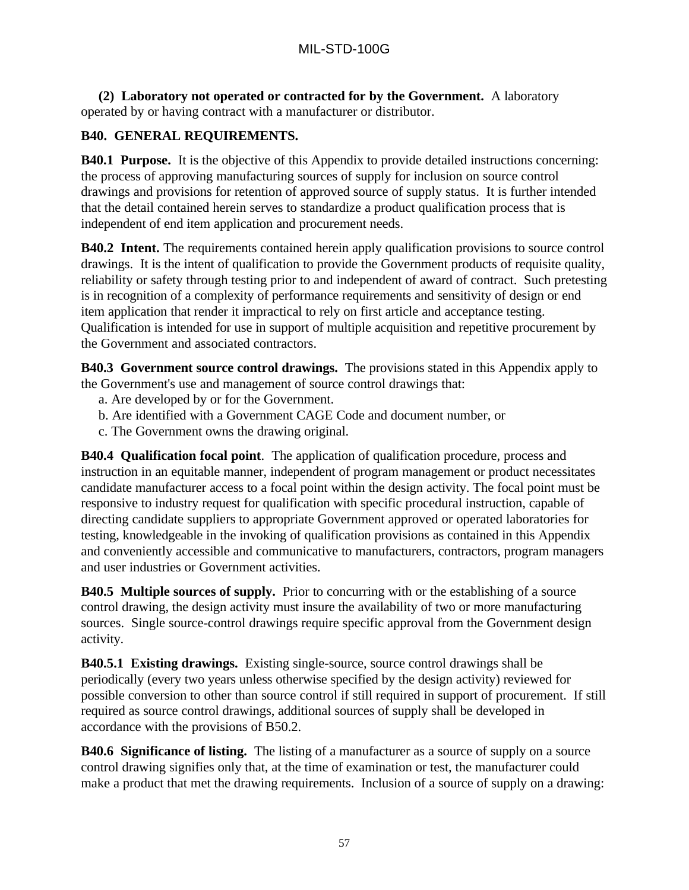**(2) Laboratory not operated or contracted for by the Government.** A laboratory operated by or having contract with a manufacturer or distributor.

# **B40. GENERAL REQUIREMENTS.**

**B40.1 Purpose.** It is the objective of this Appendix to provide detailed instructions concerning: the process of approving manufacturing sources of supply for inclusion on source control drawings and provisions for retention of approved source of supply status. It is further intended that the detail contained herein serves to standardize a product qualification process that is independent of end item application and procurement needs.

**B40.2** Intent. The requirements contained herein apply qualification provisions to source control drawings. It is the intent of qualification to provide the Government products of requisite quality, reliability or safety through testing prior to and independent of award of contract. Such pretesting is in recognition of a complexity of performance requirements and sensitivity of design or end item application that render it impractical to rely on first article and acceptance testing. Qualification is intended for use in support of multiple acquisition and repetitive procurement by the Government and associated contractors.

**B40.3 Government source control drawings.** The provisions stated in this Appendix apply to the Government's use and management of source control drawings that:

- a. Are developed by or for the Government.
- b. Are identified with a Government CAGE Code and document number, or
- c. The Government owns the drawing original.

**B40.4 Qualification focal point**. The application of qualification procedure, process and instruction in an equitable manner, independent of program management or product necessitates candidate manufacturer access to a focal point within the design activity. The focal point must be responsive to industry request for qualification with specific procedural instruction, capable of directing candidate suppliers to appropriate Government approved or operated laboratories for testing, knowledgeable in the invoking of qualification provisions as contained in this Appendix and conveniently accessible and communicative to manufacturers, contractors, program managers and user industries or Government activities.

**B40.5 Multiple sources of supply.** Prior to concurring with or the establishing of a source control drawing, the design activity must insure the availability of two or more manufacturing sources. Single source-control drawings require specific approval from the Government design activity.

**B40.5.1 Existing drawings.** Existing single-source, source control drawings shall be periodically (every two years unless otherwise specified by the design activity) reviewed for possible conversion to other than source control if still required in support of procurement. If still required as source control drawings, additional sources of supply shall be developed in accordance with the provisions of B50.2.

**B40.6 Significance of listing.** The listing of a manufacturer as a source of supply on a source control drawing signifies only that, at the time of examination or test, the manufacturer could make a product that met the drawing requirements. Inclusion of a source of supply on a drawing: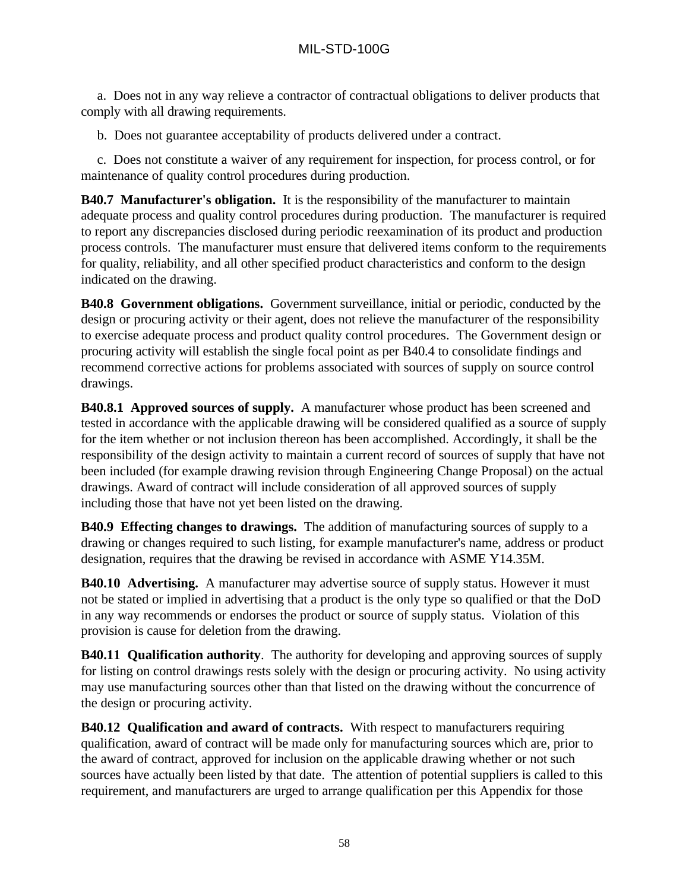a. Does not in any way relieve a contractor of contractual obligations to deliver products that comply with all drawing requirements.

b. Does not guarantee acceptability of products delivered under a contract.

c. Does not constitute a waiver of any requirement for inspection, for process control, or for maintenance of quality control procedures during production.

**B40.7 Manufacturer's obligation.** It is the responsibility of the manufacturer to maintain adequate process and quality control procedures during production. The manufacturer is required to report any discrepancies disclosed during periodic reexamination of its product and production process controls. The manufacturer must ensure that delivered items conform to the requirements for quality, reliability, and all other specified product characteristics and conform to the design indicated on the drawing.

**B40.8 Government obligations.** Government surveillance, initial or periodic, conducted by the design or procuring activity or their agent, does not relieve the manufacturer of the responsibility to exercise adequate process and product quality control procedures. The Government design or procuring activity will establish the single focal point as per B40.4 to consolidate findings and recommend corrective actions for problems associated with sources of supply on source control drawings.

**B40.8.1 Approved sources of supply.** A manufacturer whose product has been screened and tested in accordance with the applicable drawing will be considered qualified as a source of supply for the item whether or not inclusion thereon has been accomplished. Accordingly, it shall be the responsibility of the design activity to maintain a current record of sources of supply that have not been included (for example drawing revision through Engineering Change Proposal) on the actual drawings. Award of contract will include consideration of all approved sources of supply including those that have not yet been listed on the drawing.

**B40.9 Effecting changes to drawings.** The addition of manufacturing sources of supply to a drawing or changes required to such listing, for example manufacturer's name, address or product designation, requires that the drawing be revised in accordance with ASME Y14.35M.

**B40.10 Advertising.** A manufacturer may advertise source of supply status. However it must not be stated or implied in advertising that a product is the only type so qualified or that the DoD in any way recommends or endorses the product or source of supply status. Violation of this provision is cause for deletion from the drawing.

**B40.11 Qualification authority**. The authority for developing and approving sources of supply for listing on control drawings rests solely with the design or procuring activity. No using activity may use manufacturing sources other than that listed on the drawing without the concurrence of the design or procuring activity.

**B40.12 Qualification and award of contracts.** With respect to manufacturers requiring qualification, award of contract will be made only for manufacturing sources which are, prior to the award of contract, approved for inclusion on the applicable drawing whether or not such sources have actually been listed by that date. The attention of potential suppliers is called to this requirement, and manufacturers are urged to arrange qualification per this Appendix for those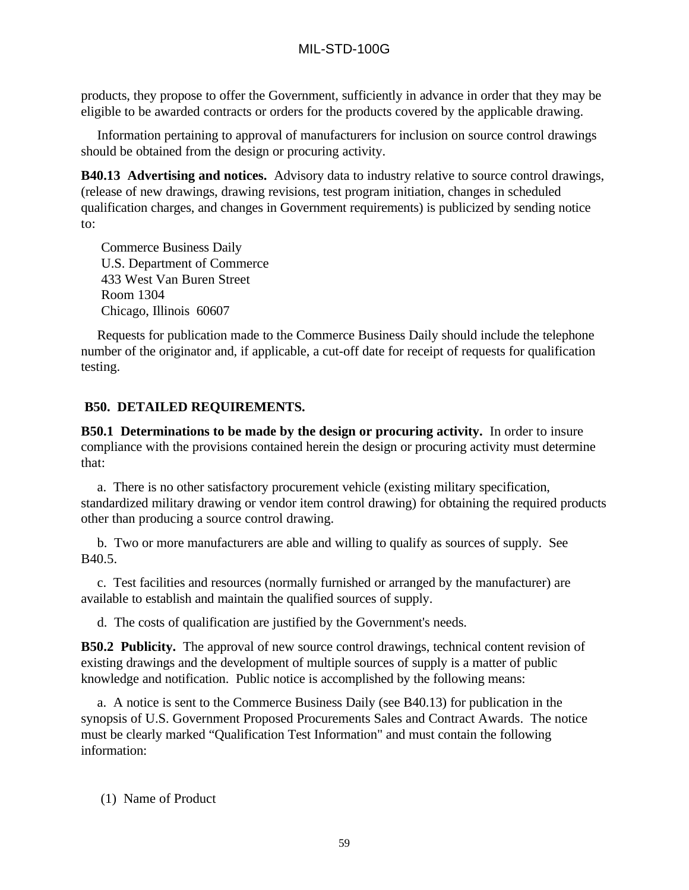products, they propose to offer the Government, sufficiently in advance in order that they may be eligible to be awarded contracts or orders for the products covered by the applicable drawing.

Information pertaining to approval of manufacturers for inclusion on source control drawings should be obtained from the design or procuring activity.

**B40.13 Advertising and notices.** Advisory data to industry relative to source control drawings, (release of new drawings, drawing revisions, test program initiation, changes in scheduled qualification charges, and changes in Government requirements) is publicized by sending notice to:

Commerce Business Daily U.S. Department of Commerce 433 West Van Buren Street Room 1304 Chicago, Illinois 60607

Requests for publication made to the Commerce Business Daily should include the telephone number of the originator and, if applicable, a cut-off date for receipt of requests for qualification testing.

## **B50. DETAILED REQUIREMENTS.**

**B50.1 Determinations to be made by the design or procuring activity.** In order to insure compliance with the provisions contained herein the design or procuring activity must determine that:

a. There is no other satisfactory procurement vehicle (existing military specification, standardized military drawing or vendor item control drawing) for obtaining the required products other than producing a source control drawing.

b. Two or more manufacturers are able and willing to qualify as sources of supply. See B40.5.

c. Test facilities and resources (normally furnished or arranged by the manufacturer) are available to establish and maintain the qualified sources of supply.

d. The costs of qualification are justified by the Government's needs.

**B50.2 Publicity.** The approval of new source control drawings, technical content revision of existing drawings and the development of multiple sources of supply is a matter of public knowledge and notification. Public notice is accomplished by the following means:

a. A notice is sent to the Commerce Business Daily (see B40.13) for publication in the synopsis of U.S. Government Proposed Procurements Sales and Contract Awards. The notice must be clearly marked "Qualification Test Information" and must contain the following information:

(1) Name of Product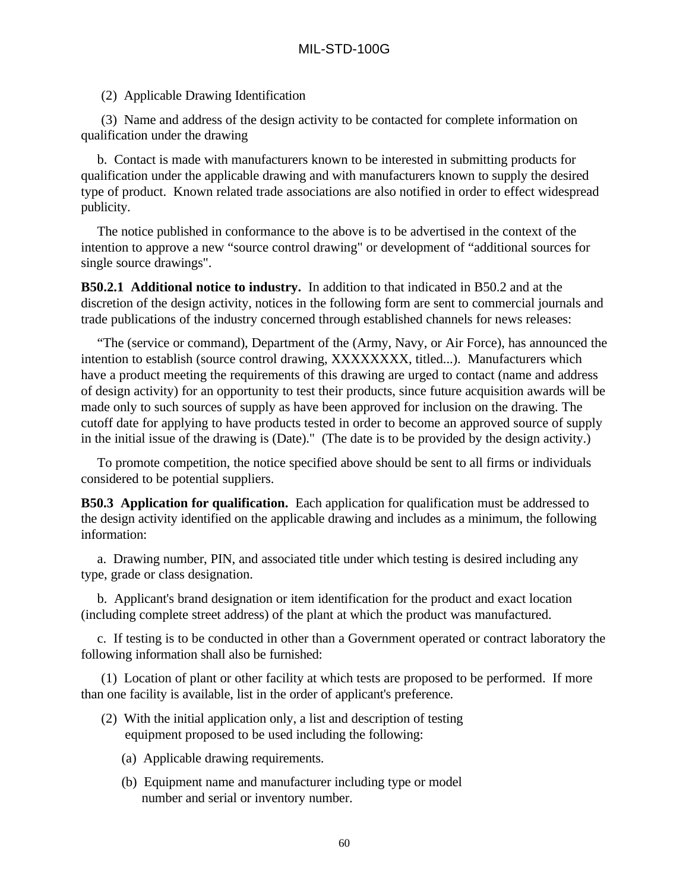### (2) Applicable Drawing Identification

(3) Name and address of the design activity to be contacted for complete information on qualification under the drawing

b. Contact is made with manufacturers known to be interested in submitting products for qualification under the applicable drawing and with manufacturers known to supply the desired type of product. Known related trade associations are also notified in order to effect widespread publicity.

The notice published in conformance to the above is to be advertised in the context of the intention to approve a new "source control drawing" or development of "additional sources for single source drawings".

**B50.2.1 Additional notice to industry.** In addition to that indicated in B50.2 and at the discretion of the design activity, notices in the following form are sent to commercial journals and trade publications of the industry concerned through established channels for news releases:

"The (service or command), Department of the (Army, Navy, or Air Force), has announced the intention to establish (source control drawing, XXXXXXXX, titled...). Manufacturers which have a product meeting the requirements of this drawing are urged to contact (name and address of design activity) for an opportunity to test their products, since future acquisition awards will be made only to such sources of supply as have been approved for inclusion on the drawing. The cutoff date for applying to have products tested in order to become an approved source of supply in the initial issue of the drawing is (Date)." (The date is to be provided by the design activity.)

To promote competition, the notice specified above should be sent to all firms or individuals considered to be potential suppliers.

**B50.3 Application for qualification.** Each application for qualification must be addressed to the design activity identified on the applicable drawing and includes as a minimum, the following information:

a. Drawing number, PIN, and associated title under which testing is desired including any type, grade or class designation.

b. Applicant's brand designation or item identification for the product and exact location (including complete street address) of the plant at which the product was manufactured.

c. If testing is to be conducted in other than a Government operated or contract laboratory the following information shall also be furnished:

(1) Location of plant or other facility at which tests are proposed to be performed. If more than one facility is available, list in the order of applicant's preference.

- (2) With the initial application only, a list and description of testing equipment proposed to be used including the following:
	- (a) Applicable drawing requirements.
	- (b) Equipment name and manufacturer including type or model number and serial or inventory number.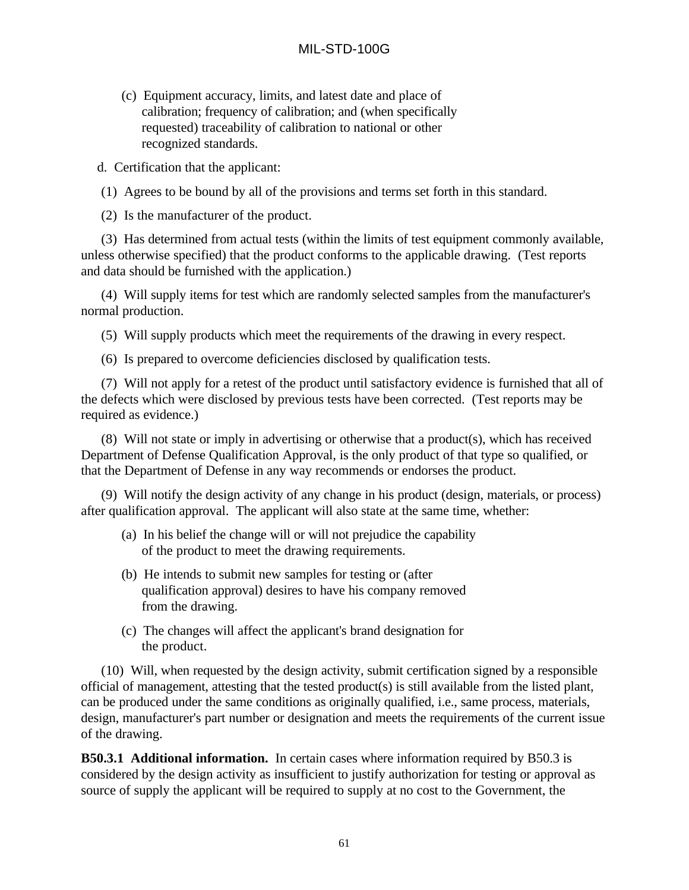(c) Equipment accuracy, limits, and latest date and place of calibration; frequency of calibration; and (when specifically requested) traceability of calibration to national or other recognized standards.

d. Certification that the applicant:

(1) Agrees to be bound by all of the provisions and terms set forth in this standard.

(2) Is the manufacturer of the product.

(3) Has determined from actual tests (within the limits of test equipment commonly available, unless otherwise specified) that the product conforms to the applicable drawing. (Test reports and data should be furnished with the application.)

(4) Will supply items for test which are randomly selected samples from the manufacturer's normal production.

(5) Will supply products which meet the requirements of the drawing in every respect.

(6) Is prepared to overcome deficiencies disclosed by qualification tests.

(7) Will not apply for a retest of the product until satisfactory evidence is furnished that all of the defects which were disclosed by previous tests have been corrected. (Test reports may be required as evidence.)

(8) Will not state or imply in advertising or otherwise that a product(s), which has received Department of Defense Qualification Approval, is the only product of that type so qualified, or that the Department of Defense in any way recommends or endorses the product.

(9) Will notify the design activity of any change in his product (design, materials, or process) after qualification approval. The applicant will also state at the same time, whether:

- (a) In his belief the change will or will not prejudice the capability of the product to meet the drawing requirements.
- (b) He intends to submit new samples for testing or (after qualification approval) desires to have his company removed from the drawing.
- (c) The changes will affect the applicant's brand designation for the product.

(10) Will, when requested by the design activity, submit certification signed by a responsible official of management, attesting that the tested product(s) is still available from the listed plant, can be produced under the same conditions as originally qualified, i.e., same process, materials, design, manufacturer's part number or designation and meets the requirements of the current issue of the drawing.

**B50.3.1 Additional information.** In certain cases where information required by B50.3 is considered by the design activity as insufficient to justify authorization for testing or approval as source of supply the applicant will be required to supply at no cost to the Government, the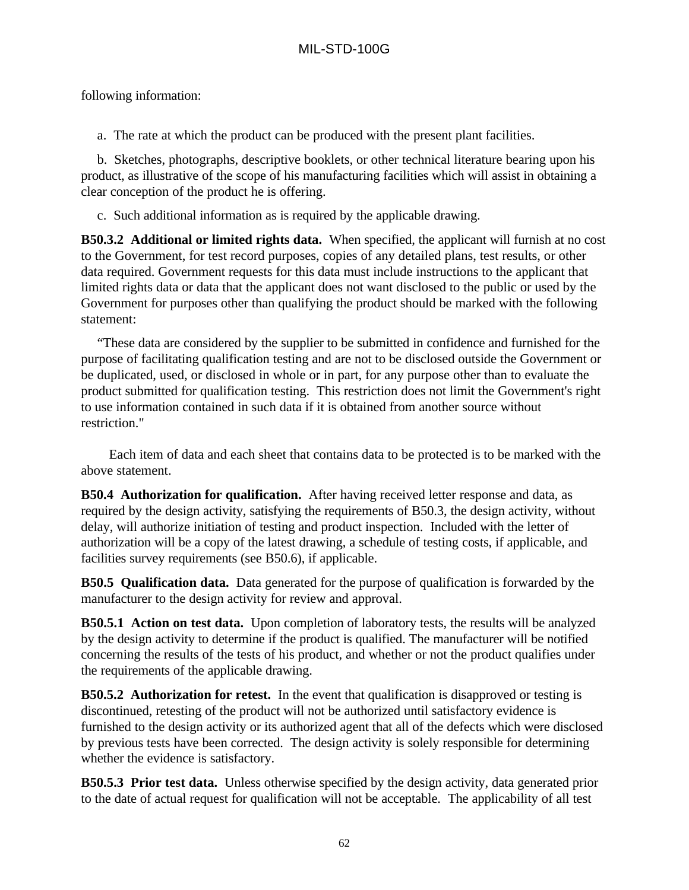following information:

a. The rate at which the product can be produced with the present plant facilities.

b. Sketches, photographs, descriptive booklets, or other technical literature bearing upon his product, as illustrative of the scope of his manufacturing facilities which will assist in obtaining a clear conception of the product he is offering.

c. Such additional information as is required by the applicable drawing.

**B50.3.2 Additional or limited rights data.** When specified, the applicant will furnish at no cost to the Government, for test record purposes, copies of any detailed plans, test results, or other data required. Government requests for this data must include instructions to the applicant that limited rights data or data that the applicant does not want disclosed to the public or used by the Government for purposes other than qualifying the product should be marked with the following statement:

"These data are considered by the supplier to be submitted in confidence and furnished for the purpose of facilitating qualification testing and are not to be disclosed outside the Government or be duplicated, used, or disclosed in whole or in part, for any purpose other than to evaluate the product submitted for qualification testing. This restriction does not limit the Government's right to use information contained in such data if it is obtained from another source without restriction."

 Each item of data and each sheet that contains data to be protected is to be marked with the above statement.

**B50.4 Authorization for qualification.** After having received letter response and data, as required by the design activity, satisfying the requirements of B50.3, the design activity, without delay, will authorize initiation of testing and product inspection. Included with the letter of authorization will be a copy of the latest drawing, a schedule of testing costs, if applicable, and facilities survey requirements (see B50.6), if applicable.

**B50.5 Qualification data.** Data generated for the purpose of qualification is forwarded by the manufacturer to the design activity for review and approval.

**B50.5.1 Action on test data.** Upon completion of laboratory tests, the results will be analyzed by the design activity to determine if the product is qualified. The manufacturer will be notified concerning the results of the tests of his product, and whether or not the product qualifies under the requirements of the applicable drawing.

**B50.5.2 Authorization for retest.** In the event that qualification is disapproved or testing is discontinued, retesting of the product will not be authorized until satisfactory evidence is furnished to the design activity or its authorized agent that all of the defects which were disclosed by previous tests have been corrected. The design activity is solely responsible for determining whether the evidence is satisfactory.

**B50.5.3 Prior test data.** Unless otherwise specified by the design activity, data generated prior to the date of actual request for qualification will not be acceptable. The applicability of all test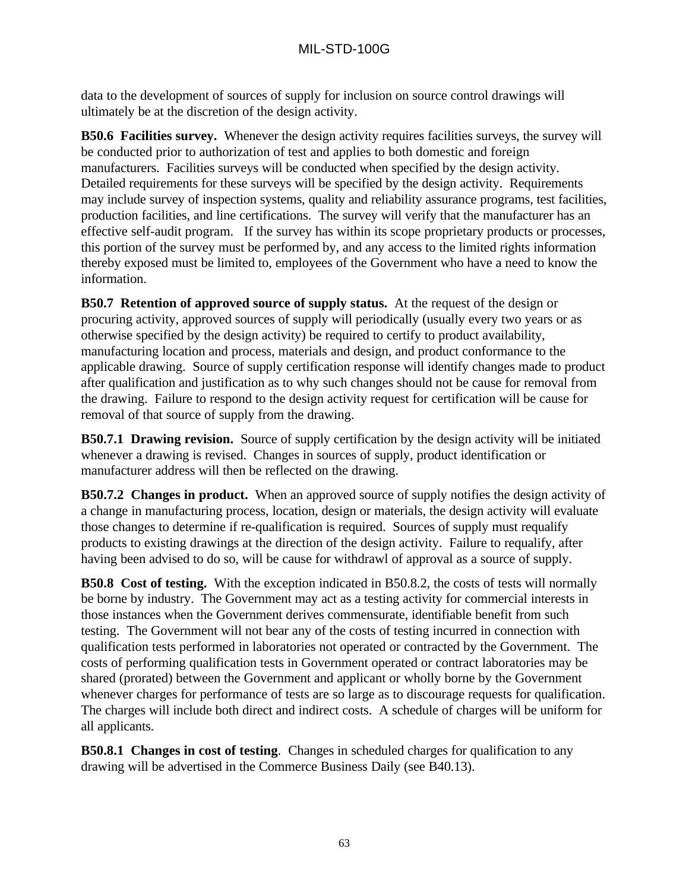data to the development of sources of supply for inclusion on source control drawings will ultimately be at the discretion of the design activity.

**B50.6 Facilities survey.** Whenever the design activity requires facilities surveys, the survey will be conducted prior to authorization of test and applies to both domestic and foreign manufacturers. Facilities surveys will be conducted when specified by the design activity. Detailed requirements for these surveys will be specified by the design activity. Requirements may include survey of inspection systems, quality and reliability assurance programs, test facilities, production facilities, and line certifications. The survey will verify that the manufacturer has an effective self-audit program. If the survey has within its scope proprietary products or processes, this portion of the survey must be performed by, and any access to the limited rights information thereby exposed must be limited to, employees of the Government who have a need to know the information.

**B50.7 Retention of approved source of supply status.** At the request of the design or procuring activity, approved sources of supply will periodically (usually every two years or as otherwise specified by the design activity) be required to certify to product availability, manufacturing location and process, materials and design, and product conformance to the applicable drawing. Source of supply certification response will identify changes made to product after qualification and justification as to why such changes should not be cause for removal from the drawing. Failure to respond to the design activity request for certification will be cause for removal of that source of supply from the drawing.

**B50.7.1 Drawing revision.** Source of supply certification by the design activity will be initiated whenever a drawing is revised. Changes in sources of supply, product identification or manufacturer address will then be reflected on the drawing.

**B50.7.2 Changes in product.** When an approved source of supply notifies the design activity of a change in manufacturing process, location, design or materials, the design activity will evaluate those changes to determine if re-qualification is required. Sources of supply must requalify products to existing drawings at the direction of the design activity. Failure to requalify, after having been advised to do so, will be cause for withdrawl of approval as a source of supply.

**B50.8 Cost of testing.** With the exception indicated in B50.8.2, the costs of tests will normally be borne by industry. The Government may act as a testing activity for commercial interests in those instances when the Government derives commensurate, identifiable benefit from such testing. The Government will not bear any of the costs of testing incurred in connection with qualification tests performed in laboratories not operated or contracted by the Government. The costs of performing qualification tests in Government operated or contract laboratories may be shared (prorated) between the Government and applicant or wholly borne by the Government whenever charges for performance of tests are so large as to discourage requests for qualification. The charges will include both direct and indirect costs. A schedule of charges will be uniform for all applicants.

**B50.8.1 Changes in cost of testing**. Changes in scheduled charges for qualification to any drawing will be advertised in the Commerce Business Daily (see B40.13).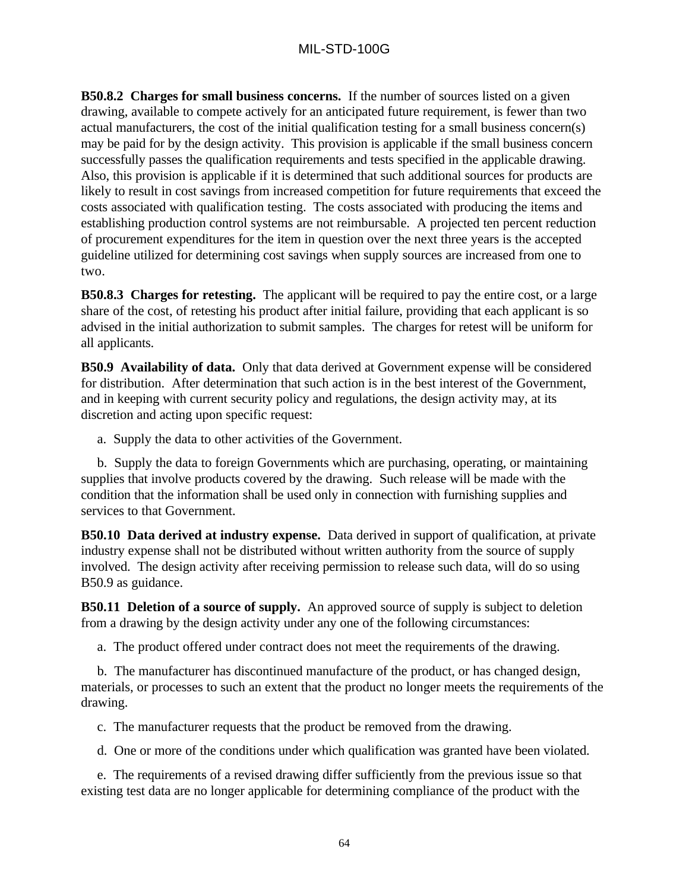**B50.8.2 Charges for small business concerns.** If the number of sources listed on a given drawing, available to compete actively for an anticipated future requirement, is fewer than two actual manufacturers, the cost of the initial qualification testing for a small business concern(s) may be paid for by the design activity. This provision is applicable if the small business concern successfully passes the qualification requirements and tests specified in the applicable drawing. Also, this provision is applicable if it is determined that such additional sources for products are likely to result in cost savings from increased competition for future requirements that exceed the costs associated with qualification testing. The costs associated with producing the items and establishing production control systems are not reimbursable. A projected ten percent reduction of procurement expenditures for the item in question over the next three years is the accepted guideline utilized for determining cost savings when supply sources are increased from one to two.

**B50.8.3 Charges for retesting.** The applicant will be required to pay the entire cost, or a large share of the cost, of retesting his product after initial failure, providing that each applicant is so advised in the initial authorization to submit samples. The charges for retest will be uniform for all applicants.

**B50.9 Availability of data.** Only that data derived at Government expense will be considered for distribution. After determination that such action is in the best interest of the Government, and in keeping with current security policy and regulations, the design activity may, at its discretion and acting upon specific request:

a. Supply the data to other activities of the Government.

b. Supply the data to foreign Governments which are purchasing, operating, or maintaining supplies that involve products covered by the drawing. Such release will be made with the condition that the information shall be used only in connection with furnishing supplies and services to that Government.

**B50.10 Data derived at industry expense.** Data derived in support of qualification, at private industry expense shall not be distributed without written authority from the source of supply involved. The design activity after receiving permission to release such data, will do so using B50.9 as guidance.

**B50.11 Deletion of a source of supply.** An approved source of supply is subject to deletion from a drawing by the design activity under any one of the following circumstances:

a. The product offered under contract does not meet the requirements of the drawing.

b. The manufacturer has discontinued manufacture of the product, or has changed design, materials, or processes to such an extent that the product no longer meets the requirements of the drawing.

c. The manufacturer requests that the product be removed from the drawing.

d. One or more of the conditions under which qualification was granted have been violated.

e. The requirements of a revised drawing differ sufficiently from the previous issue so that existing test data are no longer applicable for determining compliance of the product with the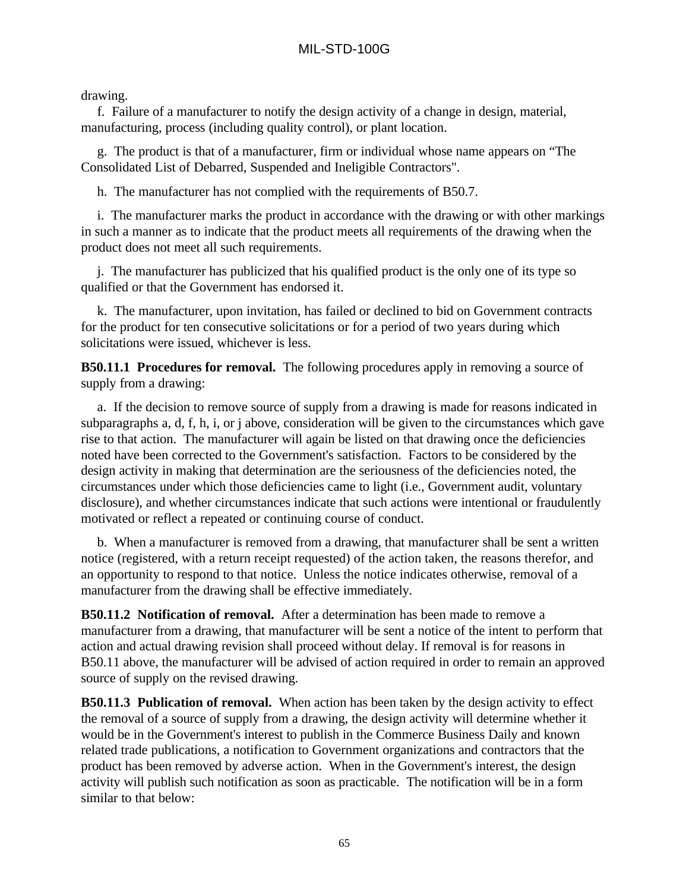drawing.

f. Failure of a manufacturer to notify the design activity of a change in design, material, manufacturing, process (including quality control), or plant location.

g. The product is that of a manufacturer, firm or individual whose name appears on "The Consolidated List of Debarred, Suspended and Ineligible Contractors".

h. The manufacturer has not complied with the requirements of B50.7.

i. The manufacturer marks the product in accordance with the drawing or with other markings in such a manner as to indicate that the product meets all requirements of the drawing when the product does not meet all such requirements.

j. The manufacturer has publicized that his qualified product is the only one of its type so qualified or that the Government has endorsed it.

k. The manufacturer, upon invitation, has failed or declined to bid on Government contracts for the product for ten consecutive solicitations or for a period of two years during which solicitations were issued, whichever is less.

**B50.11.1 Procedures for removal.** The following procedures apply in removing a source of supply from a drawing:

a. If the decision to remove source of supply from a drawing is made for reasons indicated in subparagraphs a, d, f, h, i, or j above, consideration will be given to the circumstances which gave rise to that action. The manufacturer will again be listed on that drawing once the deficiencies noted have been corrected to the Government's satisfaction. Factors to be considered by the design activity in making that determination are the seriousness of the deficiencies noted, the circumstances under which those deficiencies came to light (i.e., Government audit, voluntary disclosure), and whether circumstances indicate that such actions were intentional or fraudulently motivated or reflect a repeated or continuing course of conduct.

b. When a manufacturer is removed from a drawing, that manufacturer shall be sent a written notice (registered, with a return receipt requested) of the action taken, the reasons therefor, and an opportunity to respond to that notice. Unless the notice indicates otherwise, removal of a manufacturer from the drawing shall be effective immediately.

**B50.11.2 Notification of removal.** After a determination has been made to remove a manufacturer from a drawing, that manufacturer will be sent a notice of the intent to perform that action and actual drawing revision shall proceed without delay. If removal is for reasons in B50.11 above, the manufacturer will be advised of action required in order to remain an approved source of supply on the revised drawing.

**B50.11.3 Publication of removal.** When action has been taken by the design activity to effect the removal of a source of supply from a drawing, the design activity will determine whether it would be in the Government's interest to publish in the Commerce Business Daily and known related trade publications, a notification to Government organizations and contractors that the product has been removed by adverse action. When in the Government's interest, the design activity will publish such notification as soon as practicable. The notification will be in a form similar to that below: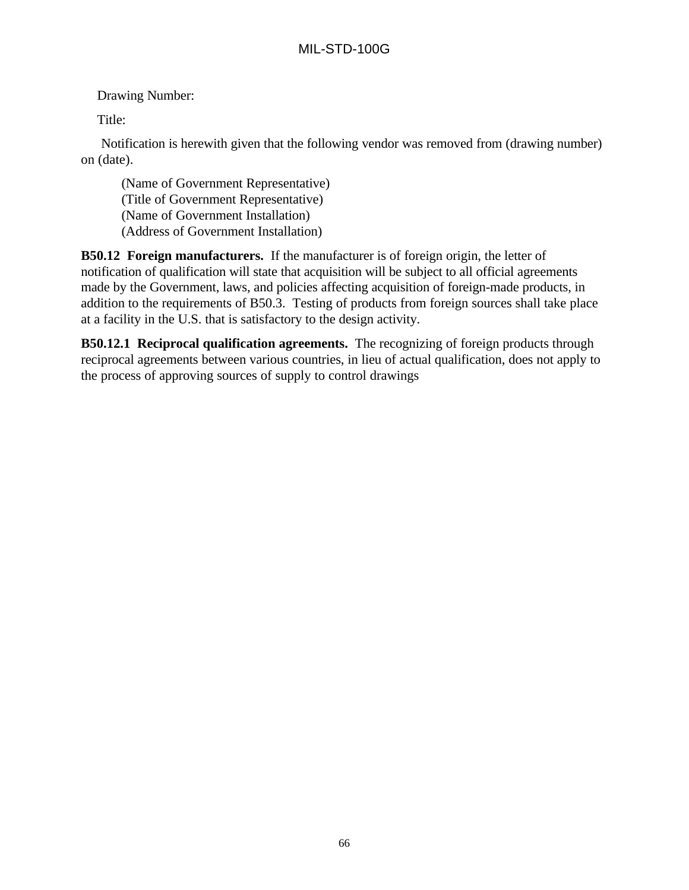Drawing Number:

Title:

Notification is herewith given that the following vendor was removed from (drawing number) on (date).

(Name of Government Representative) (Title of Government Representative) (Name of Government Installation) (Address of Government Installation)

**B50.12 Foreign manufacturers.** If the manufacturer is of foreign origin, the letter of notification of qualification will state that acquisition will be subject to all official agreements made by the Government, laws, and policies affecting acquisition of foreign-made products, in addition to the requirements of B50.3. Testing of products from foreign sources shall take place at a facility in the U.S. that is satisfactory to the design activity.

**B50.12.1 Reciprocal qualification agreements.** The recognizing of foreign products through reciprocal agreements between various countries, in lieu of actual qualification, does not apply to the process of approving sources of supply to control drawings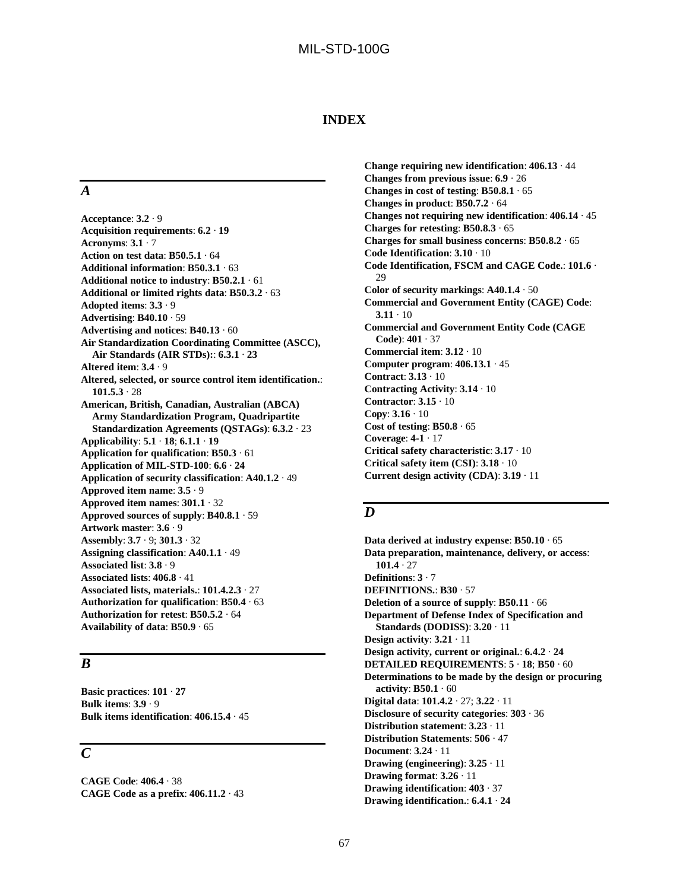#### **INDEX**

### *A*

**Acceptance**: **3.2** · 9 **Acquisition requirements**: **6.2** · **19 Acronyms**: **3.1** · 7 **Action on test data**: **B50.5.1** · 64 **Additional information**: **B50.3.1** · 63 **Additional notice to industry**: **B50.2.1** · 61 **Additional or limited rights data**: **B50.3.2** · 63 **Adopted items**: **3.3** · 9 **Advertising**: **B40.10** · 59 **Advertising and notices**: **B40.13** · 60 **Air Standardization Coordinating Committee (ASCC), Air Standards (AIR STDs):**: **6.3.1** · **23 Altered item**: **3.4** · 9 **Altered, selected, or source control item identification.**: **101.5.3** · 28 **American, British, Canadian, Australian (ABCA) Army Standardization Program, Quadripartite Standardization Agreements (QSTAGs)**: **6.3.2** · 23 **Applicability**: **5.1** · **18**; **6.1.1** · **19 Application for qualification**: **B50.3** · 61 **Application of MIL-STD-100**: **6.6** · **24 Application of security classification**: **A40.1.2** · 49 **Approved item name**: **3.5** · 9 **Approved item names**: **301.1** · 32 **Approved sources of supply**: **B40.8.1** · 59 **Artwork master**: **3.6** · 9 **Assembly**: **3.7** · 9; **301.3** · 32 **Assigning classification**: **A40.1.1** · 49 **Associated list**: **3.8** · 9 **Associated lists**: **406.8** · 41 **Associated lists, materials.**: **101.4.2.3** · 27 **Authorization for qualification**: **B50.4** · 63 **Authorization for retest**: **B50.5.2** · 64 **Availability of data**: **B50.9** · 65

### *B*

**Basic practices**: **101** · **27 Bulk items**: **3.9** · 9 **Bulk items identification**: **406.15.4** · 45

#### *C*

**CAGE Code**: **406.4** · 38 **CAGE Code as a prefix**: **406.11.2** · 43

**Change requiring new identification**: **406.13** · 44 **Changes from previous issue**: **6.9** · 26 **Changes in cost of testing**: **B50.8.1** · 65 **Changes in product**: **B50.7.2** · 64 **Changes not requiring new identification**: **406.14** · 45 **Charges for retesting**: **B50.8.3** · 65 **Charges for small business concerns**: **B50.8.2** · 65 **Code Identification**: **3.10** · 10 **Code Identification, FSCM and CAGE Code.**: **101.6** ·  $29$ **Color of security markings**: **A40.1.4** · 50 **Commercial and Government Entity (CAGE) Code**:  $3.11 \cdot 10$ **Commercial and Government Entity Code (CAGE Code)**: **401** · 37 **Commercial item**: **3.12** · 10 **Computer program**: **406.13.1** · 45 **Contract**: **3.13** · 10 **Contracting Activity**: **3.14** · 10 **Contractor**: **3.15** · 10 **Copy**: **3.16** · 10 **Cost of testing**: **B50.8** · 65 **Coverage**: **4-1** · 17 **Critical safety characteristic**: **3.17** · 10 **Critical safety item (CSI)**: **3.18** · 10 **Current design activity (CDA)**: **3.19** · 11

#### *D*

**Data derived at industry expense**: **B50.10** · 65 **Data preparation, maintenance, delivery, or access**: **101.4** · 27 **Definitions**: **3** · 7 **DEFINITIONS.**: **B30** · 57 **Deletion of a source of supply**: **B50.11** · 66 **Department of Defense Index of Specification and Standards (DODISS)**: **3.20** · 11 **Design activity**: **3.21** · 11 **Design activity, current or original.**: **6.4.2** · **24 DETAILED REQUIREMENTS**: **5** · **18**; **B50** · 60 **Determinations to be made by the design or procuring activity**: **B50.1** · 60 **Digital data**: **101.4.2** · 27; **3.22** · 11 **Disclosure of security categories**: **303** · 36 **Distribution statement**: **3.23** · 11 **Distribution Statements**: **506** · 47 **Document**: **3.24** · 11 **Drawing (engineering)**: **3.25** · 11 **Drawing format**: **3.26** · 11 **Drawing identification**: **403** · 37 **Drawing identification.**: **6.4.1** · **24**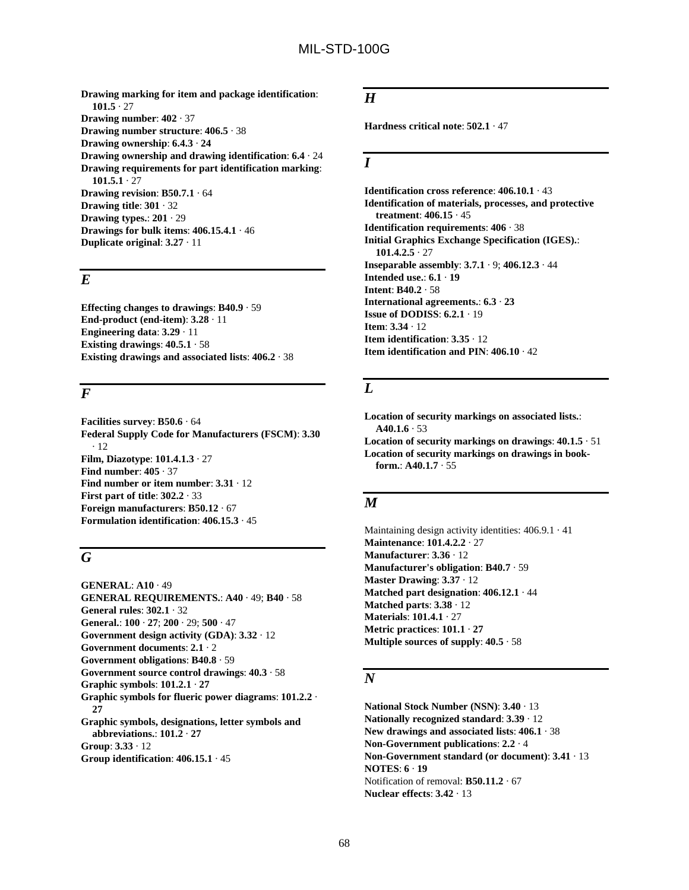**Drawing marking for item and package identification**: **101.5** · 27 **Drawing number**: **402** · 37 **Drawing number structure**: **406.5** · 38 **Drawing ownership**: **6.4.3** · **24 Drawing ownership and drawing identification**: **6.4** · 24 **Drawing requirements for part identification marking**: **101.5.1** · 27 **Drawing revision**: **B50.7.1** · 64 **Drawing title**: **301** · 32 **Drawing types.**: **201** · 29 **Drawings for bulk items**: **406.15.4.1** · 46 **Duplicate original**: **3.27** · 11

## *E*

**Effecting changes to drawings**: **B40.9** · 59 **End-product (end-item)**: **3.28** · 11 **Engineering data**: **3.29** · 11 **Existing drawings**: **40.5.1** · 58 **Existing drawings and associated lists**: **406.2** · 38

### *F*

**Facilities survey**: **B50.6** · 64 **Federal Supply Code for Manufacturers (FSCM)**: **3.30** · 12 **Film, Diazotype**: **101.4.1.3** · 27 **Find number**: **405** · 37 **Find number or item number**: **3.31** · 12 **First part of title**: **302.2** · 33 **Foreign manufacturers**: **B50.12** · 67 **Formulation identification**: **406.15.3** · 45

### *G*

**GENERAL**: **A10** · 49 **GENERAL REQUIREMENTS.**: **A40** · 49; **B40** · 58 **General rules**: **302.1** · 32 **General.**: **100** · **27**; **200** · 29; **500** · 47 **Government design activity (GDA)**: **3.32** · 12 **Government documents**: **2.1** · 2 **Government obligations**: **B40.8** · 59 **Government source control drawings**: **40.3** · 58 **Graphic symbols**: **101.2.1** · **27 Graphic symbols for flueric power diagrams**: **101.2.2** · **27 Graphic symbols, designations, letter symbols and abbreviations.**: **101.2** · **27 Group**: **3.33** · 12 **Group identification**: **406.15.1** · 45

## *H*

**Hardness critical note**: **502.1** · 47

#### *I*

**Identification cross reference**: **406.10.1** · 43 **Identification of materials, processes, and protective treatment**: **406.15** · 45 **Identification requirements**: **406** · 38 **Initial Graphics Exchange Specification (IGES).**: **101.4.2.5** · 27 **Inseparable assembly**: **3.7.1** · 9; **406.12.3** · 44 **Intended use.**: **6.1** · **19 Intent**: **B40.2** · 58 **International agreements.**: **6.3** · **23 Issue of DODISS**: **6.2.1** · 19 **Item**: **3.34** · 12 **Item identification**: **3.35** · 12 **Item identification and PIN**: **406.10** · 42

## *L*

**Location of security markings on associated lists.**:  $A40.1.6 \cdot 53$ **Location of security markings on drawings**: **40.1.5** · 51 **Location of security markings on drawings in bookform.**: **A40.1.7** · 55

## *M*

Maintaining design activity identities: 406.9.1 · 41 **Maintenance**: **101.4.2.2** · 27 **Manufacturer**: **3.36** · 12 **Manufacturer's obligation**: **B40.7** · 59 **Master Drawing**: **3.37** · 12 **Matched part designation**: **406.12.1** · 44 **Matched parts**: **3.38** · 12 **Materials**: **101.4.1** · 27 **Metric practices**: **101.1** · **27 Multiple sources of supply**: **40.5** · 58

### *N*

**National Stock Number (NSN)**: **3.40** · 13 **Nationally recognized standard**: **3.39** · 12 **New drawings and associated lists**: **406.1** · 38 **Non-Government publications**: **2.2** · 4 **Non-Government standard (or document)**: **3.41** · 13 **NOTES**: **6** · **19** Notification of removal: **B50.11.2** · 67 **Nuclear effects**: **3.42** · 13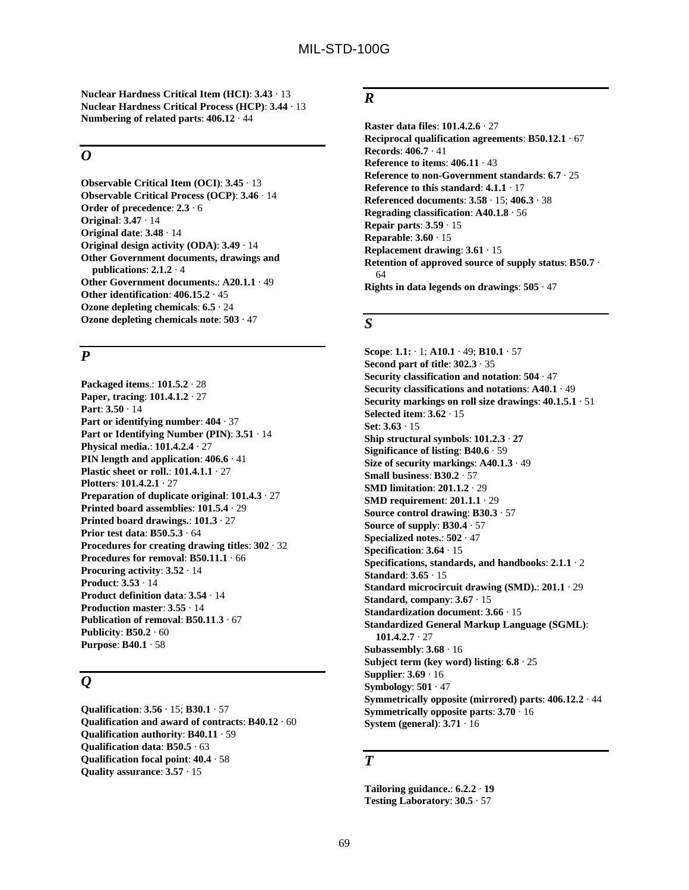**Nuclear Hardness Critical Item (HCI)**: **3.43** · 13 **Nuclear Hardness Critical Process (HCP)**: **3.44** · 13 **Numbering of related parts**: **406.12** · 44

#### *O*

**Observable Critical Item (OCI)**: **3.45** · 13 **Observable Critical Process (OCP)**: **3.46** · 14 **Order of precedence**: **2.3** · 6 **Original**: **3.47** · 14 **Original date**: **3.48** · 14 **Original design activity (ODA)**: **3.49** · 14 **Other Government documents, drawings and publications**: **2.1.2** · 4 **Other Government documents.**: **A20.1.1** · 49 **Other identification**: **406.15.2** · 45 **Ozone depleting chemicals**: **6.5** · 24 **Ozone depleting chemicals note**: **503** · 47

### *P*

**Packaged items**.: **101.5.2** · 28 **Paper, tracing**: **101.4.1.2** · 27 **Part**: **3.50** · 14 **Part or identifying number**: **404** · 37 **Part or Identifying Number (PIN)**: **3.51** · 14 **Physical media.**: **101.4.2.4** · 27 **PIN length and application**: **406.6** · 41 **Plastic sheet or roll.**: **101.4.1.1** · 27 **Plotters**: **101.4.2.1** · 27 **Preparation of duplicate original**: **101.4.3** · 27 **Printed board assemblies**: **101.5.4** · 29 **Printed board drawings.**: **101.3** · 27 **Prior test data**: **B50.5.3** · 64 **Procedures for creating drawing titles**: **302** · 32 **Procedures for removal**: **B50.11.1** · 66 **Procuring activity**: **3.52** · 14 **Product**: **3.53** · 14 **Product definition data**: **3.54** · 14 **Production master**: **3.55** · 14 **Publication of removal**: **B50.11**.**3** · 67 **Publicity**: **B50.2** · 60 **Purpose**: **B40.1** · 58

## *Q*

**Qualification**: **3.56** · 15; **B30.1** · 57 **Qualification and award of contracts**: **B40.12** · 60 **Qualification authority**: **B40.11** · 59 **Qualification data**: **B50.5** · 63 **Qualification focal point**: **40.4** · 58 **Quality assurance**: **3.57** · 15

## *R*

**Raster data files**: **101.4.2.6** · 27 **Reciprocal qualification agreements**: **B50.12.1** · 67 **Records**: **406.7** · 41 **Reference to items**: **406.11** · 43 **Reference to non-Government standards**: **6.7** · 25 **Reference to this standard**: **4.1.1** · 17 **Referenced documents**: **3.58** · 15; **406.3** · 38 **Regrading classification**: **A40.1.8** · 56 **Repair parts**: **3.59** · 15 **Reparable**: **3.60** · 15 **Replacement drawing**: **3.61** · 15 **Retention of approved source of supply status**: **B50.7** · 64 **Rights in data legends on drawings**: **505** · 47

#### *S*

**Scope**: **1.1:** · 1; **A10.1** · 49; **B10.1** · 57 **Second part of title**: **302.3** · 35 **Security classification and notation**: **504** · 47 **Security classifications and notations**: **A40.1** · 49 **Security markings on roll size drawings**: **40.1.5.1** · 51 **Selected item**: **3.62** · 15 **Set**: **3.63** · 15 **Ship structural symbols**: **101.2.3** · **27 Significance of listing**: **B40.6** · 59 **Size of security markings**: **A40.1.3** · 49 **Small business**: **B30.2** · 57 **SMD limitation**: **201.1.2** · 29 **SMD requirement**: **201.1.1** · 29 **Source control drawing**: **B30.3** · 57 **Source of supply**: **B30.4** · 57 **Specialized notes.**: **502** · 47 **Specification**: **3.64** · 15 **Specifications, standards, and handbooks**: **2.1.1** · 2 **Standard**: **3.65** · 15 **Standard microcircuit drawing (SMD).**: **201.1** · 29 **Standard, company**: **3.67** · 15 **Standardization document**: **3.66** · 15 **Standardized General Markup Language (SGML)**: **101.4.2.7** · 27 **Subassembly**: **3.68** · 16 **Subject term (key word) listing**: **6.8** · 25 **Supplier**: **3.69** · 16 **Symbology**: **501** · 47 **Symmetrically opposite (mirrored) parts**: **406.12.2** · 44 **Symmetrically opposite parts**: **3.70** · 16 **System (general)**: **3.71** · 16

### *T*

**Tailoring guidance.**: **6.2.2** · **19 Testing Laboratory**: **30.5** · 57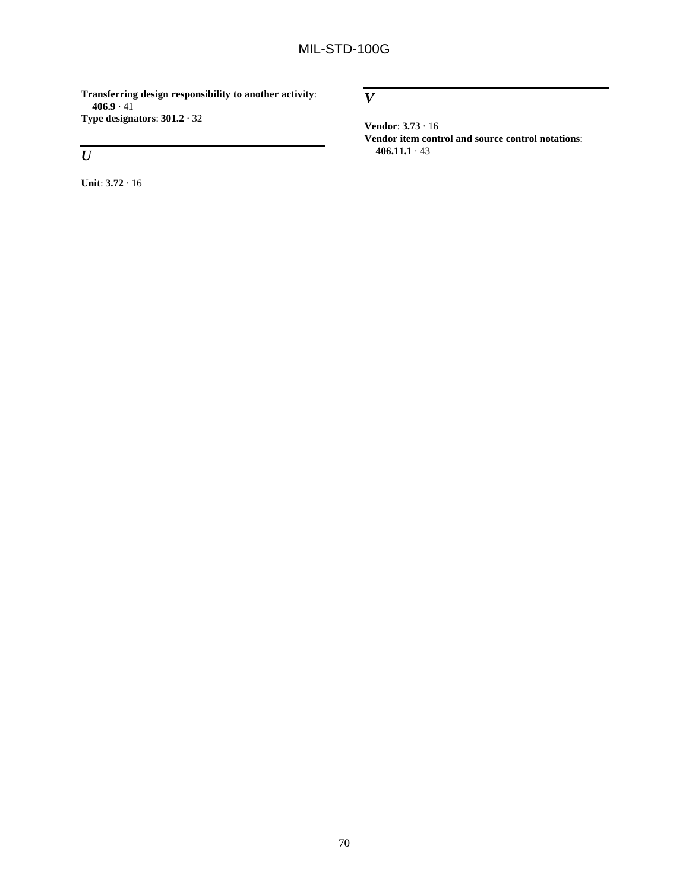**Transferring design responsibility to another activity**: **406.9** · 41 **Type designators**: **301.2** · 32

# *U*

**Unit**: **3.72** · 16

*V*

**Vendor**: **3.73** · 16 **Vendor item control and source control notations**: **406.11.1** · 43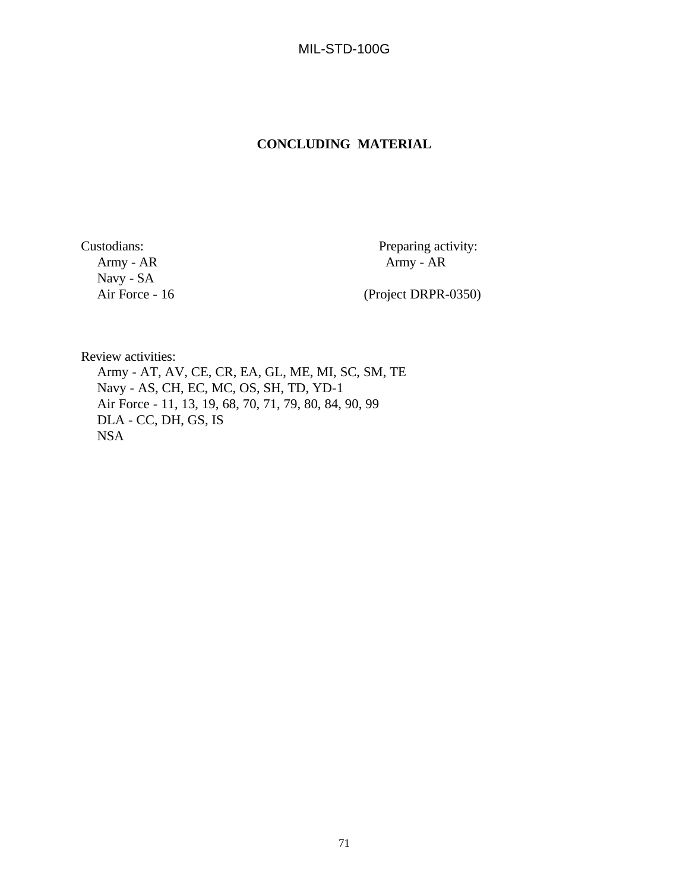MIL-STD-100G

## **CONCLUDING MATERIAL**

Navy - SA

Custodians: Preparing activity: Army - AR Army - AR  $A$ rmy -  $AR$ 

(Project DRPR-0350)

Review activities:

Army - AT, AV, CE, CR, EA, GL, ME, MI, SC, SM, TE Navy - AS, CH, EC, MC, OS, SH, TD, YD-1 Air Force - 11, 13, 19, 68, 70, 71, 79, 80, 84, 90, 99 DLA - CC, DH, GS, IS NSA